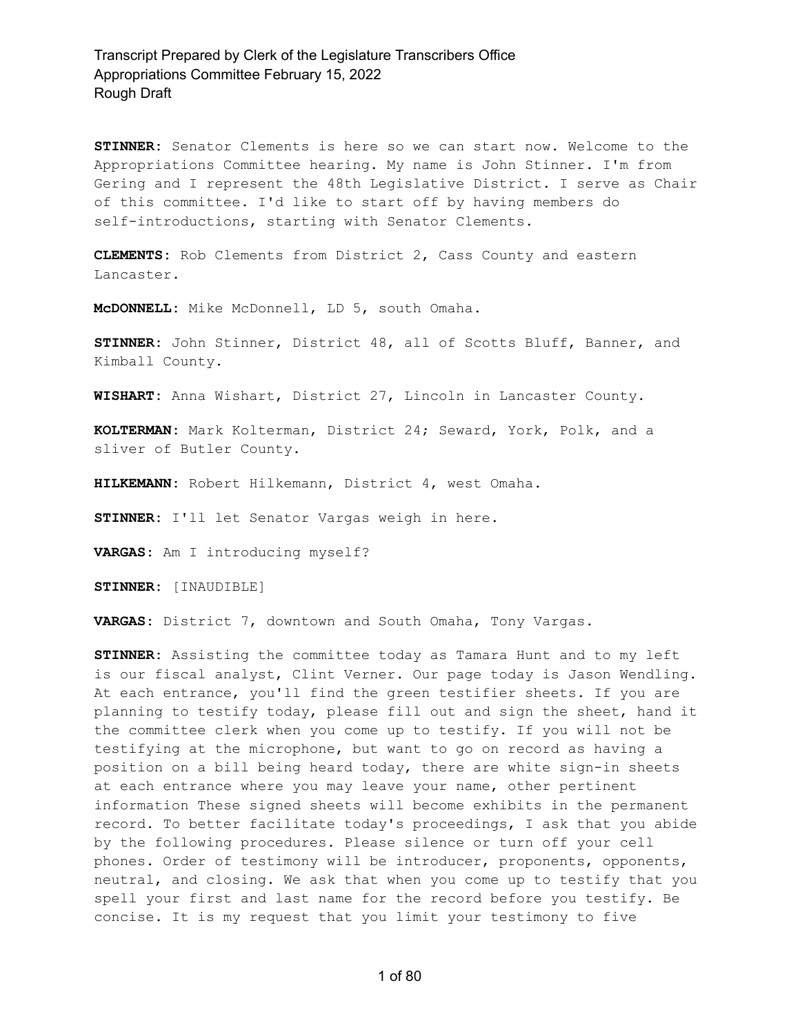**STINNER:** Senator Clements is here so we can start now. Welcome to the Appropriations Committee hearing. My name is John Stinner. I'm from Gering and I represent the 48th Legislative District. I serve as Chair of this committee. I'd like to start off by having members do self-introductions, starting with Senator Clements.

**CLEMENTS:** Rob Clements from District 2, Cass County and eastern Lancaster.

**McDONNELL:** Mike McDonnell, LD 5, south Omaha.

**STINNER:** John Stinner, District 48, all of Scotts Bluff, Banner, and Kimball County.

**WISHART:** Anna Wishart, District 27, Lincoln in Lancaster County.

**KOLTERMAN:** Mark Kolterman, District 24; Seward, York, Polk, and a sliver of Butler County.

**HILKEMANN:** Robert Hilkemann, District 4, west Omaha.

**STINNER:** I'll let Senator Vargas weigh in here.

**VARGAS:** Am I introducing myself?

**STINNER:** [INAUDIBLE]

**VARGAS:** District 7, downtown and South Omaha, Tony Vargas.

**STINNER:** Assisting the committee today as Tamara Hunt and to my left is our fiscal analyst, Clint Verner. Our page today is Jason Wendling. At each entrance, you'll find the green testifier sheets. If you are planning to testify today, please fill out and sign the sheet, hand it the committee clerk when you come up to testify. If you will not be testifying at the microphone, but want to go on record as having a position on a bill being heard today, there are white sign-in sheets at each entrance where you may leave your name, other pertinent information These signed sheets will become exhibits in the permanent record. To better facilitate today's proceedings, I ask that you abide by the following procedures. Please silence or turn off your cell phones. Order of testimony will be introducer, proponents, opponents, neutral, and closing. We ask that when you come up to testify that you spell your first and last name for the record before you testify. Be concise. It is my request that you limit your testimony to five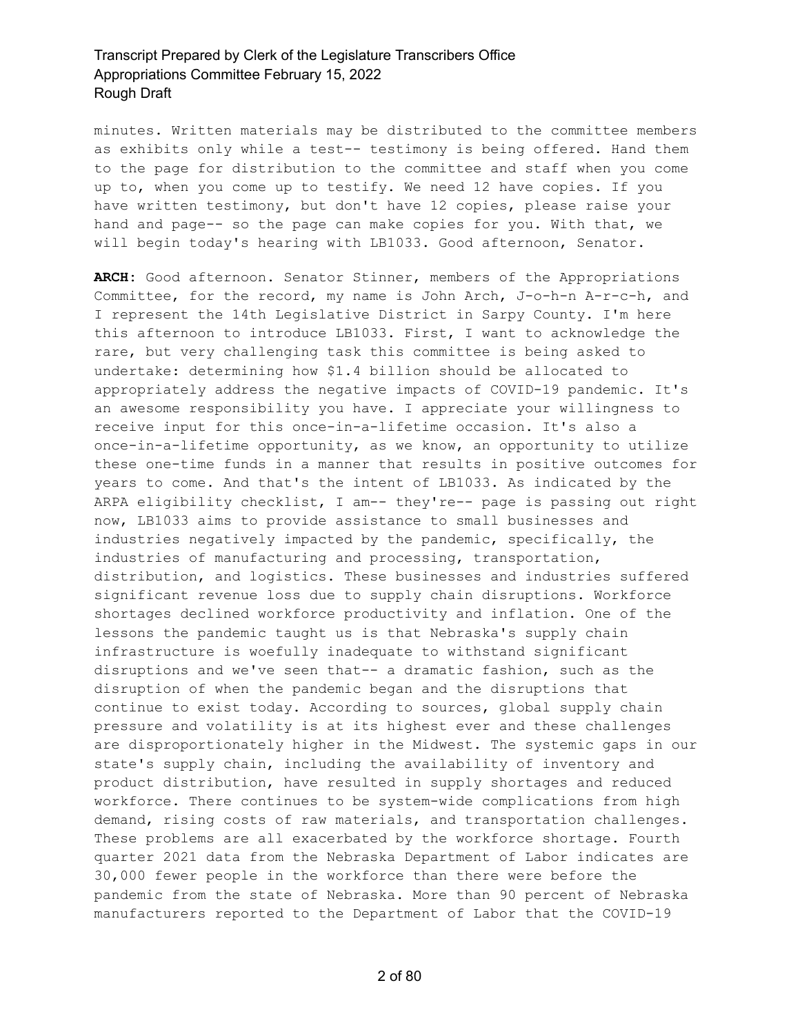minutes. Written materials may be distributed to the committee members as exhibits only while a test-- testimony is being offered. Hand them to the page for distribution to the committee and staff when you come up to, when you come up to testify. We need 12 have copies. If you have written testimony, but don't have 12 copies, please raise your hand and page-- so the page can make copies for you. With that, we will begin today's hearing with LB1033. Good afternoon, Senator.

**ARCH:** Good afternoon. Senator Stinner, members of the Appropriations Committee, for the record, my name is John Arch, J-o-h-n A-r-c-h, and I represent the 14th Legislative District in Sarpy County. I'm here this afternoon to introduce LB1033. First, I want to acknowledge the rare, but very challenging task this committee is being asked to undertake: determining how \$1.4 billion should be allocated to appropriately address the negative impacts of COVID-19 pandemic. It's an awesome responsibility you have. I appreciate your willingness to receive input for this once-in-a-lifetime occasion. It's also a once-in-a-lifetime opportunity, as we know, an opportunity to utilize these one-time funds in a manner that results in positive outcomes for years to come. And that's the intent of LB1033. As indicated by the ARPA eligibility checklist, I am-- they're-- page is passing out right now, LB1033 aims to provide assistance to small businesses and industries negatively impacted by the pandemic, specifically, the industries of manufacturing and processing, transportation, distribution, and logistics. These businesses and industries suffered significant revenue loss due to supply chain disruptions. Workforce shortages declined workforce productivity and inflation. One of the lessons the pandemic taught us is that Nebraska's supply chain infrastructure is woefully inadequate to withstand significant disruptions and we've seen that-- a dramatic fashion, such as the disruption of when the pandemic began and the disruptions that continue to exist today. According to sources, global supply chain pressure and volatility is at its highest ever and these challenges are disproportionately higher in the Midwest. The systemic gaps in our state's supply chain, including the availability of inventory and product distribution, have resulted in supply shortages and reduced workforce. There continues to be system-wide complications from high demand, rising costs of raw materials, and transportation challenges. These problems are all exacerbated by the workforce shortage. Fourth quarter 2021 data from the Nebraska Department of Labor indicates are 30,000 fewer people in the workforce than there were before the pandemic from the state of Nebraska. More than 90 percent of Nebraska manufacturers reported to the Department of Labor that the COVID-19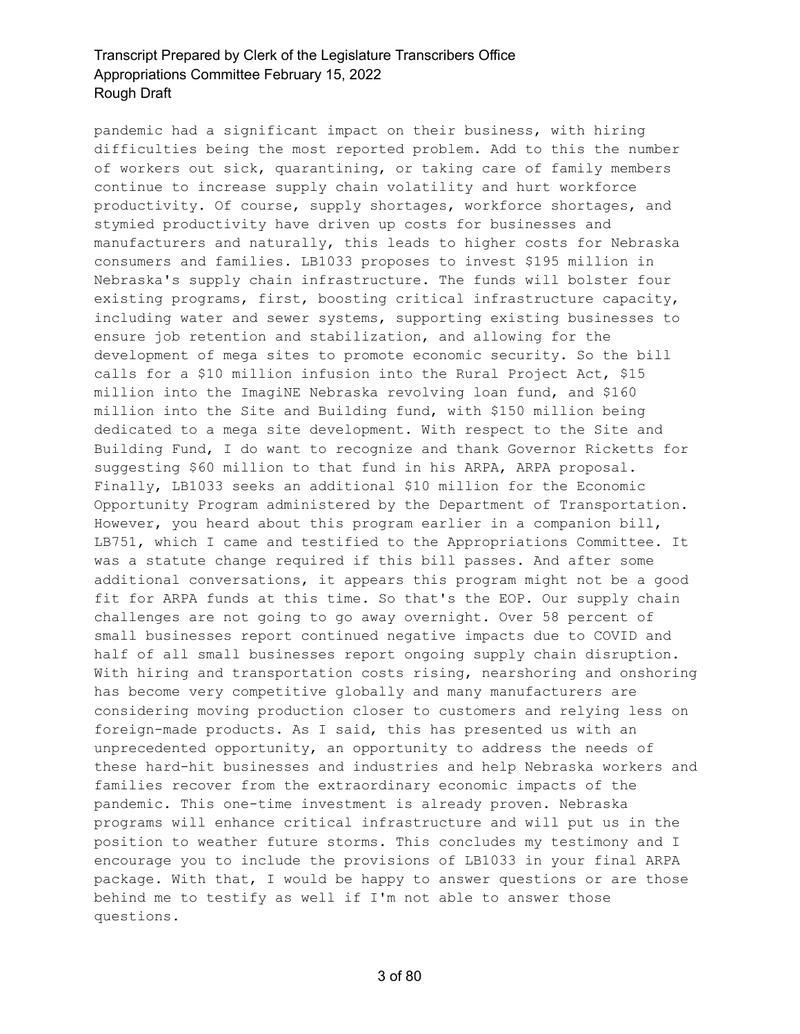pandemic had a significant impact on their business, with hiring difficulties being the most reported problem. Add to this the number of workers out sick, quarantining, or taking care of family members continue to increase supply chain volatility and hurt workforce productivity. Of course, supply shortages, workforce shortages, and stymied productivity have driven up costs for businesses and manufacturers and naturally, this leads to higher costs for Nebraska consumers and families. LB1033 proposes to invest \$195 million in Nebraska's supply chain infrastructure. The funds will bolster four existing programs, first, boosting critical infrastructure capacity, including water and sewer systems, supporting existing businesses to ensure job retention and stabilization, and allowing for the development of mega sites to promote economic security. So the bill calls for a \$10 million infusion into the Rural Project Act, \$15 million into the ImagiNE Nebraska revolving loan fund, and \$160 million into the Site and Building fund, with \$150 million being dedicated to a mega site development. With respect to the Site and Building Fund, I do want to recognize and thank Governor Ricketts for suggesting \$60 million to that fund in his ARPA, ARPA proposal. Finally, LB1033 seeks an additional \$10 million for the Economic Opportunity Program administered by the Department of Transportation. However, you heard about this program earlier in a companion bill, LB751, which I came and testified to the Appropriations Committee. It was a statute change required if this bill passes. And after some additional conversations, it appears this program might not be a good fit for ARPA funds at this time. So that's the EOP. Our supply chain challenges are not going to go away overnight. Over 58 percent of small businesses report continued negative impacts due to COVID and half of all small businesses report ongoing supply chain disruption. With hiring and transportation costs rising, nearshoring and onshoring has become very competitive globally and many manufacturers are considering moving production closer to customers and relying less on foreign-made products. As I said, this has presented us with an unprecedented opportunity, an opportunity to address the needs of these hard-hit businesses and industries and help Nebraska workers and families recover from the extraordinary economic impacts of the pandemic. This one-time investment is already proven. Nebraska programs will enhance critical infrastructure and will put us in the position to weather future storms. This concludes my testimony and I encourage you to include the provisions of LB1033 in your final ARPA package. With that, I would be happy to answer questions or are those behind me to testify as well if I'm not able to answer those questions.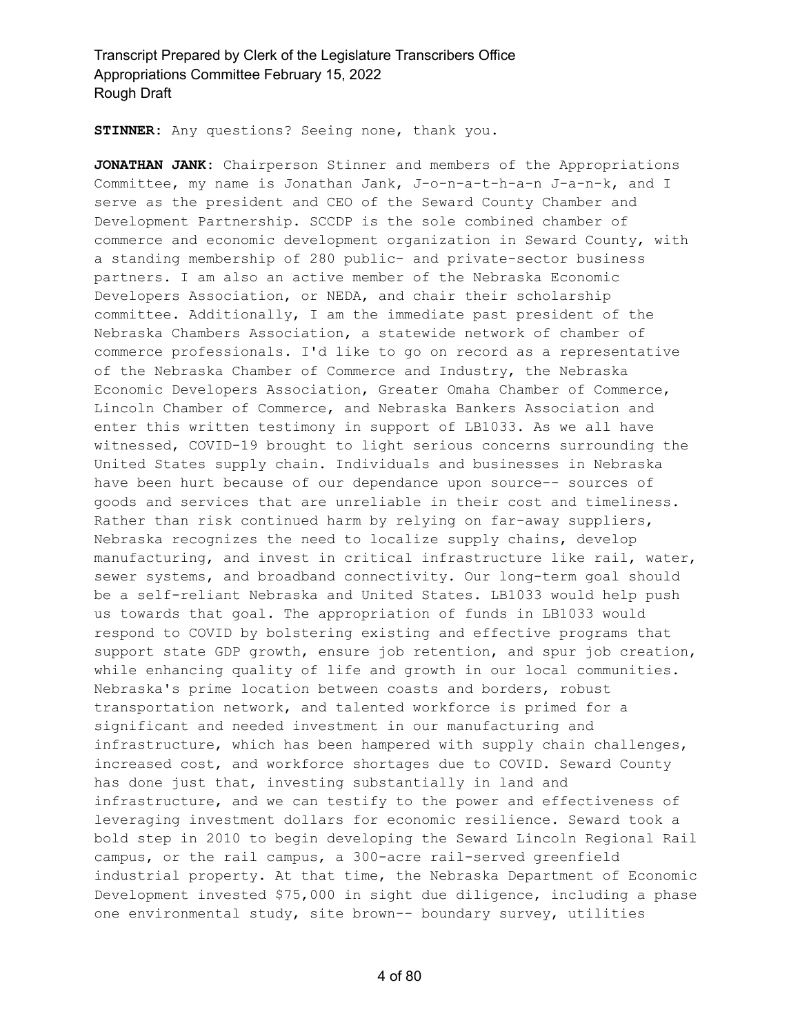**STINNER:** Any questions? Seeing none, thank you.

**JONATHAN JANK:** Chairperson Stinner and members of the Appropriations Committee, my name is Jonathan Jank, J-o-n-a-t-h-a-n J-a-n-k, and I serve as the president and CEO of the Seward County Chamber and Development Partnership. SCCDP is the sole combined chamber of commerce and economic development organization in Seward County, with a standing membership of 280 public- and private-sector business partners. I am also an active member of the Nebraska Economic Developers Association, or NEDA, and chair their scholarship committee. Additionally, I am the immediate past president of the Nebraska Chambers Association, a statewide network of chamber of commerce professionals. I'd like to go on record as a representative of the Nebraska Chamber of Commerce and Industry, the Nebraska Economic Developers Association, Greater Omaha Chamber of Commerce, Lincoln Chamber of Commerce, and Nebraska Bankers Association and enter this written testimony in support of LB1033. As we all have witnessed, COVID-19 brought to light serious concerns surrounding the United States supply chain. Individuals and businesses in Nebraska have been hurt because of our dependance upon source-- sources of goods and services that are unreliable in their cost and timeliness. Rather than risk continued harm by relying on far-away suppliers, Nebraska recognizes the need to localize supply chains, develop manufacturing, and invest in critical infrastructure like rail, water, sewer systems, and broadband connectivity. Our long-term goal should be a self-reliant Nebraska and United States. LB1033 would help push us towards that goal. The appropriation of funds in LB1033 would respond to COVID by bolstering existing and effective programs that support state GDP growth, ensure job retention, and spur job creation, while enhancing quality of life and growth in our local communities. Nebraska's prime location between coasts and borders, robust transportation network, and talented workforce is primed for a significant and needed investment in our manufacturing and infrastructure, which has been hampered with supply chain challenges, increased cost, and workforce shortages due to COVID. Seward County has done just that, investing substantially in land and infrastructure, and we can testify to the power and effectiveness of leveraging investment dollars for economic resilience. Seward took a bold step in 2010 to begin developing the Seward Lincoln Regional Rail campus, or the rail campus, a 300-acre rail-served greenfield industrial property. At that time, the Nebraska Department of Economic Development invested \$75,000 in sight due diligence, including a phase one environmental study, site brown-- boundary survey, utilities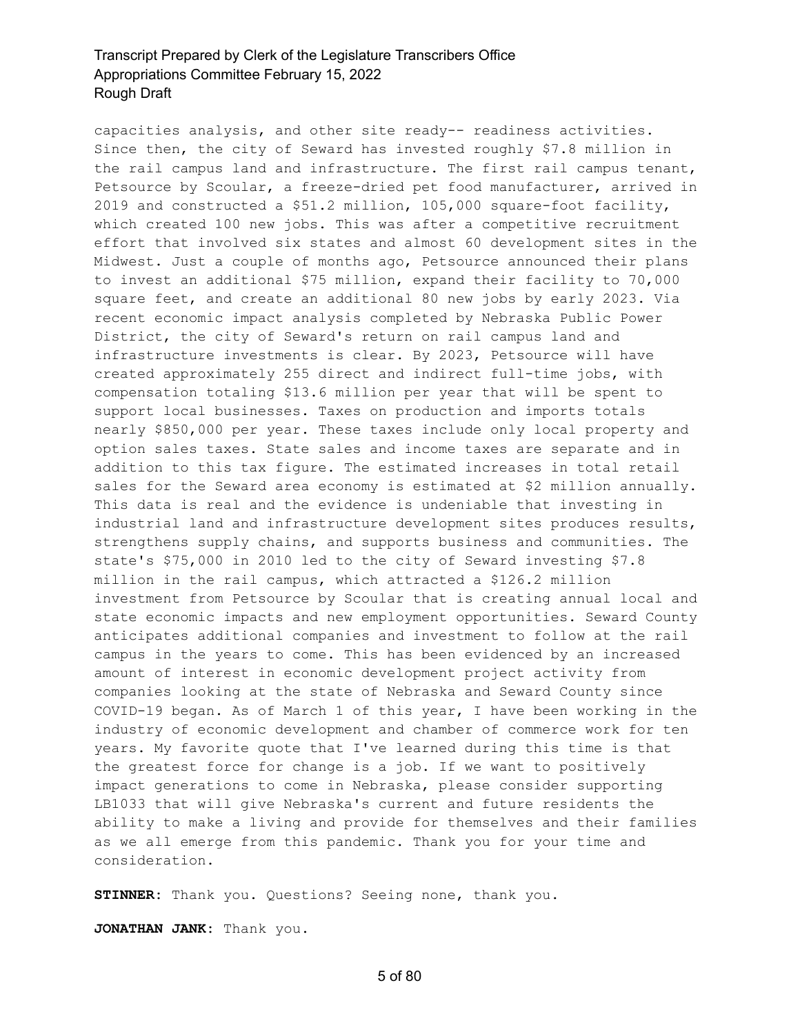capacities analysis, and other site ready-- readiness activities. Since then, the city of Seward has invested roughly \$7.8 million in the rail campus land and infrastructure. The first rail campus tenant, Petsource by Scoular, a freeze-dried pet food manufacturer, arrived in 2019 and constructed a \$51.2 million, 105,000 square-foot facility, which created 100 new jobs. This was after a competitive recruitment effort that involved six states and almost 60 development sites in the Midwest. Just a couple of months ago, Petsource announced their plans to invest an additional \$75 million, expand their facility to 70,000 square feet, and create an additional 80 new jobs by early 2023. Via recent economic impact analysis completed by Nebraska Public Power District, the city of Seward's return on rail campus land and infrastructure investments is clear. By 2023, Petsource will have created approximately 255 direct and indirect full-time jobs, with compensation totaling \$13.6 million per year that will be spent to support local businesses. Taxes on production and imports totals nearly \$850,000 per year. These taxes include only local property and option sales taxes. State sales and income taxes are separate and in addition to this tax figure. The estimated increases in total retail sales for the Seward area economy is estimated at \$2 million annually. This data is real and the evidence is undeniable that investing in industrial land and infrastructure development sites produces results, strengthens supply chains, and supports business and communities. The state's \$75,000 in 2010 led to the city of Seward investing \$7.8 million in the rail campus, which attracted a \$126.2 million investment from Petsource by Scoular that is creating annual local and state economic impacts and new employment opportunities. Seward County anticipates additional companies and investment to follow at the rail campus in the years to come. This has been evidenced by an increased amount of interest in economic development project activity from companies looking at the state of Nebraska and Seward County since COVID-19 began. As of March 1 of this year, I have been working in the industry of economic development and chamber of commerce work for ten years. My favorite quote that I've learned during this time is that the greatest force for change is a job. If we want to positively impact generations to come in Nebraska, please consider supporting LB1033 that will give Nebraska's current and future residents the ability to make a living and provide for themselves and their families as we all emerge from this pandemic. Thank you for your time and consideration.

**STINNER:** Thank you. Questions? Seeing none, thank you.

**JONATHAN JANK:** Thank you.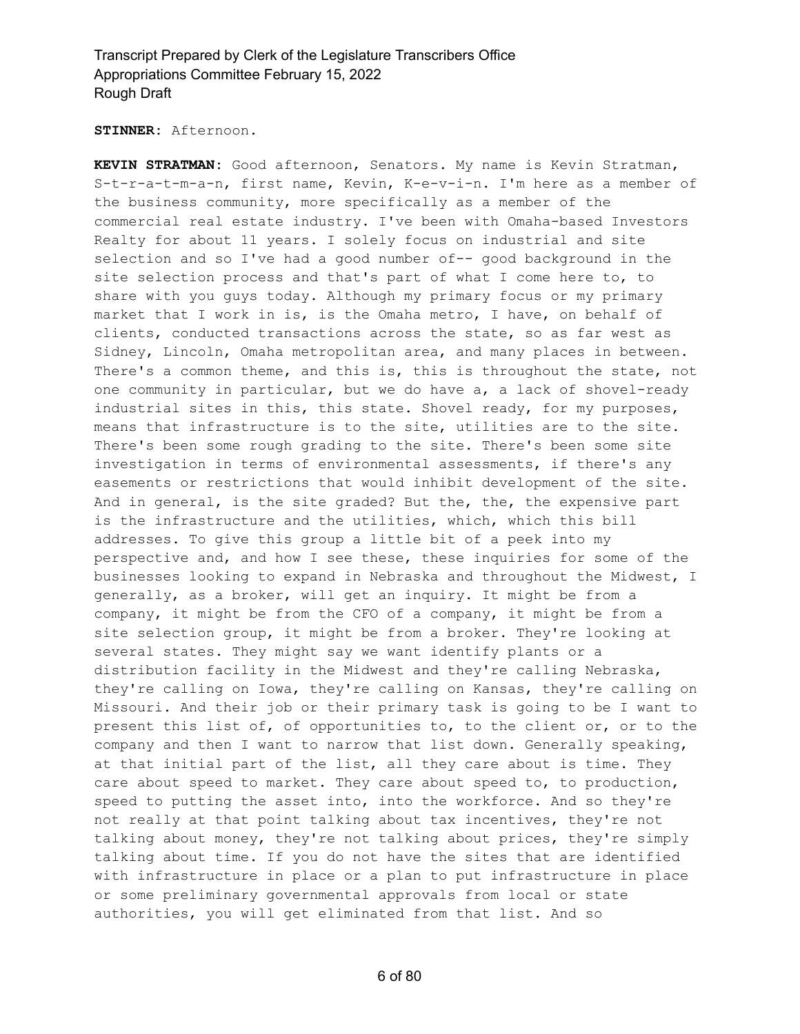#### **STINNER:** Afternoon.

**KEVIN STRATMAN:** Good afternoon, Senators. My name is Kevin Stratman, S-t-r-a-t-m-a-n, first name, Kevin, K-e-v-i-n. I'm here as a member of the business community, more specifically as a member of the commercial real estate industry. I've been with Omaha-based Investors Realty for about 11 years. I solely focus on industrial and site selection and so I've had a good number of-- good background in the site selection process and that's part of what I come here to, to share with you guys today. Although my primary focus or my primary market that I work in is, is the Omaha metro, I have, on behalf of clients, conducted transactions across the state, so as far west as Sidney, Lincoln, Omaha metropolitan area, and many places in between. There's a common theme, and this is, this is throughout the state, not one community in particular, but we do have a, a lack of shovel-ready industrial sites in this, this state. Shovel ready, for my purposes, means that infrastructure is to the site, utilities are to the site. There's been some rough grading to the site. There's been some site investigation in terms of environmental assessments, if there's any easements or restrictions that would inhibit development of the site. And in general, is the site graded? But the, the, the expensive part is the infrastructure and the utilities, which, which this bill addresses. To give this group a little bit of a peek into my perspective and, and how I see these, these inquiries for some of the businesses looking to expand in Nebraska and throughout the Midwest, I generally, as a broker, will get an inquiry. It might be from a company, it might be from the CFO of a company, it might be from a site selection group, it might be from a broker. They're looking at several states. They might say we want identify plants or a distribution facility in the Midwest and they're calling Nebraska, they're calling on Iowa, they're calling on Kansas, they're calling on Missouri. And their job or their primary task is going to be I want to present this list of, of opportunities to, to the client or, or to the company and then I want to narrow that list down. Generally speaking, at that initial part of the list, all they care about is time. They care about speed to market. They care about speed to, to production, speed to putting the asset into, into the workforce. And so they're not really at that point talking about tax incentives, they're not talking about money, they're not talking about prices, they're simply talking about time. If you do not have the sites that are identified with infrastructure in place or a plan to put infrastructure in place or some preliminary governmental approvals from local or state authorities, you will get eliminated from that list. And so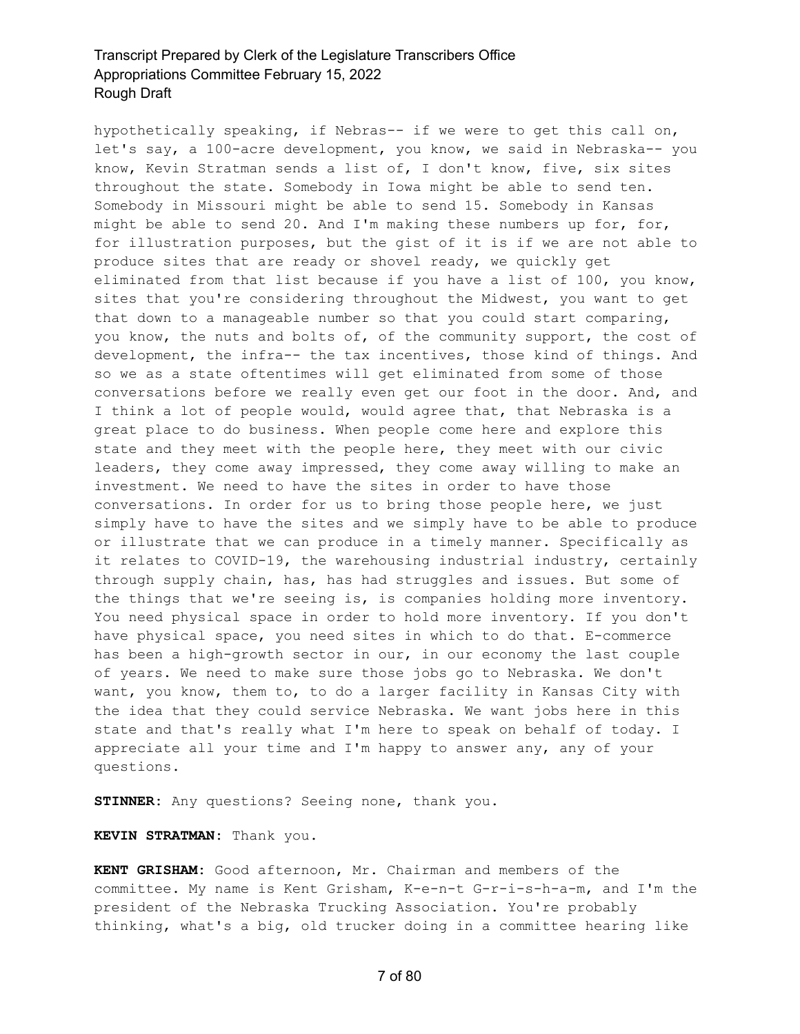hypothetically speaking, if Nebras-- if we were to get this call on, let's say, a 100-acre development, you know, we said in Nebraska-- you know, Kevin Stratman sends a list of, I don't know, five, six sites throughout the state. Somebody in Iowa might be able to send ten. Somebody in Missouri might be able to send 15. Somebody in Kansas might be able to send 20. And I'm making these numbers up for, for, for illustration purposes, but the gist of it is if we are not able to produce sites that are ready or shovel ready, we quickly get eliminated from that list because if you have a list of 100, you know, sites that you're considering throughout the Midwest, you want to get that down to a manageable number so that you could start comparing, you know, the nuts and bolts of, of the community support, the cost of development, the infra-- the tax incentives, those kind of things. And so we as a state oftentimes will get eliminated from some of those conversations before we really even get our foot in the door. And, and I think a lot of people would, would agree that, that Nebraska is a great place to do business. When people come here and explore this state and they meet with the people here, they meet with our civic leaders, they come away impressed, they come away willing to make an investment. We need to have the sites in order to have those conversations. In order for us to bring those people here, we just simply have to have the sites and we simply have to be able to produce or illustrate that we can produce in a timely manner. Specifically as it relates to COVID-19, the warehousing industrial industry, certainly through supply chain, has, has had struggles and issues. But some of the things that we're seeing is, is companies holding more inventory. You need physical space in order to hold more inventory. If you don't have physical space, you need sites in which to do that. E-commerce has been a high-growth sector in our, in our economy the last couple of years. We need to make sure those jobs go to Nebraska. We don't want, you know, them to, to do a larger facility in Kansas City with the idea that they could service Nebraska. We want jobs here in this state and that's really what I'm here to speak on behalf of today. I appreciate all your time and I'm happy to answer any, any of your questions.

**STINNER:** Any questions? Seeing none, thank you.

**KEVIN STRATMAN:** Thank you.

**KENT GRISHAM:** Good afternoon, Mr. Chairman and members of the committee. My name is Kent Grisham, K-e-n-t G-r-i-s-h-a-m, and I'm the president of the Nebraska Trucking Association. You're probably thinking, what's a big, old trucker doing in a committee hearing like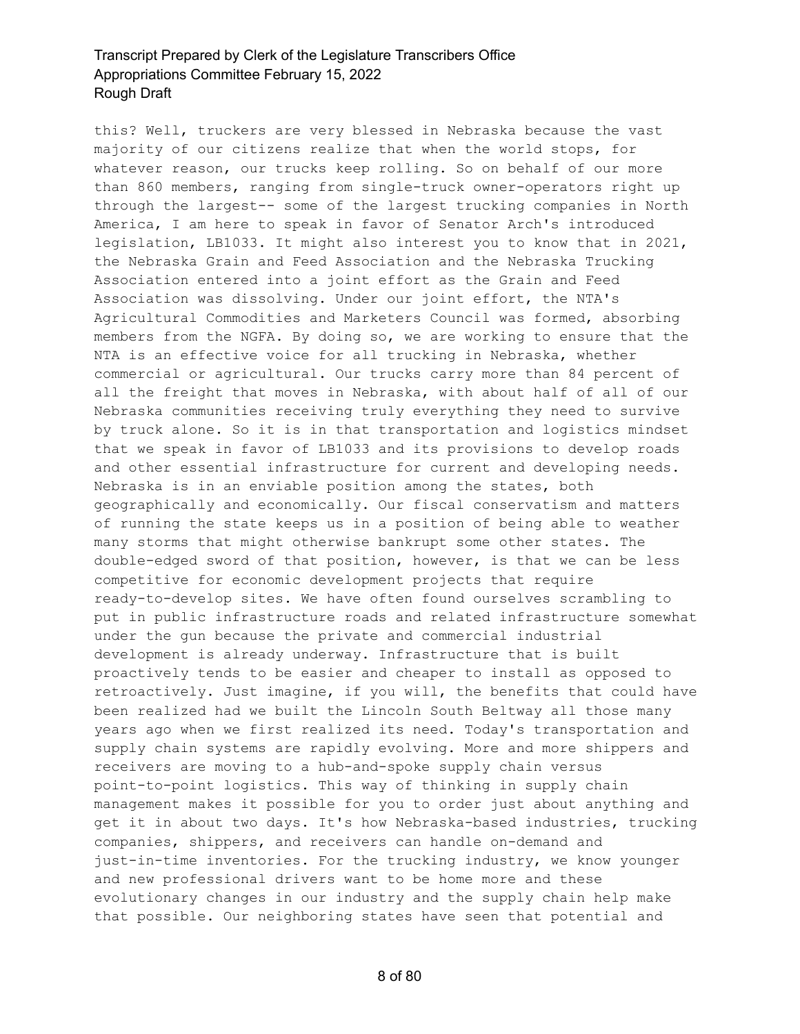this? Well, truckers are very blessed in Nebraska because the vast majority of our citizens realize that when the world stops, for whatever reason, our trucks keep rolling. So on behalf of our more than 860 members, ranging from single-truck owner-operators right up through the largest-- some of the largest trucking companies in North America, I am here to speak in favor of Senator Arch's introduced legislation, LB1033. It might also interest you to know that in 2021, the Nebraska Grain and Feed Association and the Nebraska Trucking Association entered into a joint effort as the Grain and Feed Association was dissolving. Under our joint effort, the NTA's Agricultural Commodities and Marketers Council was formed, absorbing members from the NGFA. By doing so, we are working to ensure that the NTA is an effective voice for all trucking in Nebraska, whether commercial or agricultural. Our trucks carry more than 84 percent of all the freight that moves in Nebraska, with about half of all of our Nebraska communities receiving truly everything they need to survive by truck alone. So it is in that transportation and logistics mindset that we speak in favor of LB1033 and its provisions to develop roads and other essential infrastructure for current and developing needs. Nebraska is in an enviable position among the states, both geographically and economically. Our fiscal conservatism and matters of running the state keeps us in a position of being able to weather many storms that might otherwise bankrupt some other states. The double-edged sword of that position, however, is that we can be less competitive for economic development projects that require ready-to-develop sites. We have often found ourselves scrambling to put in public infrastructure roads and related infrastructure somewhat under the gun because the private and commercial industrial development is already underway. Infrastructure that is built proactively tends to be easier and cheaper to install as opposed to retroactively. Just imagine, if you will, the benefits that could have been realized had we built the Lincoln South Beltway all those many years ago when we first realized its need. Today's transportation and supply chain systems are rapidly evolving. More and more shippers and receivers are moving to a hub-and-spoke supply chain versus point-to-point logistics. This way of thinking in supply chain management makes it possible for you to order just about anything and get it in about two days. It's how Nebraska-based industries, trucking companies, shippers, and receivers can handle on-demand and just-in-time inventories. For the trucking industry, we know younger and new professional drivers want to be home more and these evolutionary changes in our industry and the supply chain help make that possible. Our neighboring states have seen that potential and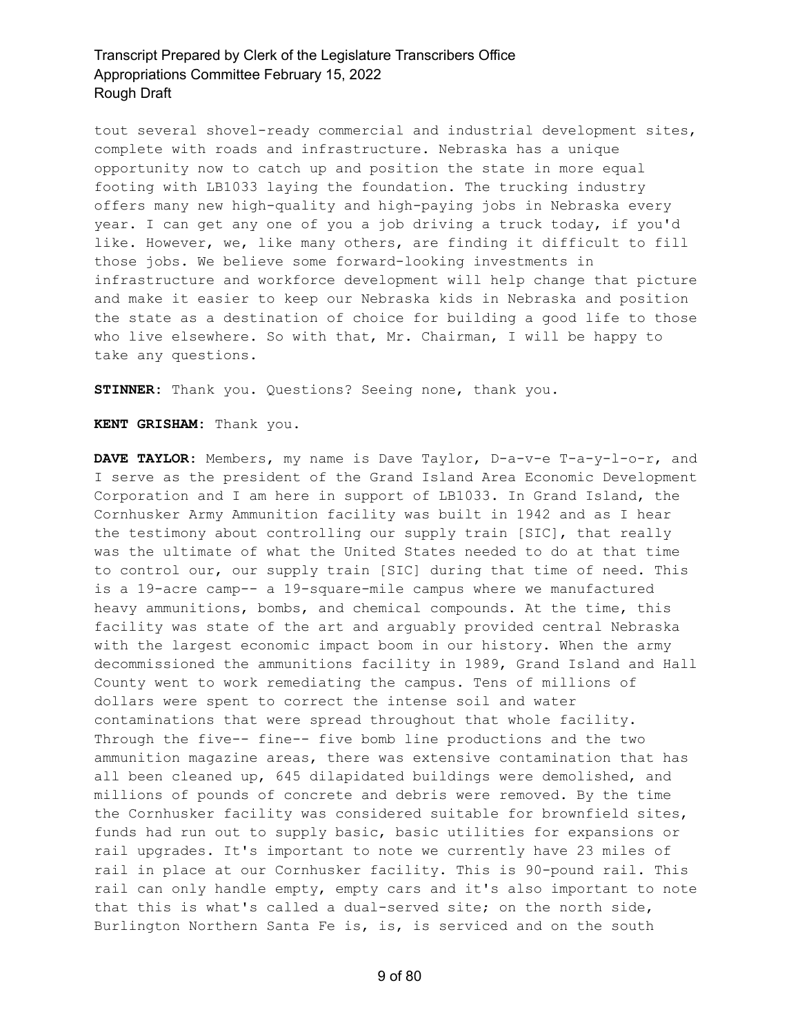tout several shovel-ready commercial and industrial development sites, complete with roads and infrastructure. Nebraska has a unique opportunity now to catch up and position the state in more equal footing with LB1033 laying the foundation. The trucking industry offers many new high-quality and high-paying jobs in Nebraska every year. I can get any one of you a job driving a truck today, if you'd like. However, we, like many others, are finding it difficult to fill those jobs. We believe some forward-looking investments in infrastructure and workforce development will help change that picture and make it easier to keep our Nebraska kids in Nebraska and position the state as a destination of choice for building a good life to those who live elsewhere. So with that, Mr. Chairman, I will be happy to take any questions.

**STINNER:** Thank you. Questions? Seeing none, thank you.

**KENT GRISHAM:** Thank you.

**DAVE TAYLOR:** Members, my name is Dave Taylor, D-a-v-e T-a-y-l-o-r, and I serve as the president of the Grand Island Area Economic Development Corporation and I am here in support of LB1033. In Grand Island, the Cornhusker Army Ammunition facility was built in 1942 and as I hear the testimony about controlling our supply train [SIC], that really was the ultimate of what the United States needed to do at that time to control our, our supply train [SIC] during that time of need. This is a 19-acre camp-- a 19-square-mile campus where we manufactured heavy ammunitions, bombs, and chemical compounds. At the time, this facility was state of the art and arguably provided central Nebraska with the largest economic impact boom in our history. When the army decommissioned the ammunitions facility in 1989, Grand Island and Hall County went to work remediating the campus. Tens of millions of dollars were spent to correct the intense soil and water contaminations that were spread throughout that whole facility. Through the five-- fine-- five bomb line productions and the two ammunition magazine areas, there was extensive contamination that has all been cleaned up, 645 dilapidated buildings were demolished, and millions of pounds of concrete and debris were removed. By the time the Cornhusker facility was considered suitable for brownfield sites, funds had run out to supply basic, basic utilities for expansions or rail upgrades. It's important to note we currently have 23 miles of rail in place at our Cornhusker facility. This is 90-pound rail. This rail can only handle empty, empty cars and it's also important to note that this is what's called a dual-served site; on the north side, Burlington Northern Santa Fe is, is, is serviced and on the south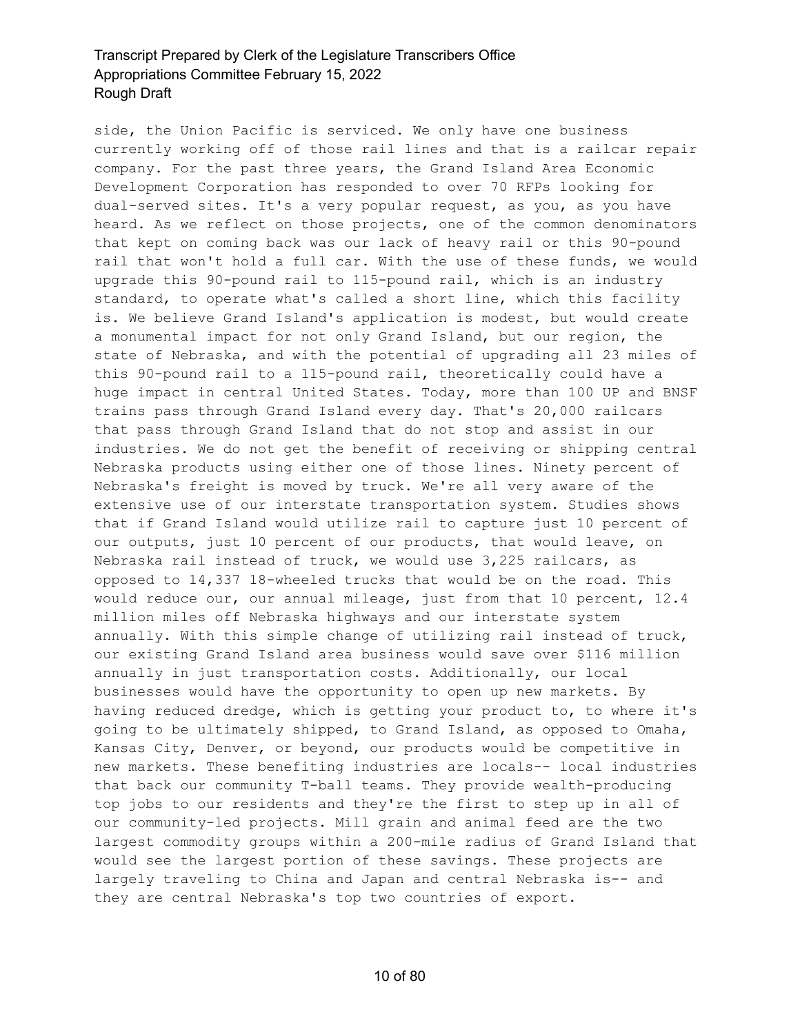side, the Union Pacific is serviced. We only have one business currently working off of those rail lines and that is a railcar repair company. For the past three years, the Grand Island Area Economic Development Corporation has responded to over 70 RFPs looking for dual-served sites. It's a very popular request, as you, as you have heard. As we reflect on those projects, one of the common denominators that kept on coming back was our lack of heavy rail or this 90-pound rail that won't hold a full car. With the use of these funds, we would upgrade this 90-pound rail to 115-pound rail, which is an industry standard, to operate what's called a short line, which this facility is. We believe Grand Island's application is modest, but would create a monumental impact for not only Grand Island, but our region, the state of Nebraska, and with the potential of upgrading all 23 miles of this 90-pound rail to a 115-pound rail, theoretically could have a huge impact in central United States. Today, more than 100 UP and BNSF trains pass through Grand Island every day. That's 20,000 railcars that pass through Grand Island that do not stop and assist in our industries. We do not get the benefit of receiving or shipping central Nebraska products using either one of those lines. Ninety percent of Nebraska's freight is moved by truck. We're all very aware of the extensive use of our interstate transportation system. Studies shows that if Grand Island would utilize rail to capture just 10 percent of our outputs, just 10 percent of our products, that would leave, on Nebraska rail instead of truck, we would use 3,225 railcars, as opposed to 14,337 18-wheeled trucks that would be on the road. This would reduce our, our annual mileage, just from that 10 percent, 12.4 million miles off Nebraska highways and our interstate system annually. With this simple change of utilizing rail instead of truck, our existing Grand Island area business would save over \$116 million annually in just transportation costs. Additionally, our local businesses would have the opportunity to open up new markets. By having reduced dredge, which is getting your product to, to where it's going to be ultimately shipped, to Grand Island, as opposed to Omaha, Kansas City, Denver, or beyond, our products would be competitive in new markets. These benefiting industries are locals-- local industries that back our community T-ball teams. They provide wealth-producing top jobs to our residents and they're the first to step up in all of our community-led projects. Mill grain and animal feed are the two largest commodity groups within a 200-mile radius of Grand Island that would see the largest portion of these savings. These projects are largely traveling to China and Japan and central Nebraska is-- and they are central Nebraska's top two countries of export.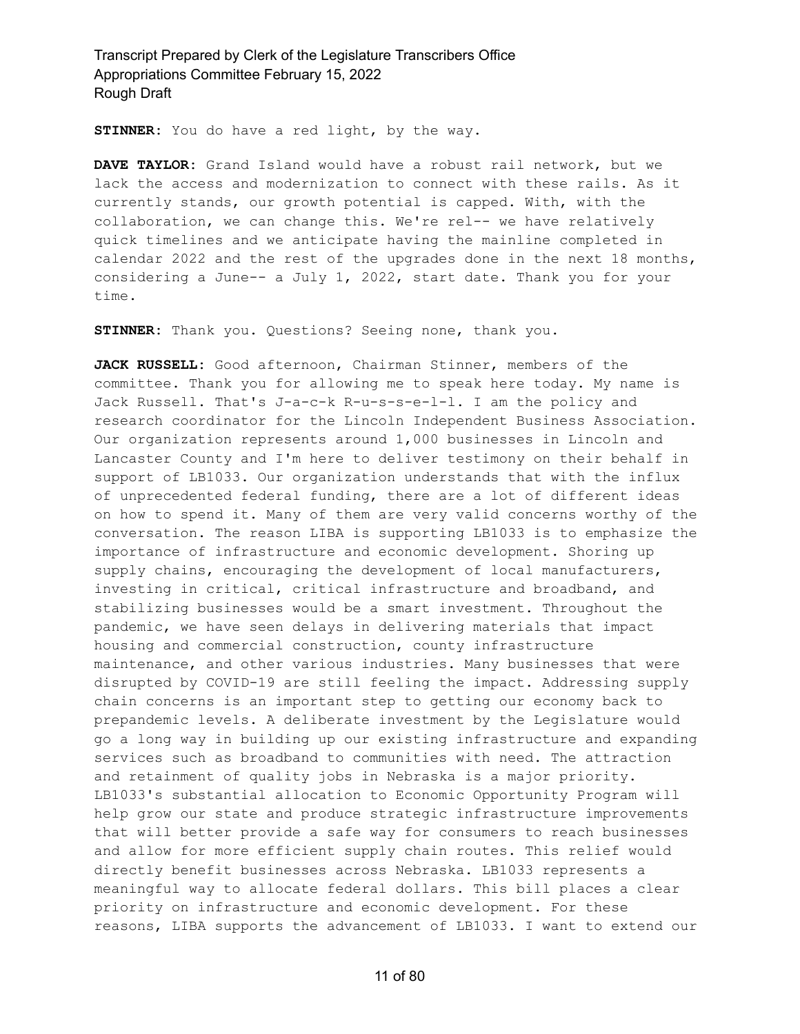**STINNER:** You do have a red light, by the way.

**DAVE TAYLOR:** Grand Island would have a robust rail network, but we lack the access and modernization to connect with these rails. As it currently stands, our growth potential is capped. With, with the collaboration, we can change this. We're rel-- we have relatively quick timelines and we anticipate having the mainline completed in calendar 2022 and the rest of the upgrades done in the next 18 months, considering a June-- a July 1, 2022, start date. Thank you for your time.

**STINNER:** Thank you. Questions? Seeing none, thank you.

**JACK RUSSELL:** Good afternoon, Chairman Stinner, members of the committee. Thank you for allowing me to speak here today. My name is Jack Russell. That's J-a-c-k R-u-s-s-e-l-l. I am the policy and research coordinator for the Lincoln Independent Business Association. Our organization represents around 1,000 businesses in Lincoln and Lancaster County and I'm here to deliver testimony on their behalf in support of LB1033. Our organization understands that with the influx of unprecedented federal funding, there are a lot of different ideas on how to spend it. Many of them are very valid concerns worthy of the conversation. The reason LIBA is supporting LB1033 is to emphasize the importance of infrastructure and economic development. Shoring up supply chains, encouraging the development of local manufacturers, investing in critical, critical infrastructure and broadband, and stabilizing businesses would be a smart investment. Throughout the pandemic, we have seen delays in delivering materials that impact housing and commercial construction, county infrastructure maintenance, and other various industries. Many businesses that were disrupted by COVID-19 are still feeling the impact. Addressing supply chain concerns is an important step to getting our economy back to prepandemic levels. A deliberate investment by the Legislature would go a long way in building up our existing infrastructure and expanding services such as broadband to communities with need. The attraction and retainment of quality jobs in Nebraska is a major priority. LB1033's substantial allocation to Economic Opportunity Program will help grow our state and produce strategic infrastructure improvements that will better provide a safe way for consumers to reach businesses and allow for more efficient supply chain routes. This relief would directly benefit businesses across Nebraska. LB1033 represents a meaningful way to allocate federal dollars. This bill places a clear priority on infrastructure and economic development. For these reasons, LIBA supports the advancement of LB1033. I want to extend our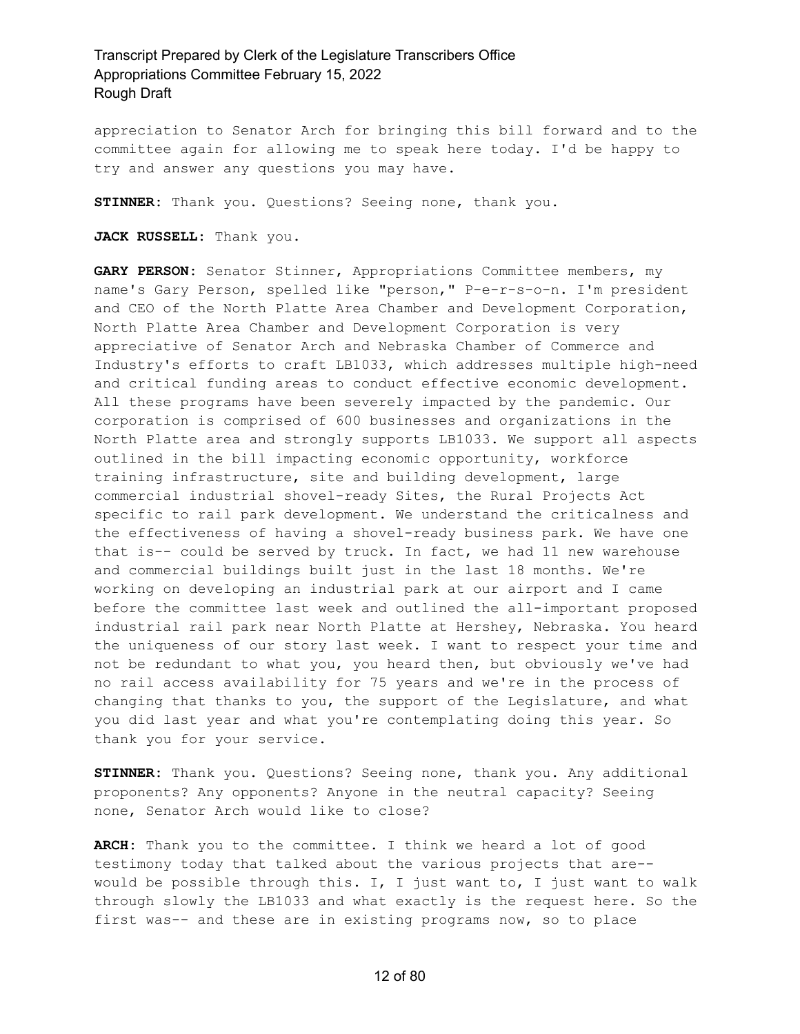appreciation to Senator Arch for bringing this bill forward and to the committee again for allowing me to speak here today. I'd be happy to try and answer any questions you may have.

**STINNER:** Thank you. Questions? Seeing none, thank you.

**JACK RUSSELL:** Thank you.

**GARY PERSON:** Senator Stinner, Appropriations Committee members, my name's Gary Person, spelled like "person," P-e-r-s-o-n. I'm president and CEO of the North Platte Area Chamber and Development Corporation, North Platte Area Chamber and Development Corporation is very appreciative of Senator Arch and Nebraska Chamber of Commerce and Industry's efforts to craft LB1033, which addresses multiple high-need and critical funding areas to conduct effective economic development. All these programs have been severely impacted by the pandemic. Our corporation is comprised of 600 businesses and organizations in the North Platte area and strongly supports LB1033. We support all aspects outlined in the bill impacting economic opportunity, workforce training infrastructure, site and building development, large commercial industrial shovel-ready Sites, the Rural Projects Act specific to rail park development. We understand the criticalness and the effectiveness of having a shovel-ready business park. We have one that is-- could be served by truck. In fact, we had 11 new warehouse and commercial buildings built just in the last 18 months. We're working on developing an industrial park at our airport and I came before the committee last week and outlined the all-important proposed industrial rail park near North Platte at Hershey, Nebraska. You heard the uniqueness of our story last week. I want to respect your time and not be redundant to what you, you heard then, but obviously we've had no rail access availability for 75 years and we're in the process of changing that thanks to you, the support of the Legislature, and what you did last year and what you're contemplating doing this year. So thank you for your service.

**STINNER:** Thank you. Questions? Seeing none, thank you. Any additional proponents? Any opponents? Anyone in the neutral capacity? Seeing none, Senator Arch would like to close?

**ARCH:** Thank you to the committee. I think we heard a lot of good testimony today that talked about the various projects that are- would be possible through this. I, I just want to, I just want to walk through slowly the LB1033 and what exactly is the request here. So the first was-- and these are in existing programs now, so to place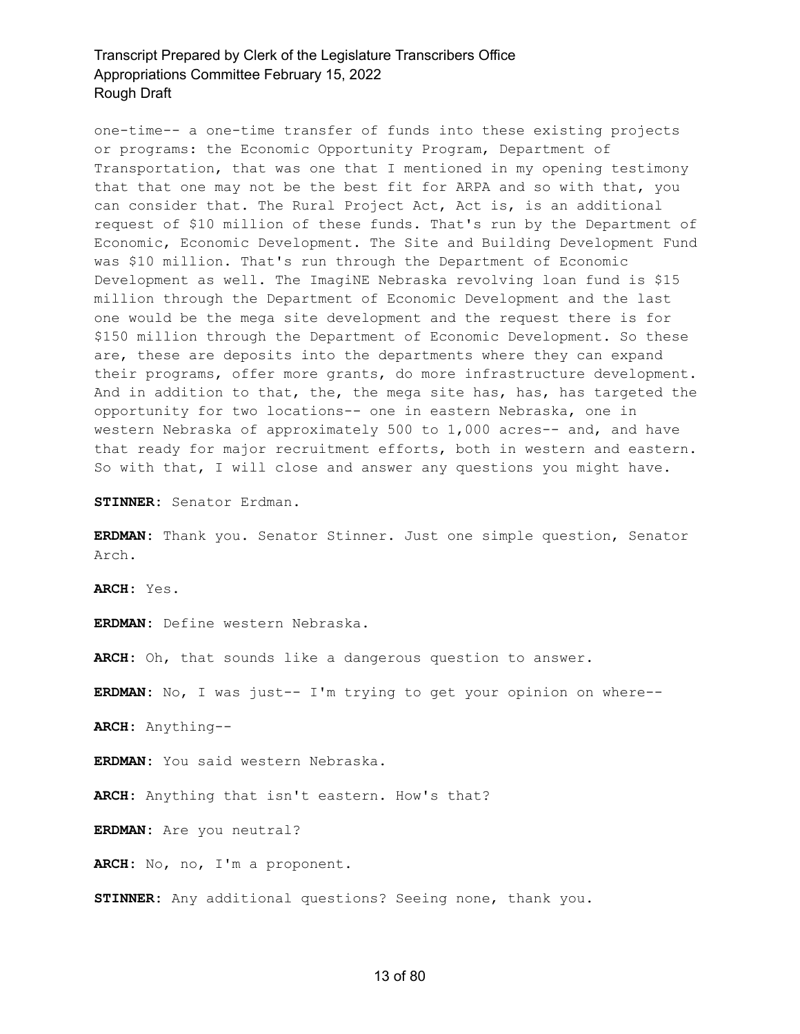one-time-- a one-time transfer of funds into these existing projects or programs: the Economic Opportunity Program, Department of Transportation, that was one that I mentioned in my opening testimony that that one may not be the best fit for ARPA and so with that, you can consider that. The Rural Project Act, Act is, is an additional request of \$10 million of these funds. That's run by the Department of Economic, Economic Development. The Site and Building Development Fund was \$10 million. That's run through the Department of Economic Development as well. The ImagiNE Nebraska revolving loan fund is \$15 million through the Department of Economic Development and the last one would be the mega site development and the request there is for \$150 million through the Department of Economic Development. So these are, these are deposits into the departments where they can expand their programs, offer more grants, do more infrastructure development. And in addition to that, the, the mega site has, has, has targeted the opportunity for two locations-- one in eastern Nebraska, one in western Nebraska of approximately 500 to 1,000 acres-- and, and have that ready for major recruitment efforts, both in western and eastern. So with that, I will close and answer any questions you might have.

**STINNER:** Senator Erdman.

**ERDMAN:** Thank you. Senator Stinner. Just one simple question, Senator Arch.

**ARCH:** Yes.

**ERDMAN:** Define western Nebraska.

**ARCH:** Oh, that sounds like a dangerous question to answer.

**ERDMAN:** No, I was just-- I'm trying to get your opinion on where--

**ARCH:** Anything--

**ERDMAN:** You said western Nebraska.

**ARCH:** Anything that isn't eastern. How's that?

**ERDMAN:** Are you neutral?

**ARCH:** No, no, I'm a proponent.

**STINNER:** Any additional questions? Seeing none, thank you.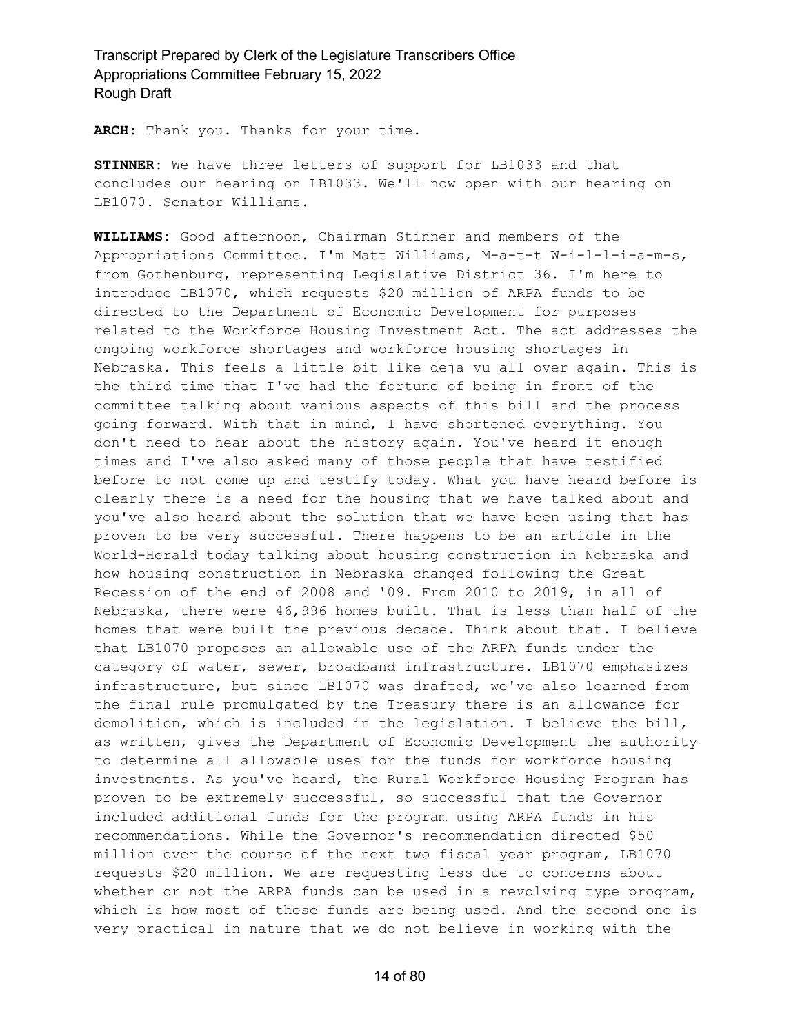**ARCH:** Thank you. Thanks for your time.

**STINNER:** We have three letters of support for LB1033 and that concludes our hearing on LB1033. We'll now open with our hearing on LB1070. Senator Williams.

**WILLIAMS:** Good afternoon, Chairman Stinner and members of the Appropriations Committee. I'm Matt Williams, M-a-t-t W-i-l-l-i-a-m-s, from Gothenburg, representing Legislative District 36. I'm here to introduce LB1070, which requests \$20 million of ARPA funds to be directed to the Department of Economic Development for purposes related to the Workforce Housing Investment Act. The act addresses the ongoing workforce shortages and workforce housing shortages in Nebraska. This feels a little bit like deja vu all over again. This is the third time that I've had the fortune of being in front of the committee talking about various aspects of this bill and the process going forward. With that in mind, I have shortened everything. You don't need to hear about the history again. You've heard it enough times and I've also asked many of those people that have testified before to not come up and testify today. What you have heard before is clearly there is a need for the housing that we have talked about and you've also heard about the solution that we have been using that has proven to be very successful. There happens to be an article in the World-Herald today talking about housing construction in Nebraska and how housing construction in Nebraska changed following the Great Recession of the end of 2008 and '09. From 2010 to 2019, in all of Nebraska, there were 46,996 homes built. That is less than half of the homes that were built the previous decade. Think about that. I believe that LB1070 proposes an allowable use of the ARPA funds under the category of water, sewer, broadband infrastructure. LB1070 emphasizes infrastructure, but since LB1070 was drafted, we've also learned from the final rule promulgated by the Treasury there is an allowance for demolition, which is included in the legislation. I believe the bill, as written, gives the Department of Economic Development the authority to determine all allowable uses for the funds for workforce housing investments. As you've heard, the Rural Workforce Housing Program has proven to be extremely successful, so successful that the Governor included additional funds for the program using ARPA funds in his recommendations. While the Governor's recommendation directed \$50 million over the course of the next two fiscal year program, LB1070 requests \$20 million. We are requesting less due to concerns about whether or not the ARPA funds can be used in a revolving type program, which is how most of these funds are being used. And the second one is very practical in nature that we do not believe in working with the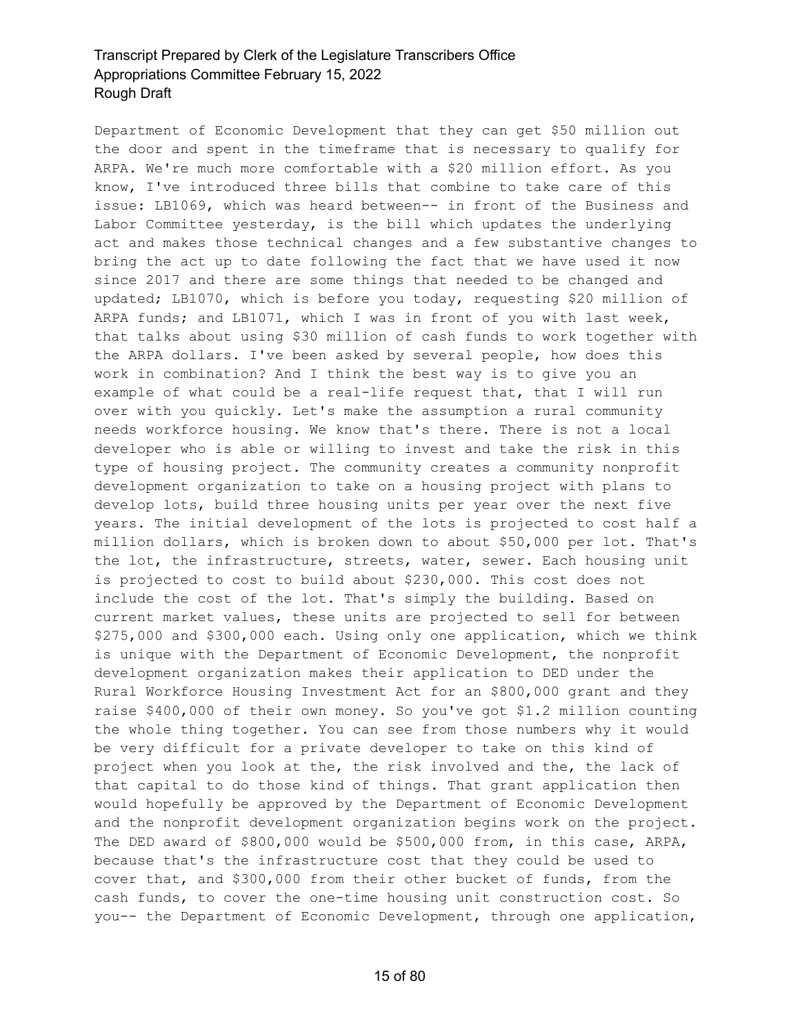Department of Economic Development that they can get \$50 million out the door and spent in the timeframe that is necessary to qualify for ARPA. We're much more comfortable with a \$20 million effort. As you know, I've introduced three bills that combine to take care of this issue: LB1069, which was heard between-- in front of the Business and Labor Committee yesterday, is the bill which updates the underlying act and makes those technical changes and a few substantive changes to bring the act up to date following the fact that we have used it now since 2017 and there are some things that needed to be changed and updated; LB1070, which is before you today, requesting \$20 million of ARPA funds; and LB1071, which I was in front of you with last week, that talks about using \$30 million of cash funds to work together with the ARPA dollars. I've been asked by several people, how does this work in combination? And I think the best way is to give you an example of what could be a real-life request that, that I will run over with you quickly. Let's make the assumption a rural community needs workforce housing. We know that's there. There is not a local developer who is able or willing to invest and take the risk in this type of housing project. The community creates a community nonprofit development organization to take on a housing project with plans to develop lots, build three housing units per year over the next five years. The initial development of the lots is projected to cost half a million dollars, which is broken down to about \$50,000 per lot. That's the lot, the infrastructure, streets, water, sewer. Each housing unit is projected to cost to build about \$230,000. This cost does not include the cost of the lot. That's simply the building. Based on current market values, these units are projected to sell for between \$275,000 and \$300,000 each. Using only one application, which we think is unique with the Department of Economic Development, the nonprofit development organization makes their application to DED under the Rural Workforce Housing Investment Act for an \$800,000 grant and they raise \$400,000 of their own money. So you've got \$1.2 million counting the whole thing together. You can see from those numbers why it would be very difficult for a private developer to take on this kind of project when you look at the, the risk involved and the, the lack of that capital to do those kind of things. That grant application then would hopefully be approved by the Department of Economic Development and the nonprofit development organization begins work on the project. The DED award of \$800,000 would be \$500,000 from, in this case, ARPA, because that's the infrastructure cost that they could be used to cover that, and \$300,000 from their other bucket of funds, from the cash funds, to cover the one-time housing unit construction cost. So you-- the Department of Economic Development, through one application,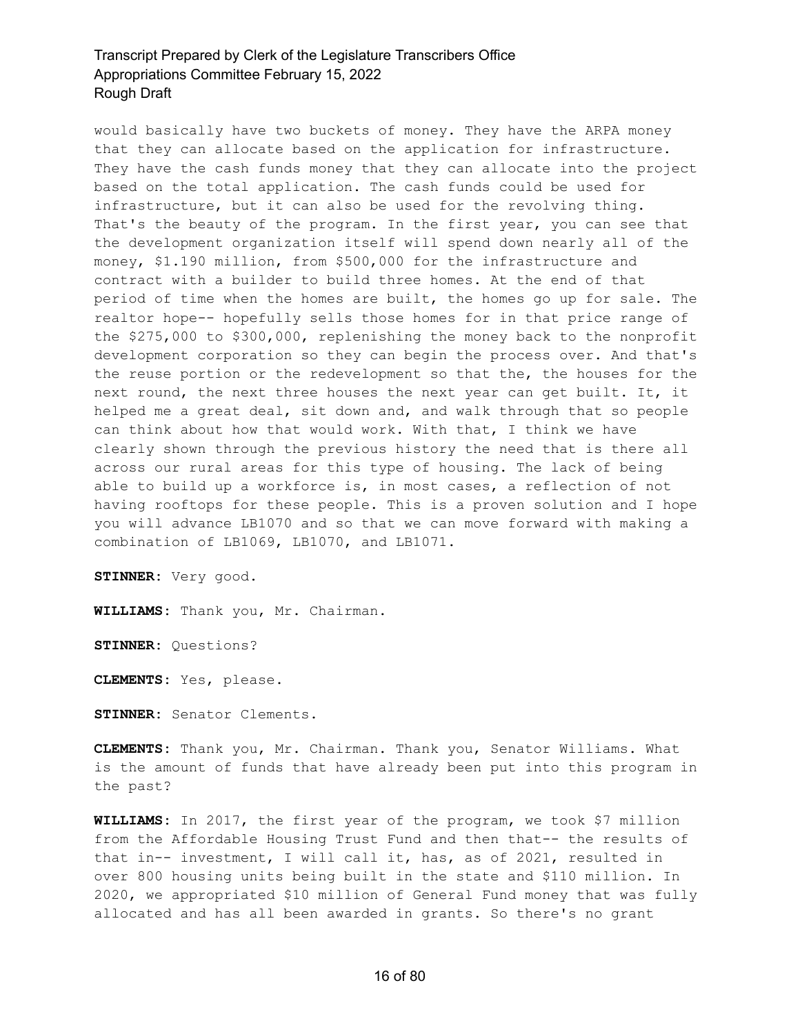would basically have two buckets of money. They have the ARPA money that they can allocate based on the application for infrastructure. They have the cash funds money that they can allocate into the project based on the total application. The cash funds could be used for infrastructure, but it can also be used for the revolving thing. That's the beauty of the program. In the first year, you can see that the development organization itself will spend down nearly all of the money, \$1.190 million, from \$500,000 for the infrastructure and contract with a builder to build three homes. At the end of that period of time when the homes are built, the homes go up for sale. The realtor hope-- hopefully sells those homes for in that price range of the \$275,000 to \$300,000, replenishing the money back to the nonprofit development corporation so they can begin the process over. And that's the reuse portion or the redevelopment so that the, the houses for the next round, the next three houses the next year can get built. It, it helped me a great deal, sit down and, and walk through that so people can think about how that would work. With that, I think we have clearly shown through the previous history the need that is there all across our rural areas for this type of housing. The lack of being able to build up a workforce is, in most cases, a reflection of not having rooftops for these people. This is a proven solution and I hope you will advance LB1070 and so that we can move forward with making a combination of LB1069, LB1070, and LB1071.

**STINNER:** Very good.

**WILLIAMS:** Thank you, Mr. Chairman.

**STINNER:** Questions?

**CLEMENTS:** Yes, please.

**STINNER:** Senator Clements.

**CLEMENTS:** Thank you, Mr. Chairman. Thank you, Senator Williams. What is the amount of funds that have already been put into this program in the past?

**WILLIAMS:** In 2017, the first year of the program, we took \$7 million from the Affordable Housing Trust Fund and then that-- the results of that in-- investment, I will call it, has, as of 2021, resulted in over 800 housing units being built in the state and \$110 million. In 2020, we appropriated \$10 million of General Fund money that was fully allocated and has all been awarded in grants. So there's no grant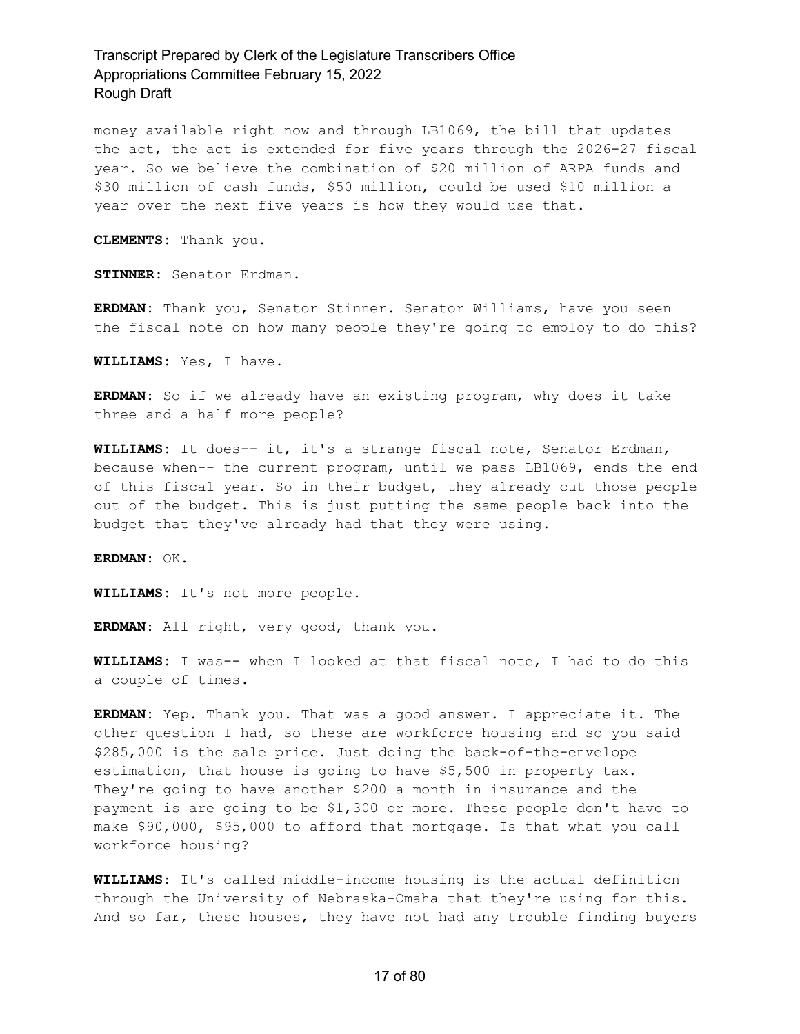money available right now and through LB1069, the bill that updates the act, the act is extended for five years through the 2026-27 fiscal year. So we believe the combination of \$20 million of ARPA funds and \$30 million of cash funds, \$50 million, could be used \$10 million a year over the next five years is how they would use that.

**CLEMENTS:** Thank you.

**STINNER:** Senator Erdman.

**ERDMAN:** Thank you, Senator Stinner. Senator Williams, have you seen the fiscal note on how many people they're going to employ to do this?

**WILLIAMS:** Yes, I have.

**ERDMAN:** So if we already have an existing program, why does it take three and a half more people?

**WILLIAMS:** It does-- it, it's a strange fiscal note, Senator Erdman, because when-- the current program, until we pass LB1069, ends the end of this fiscal year. So in their budget, they already cut those people out of the budget. This is just putting the same people back into the budget that they've already had that they were using.

**ERDMAN:** OK.

**WILLIAMS:** It's not more people.

**ERDMAN:** All right, very good, thank you.

**WILLIAMS:** I was-- when I looked at that fiscal note, I had to do this a couple of times.

**ERDMAN:** Yep. Thank you. That was a good answer. I appreciate it. The other question I had, so these are workforce housing and so you said \$285,000 is the sale price. Just doing the back-of-the-envelope estimation, that house is going to have \$5,500 in property tax. They're going to have another \$200 a month in insurance and the payment is are going to be \$1,300 or more. These people don't have to make \$90,000, \$95,000 to afford that mortgage. Is that what you call workforce housing?

**WILLIAMS:** It's called middle-income housing is the actual definition through the University of Nebraska-Omaha that they're using for this. And so far, these houses, they have not had any trouble finding buyers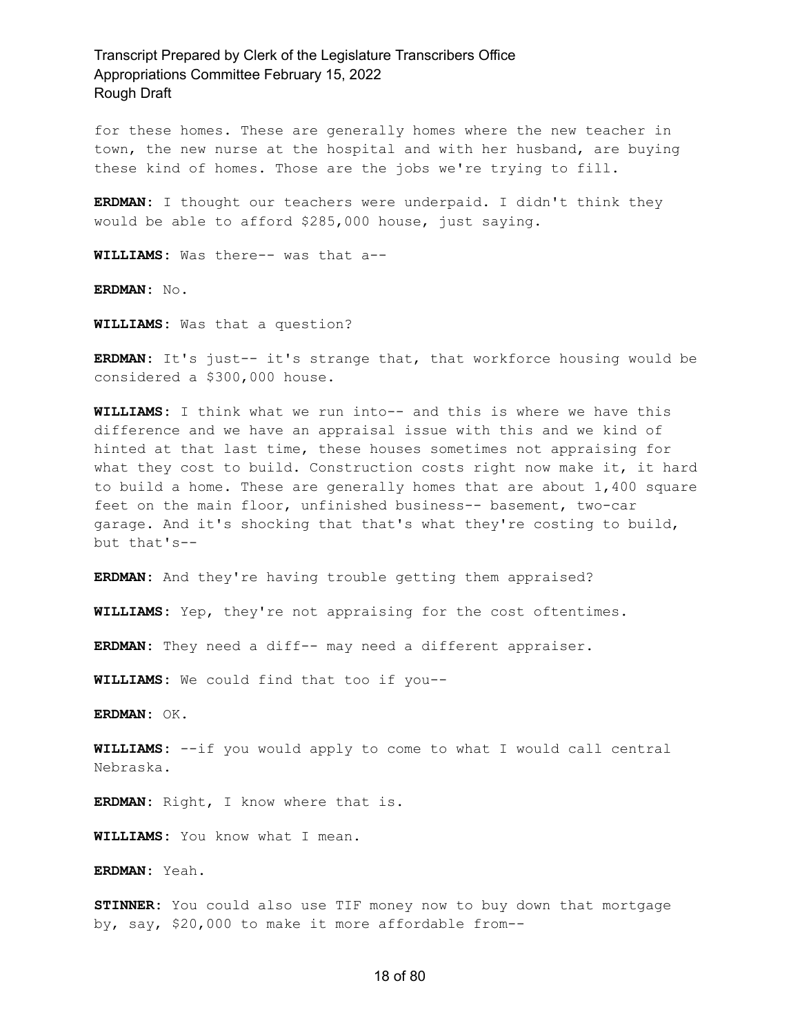for these homes. These are generally homes where the new teacher in town, the new nurse at the hospital and with her husband, are buying these kind of homes. Those are the jobs we're trying to fill.

**ERDMAN:** I thought our teachers were underpaid. I didn't think they would be able to afford \$285,000 house, just saying.

**WILLIAMS:** Was there-- was that a--

**ERDMAN:** No.

**WILLIAMS:** Was that a question?

**ERDMAN:** It's just-- it's strange that, that workforce housing would be considered a \$300,000 house.

**WILLIAMS:** I think what we run into-- and this is where we have this difference and we have an appraisal issue with this and we kind of hinted at that last time, these houses sometimes not appraising for what they cost to build. Construction costs right now make it, it hard to build a home. These are generally homes that are about  $1,400$  square feet on the main floor, unfinished business-- basement, two-car garage. And it's shocking that that's what they're costing to build, but that's--

**ERDMAN:** And they're having trouble getting them appraised?

**WILLIAMS:** Yep, they're not appraising for the cost oftentimes.

**ERDMAN:** They need a diff-- may need a different appraiser.

**WILLIAMS:** We could find that too if you--

**ERDMAN:** OK.

**WILLIAMS:** --if you would apply to come to what I would call central Nebraska.

**ERDMAN:** Right, I know where that is.

**WILLIAMS:** You know what I mean.

**ERDMAN:** Yeah.

**STINNER:** You could also use TIF money now to buy down that mortgage by, say, \$20,000 to make it more affordable from--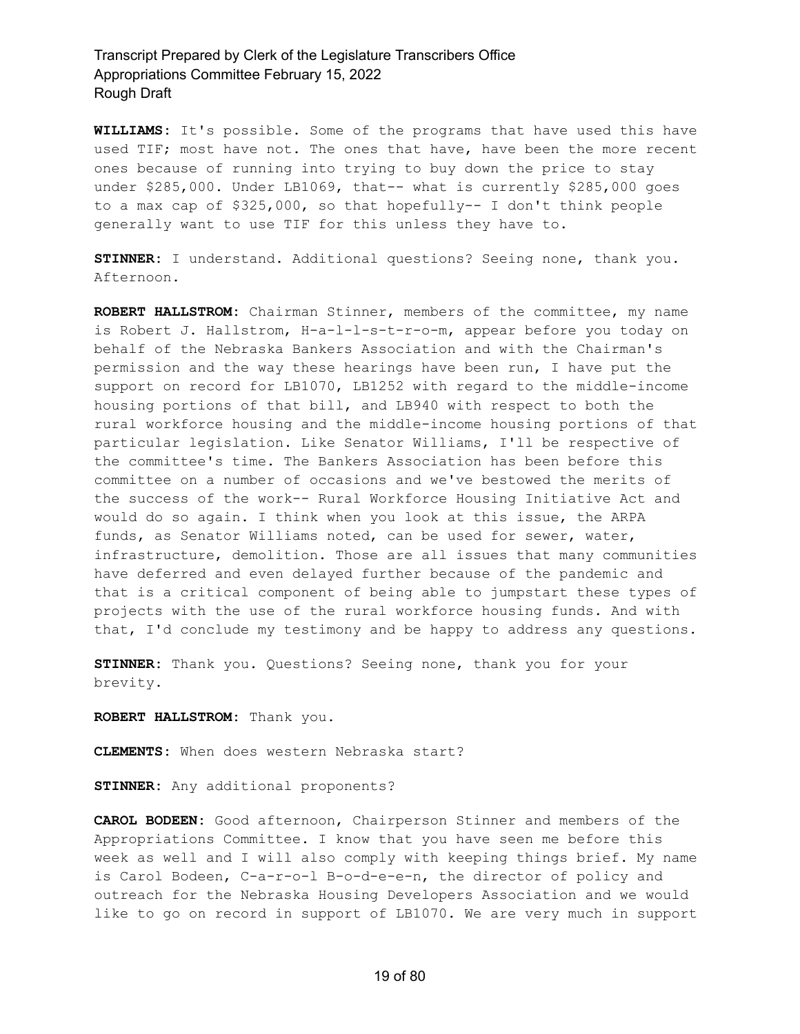**WILLIAMS:** It's possible. Some of the programs that have used this have used TIF; most have not. The ones that have, have been the more recent ones because of running into trying to buy down the price to stay under \$285,000. Under LB1069, that-- what is currently \$285,000 goes to a max cap of \$325,000, so that hopefully-- I don't think people generally want to use TIF for this unless they have to.

**STINNER:** I understand. Additional questions? Seeing none, thank you. Afternoon.

**ROBERT HALLSTROM:** Chairman Stinner, members of the committee, my name is Robert J. Hallstrom, H-a-l-l-s-t-r-o-m, appear before you today on behalf of the Nebraska Bankers Association and with the Chairman's permission and the way these hearings have been run, I have put the support on record for LB1070, LB1252 with regard to the middle-income housing portions of that bill, and LB940 with respect to both the rural workforce housing and the middle-income housing portions of that particular legislation. Like Senator Williams, I'll be respective of the committee's time. The Bankers Association has been before this committee on a number of occasions and we've bestowed the merits of the success of the work-- Rural Workforce Housing Initiative Act and would do so again. I think when you look at this issue, the ARPA funds, as Senator Williams noted, can be used for sewer, water, infrastructure, demolition. Those are all issues that many communities have deferred and even delayed further because of the pandemic and that is a critical component of being able to jumpstart these types of projects with the use of the rural workforce housing funds. And with that, I'd conclude my testimony and be happy to address any questions.

**STINNER:** Thank you. Questions? Seeing none, thank you for your brevity.

**ROBERT HALLSTROM:** Thank you.

**CLEMENTS:** When does western Nebraska start?

**STINNER:** Any additional proponents?

**CAROL BODEEN:** Good afternoon, Chairperson Stinner and members of the Appropriations Committee. I know that you have seen me before this week as well and I will also comply with keeping things brief. My name is Carol Bodeen, C-a-r-o-l B-o-d-e-e-n, the director of policy and outreach for the Nebraska Housing Developers Association and we would like to go on record in support of LB1070. We are very much in support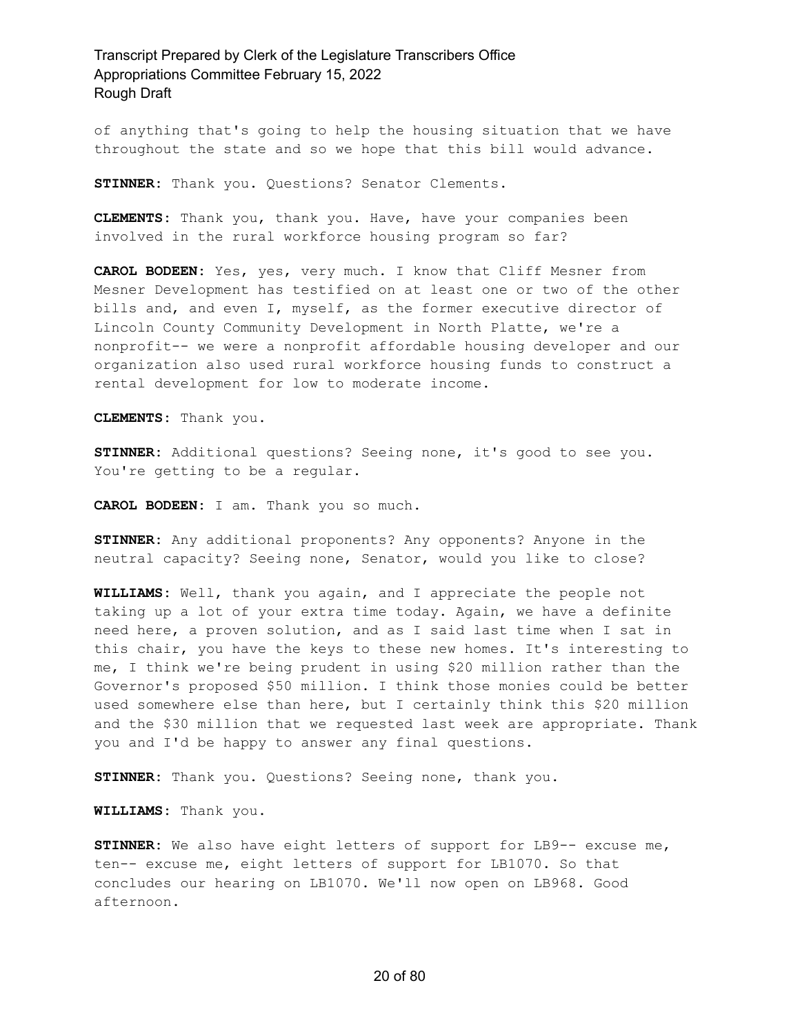of anything that's going to help the housing situation that we have throughout the state and so we hope that this bill would advance.

**STINNER:** Thank you. Questions? Senator Clements.

**CLEMENTS:** Thank you, thank you. Have, have your companies been involved in the rural workforce housing program so far?

**CAROL BODEEN:** Yes, yes, very much. I know that Cliff Mesner from Mesner Development has testified on at least one or two of the other bills and, and even I, myself, as the former executive director of Lincoln County Community Development in North Platte, we're a nonprofit-- we were a nonprofit affordable housing developer and our organization also used rural workforce housing funds to construct a rental development for low to moderate income.

**CLEMENTS:** Thank you.

**STINNER:** Additional questions? Seeing none, it's good to see you. You're getting to be a regular.

**CAROL BODEEN:** I am. Thank you so much.

**STINNER:** Any additional proponents? Any opponents? Anyone in the neutral capacity? Seeing none, Senator, would you like to close?

**WILLIAMS:** Well, thank you again, and I appreciate the people not taking up a lot of your extra time today. Again, we have a definite need here, a proven solution, and as I said last time when I sat in this chair, you have the keys to these new homes. It's interesting to me, I think we're being prudent in using \$20 million rather than the Governor's proposed \$50 million. I think those monies could be better used somewhere else than here, but I certainly think this \$20 million and the \$30 million that we requested last week are appropriate. Thank you and I'd be happy to answer any final questions.

**STINNER:** Thank you. Questions? Seeing none, thank you.

**WILLIAMS:** Thank you.

**STINNER:** We also have eight letters of support for LB9-- excuse me, ten-- excuse me, eight letters of support for LB1070. So that concludes our hearing on LB1070. We'll now open on LB968. Good afternoon.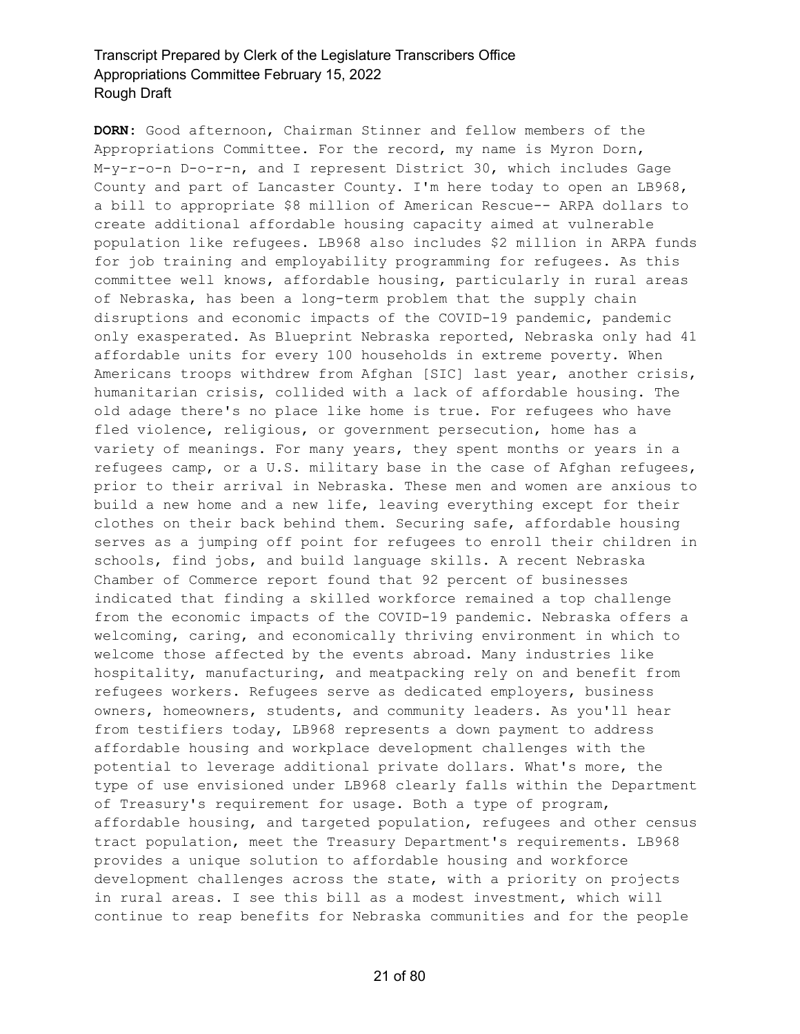**DORN:** Good afternoon, Chairman Stinner and fellow members of the Appropriations Committee. For the record, my name is Myron Dorn, M-y-r-o-n D-o-r-n, and I represent District 30, which includes Gage County and part of Lancaster County. I'm here today to open an LB968, a bill to appropriate \$8 million of American Rescue-- ARPA dollars to create additional affordable housing capacity aimed at vulnerable population like refugees. LB968 also includes \$2 million in ARPA funds for job training and employability programming for refugees. As this committee well knows, affordable housing, particularly in rural areas of Nebraska, has been a long-term problem that the supply chain disruptions and economic impacts of the COVID-19 pandemic, pandemic only exasperated. As Blueprint Nebraska reported, Nebraska only had 41 affordable units for every 100 households in extreme poverty. When Americans troops withdrew from Afghan [SIC] last year, another crisis, humanitarian crisis, collided with a lack of affordable housing. The old adage there's no place like home is true. For refugees who have fled violence, religious, or government persecution, home has a variety of meanings. For many years, they spent months or years in a refugees camp, or a U.S. military base in the case of Afghan refugees, prior to their arrival in Nebraska. These men and women are anxious to build a new home and a new life, leaving everything except for their clothes on their back behind them. Securing safe, affordable housing serves as a jumping off point for refugees to enroll their children in schools, find jobs, and build language skills. A recent Nebraska Chamber of Commerce report found that 92 percent of businesses indicated that finding a skilled workforce remained a top challenge from the economic impacts of the COVID-19 pandemic. Nebraska offers a welcoming, caring, and economically thriving environment in which to welcome those affected by the events abroad. Many industries like hospitality, manufacturing, and meatpacking rely on and benefit from refugees workers. Refugees serve as dedicated employers, business owners, homeowners, students, and community leaders. As you'll hear from testifiers today, LB968 represents a down payment to address affordable housing and workplace development challenges with the potential to leverage additional private dollars. What's more, the type of use envisioned under LB968 clearly falls within the Department of Treasury's requirement for usage. Both a type of program, affordable housing, and targeted population, refugees and other census tract population, meet the Treasury Department's requirements. LB968 provides a unique solution to affordable housing and workforce development challenges across the state, with a priority on projects in rural areas. I see this bill as a modest investment, which will continue to reap benefits for Nebraska communities and for the people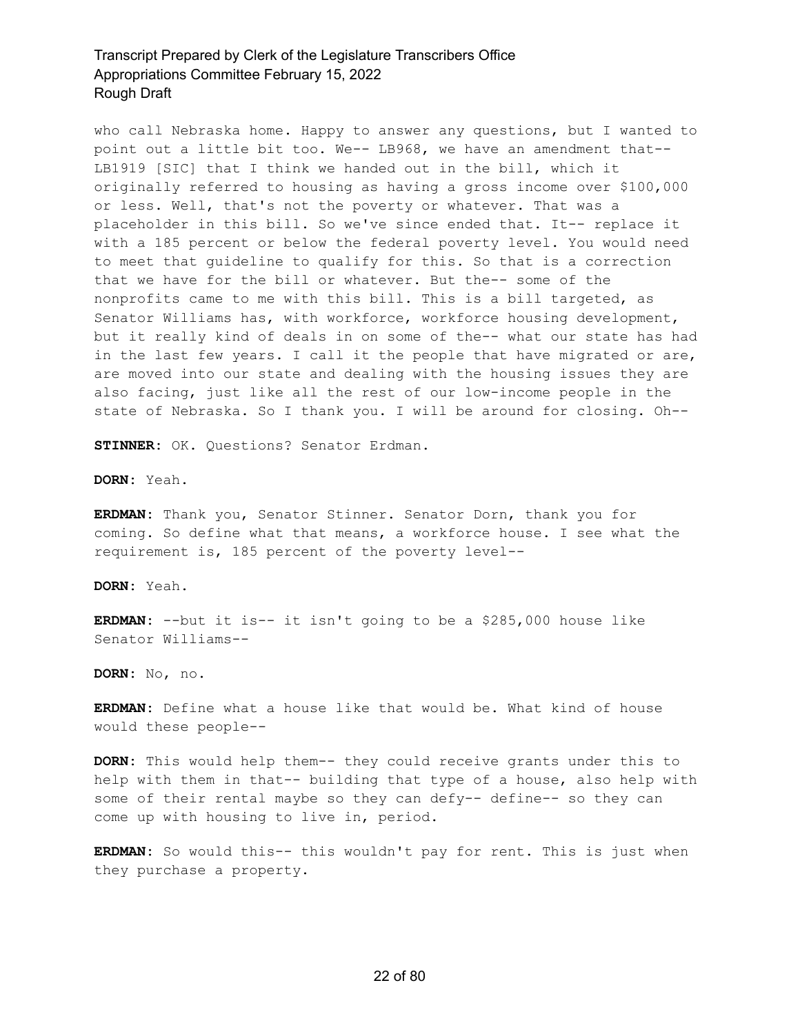who call Nebraska home. Happy to answer any questions, but I wanted to point out a little bit too. We-- LB968, we have an amendment that-- LB1919 [SIC] that I think we handed out in the bill, which it originally referred to housing as having a gross income over \$100,000 or less. Well, that's not the poverty or whatever. That was a placeholder in this bill. So we've since ended that. It-- replace it with a 185 percent or below the federal poverty level. You would need to meet that guideline to qualify for this. So that is a correction that we have for the bill or whatever. But the-- some of the nonprofits came to me with this bill. This is a bill targeted, as Senator Williams has, with workforce, workforce housing development, but it really kind of deals in on some of the-- what our state has had in the last few years. I call it the people that have migrated or are, are moved into our state and dealing with the housing issues they are also facing, just like all the rest of our low-income people in the state of Nebraska. So I thank you. I will be around for closing. Oh--

**STINNER:** OK. Questions? Senator Erdman.

**DORN:** Yeah.

**ERDMAN:** Thank you, Senator Stinner. Senator Dorn, thank you for coming. So define what that means, a workforce house. I see what the requirement is, 185 percent of the poverty level--

**DORN:** Yeah.

**ERDMAN:** --but it is-- it isn't going to be a \$285,000 house like Senator Williams--

**DORN:** No, no.

**ERDMAN:** Define what a house like that would be. What kind of house would these people--

**DORN:** This would help them-- they could receive grants under this to help with them in that-- building that type of a house, also help with some of their rental maybe so they can defy-- define-- so they can come up with housing to live in, period.

**ERDMAN:** So would this-- this wouldn't pay for rent. This is just when they purchase a property.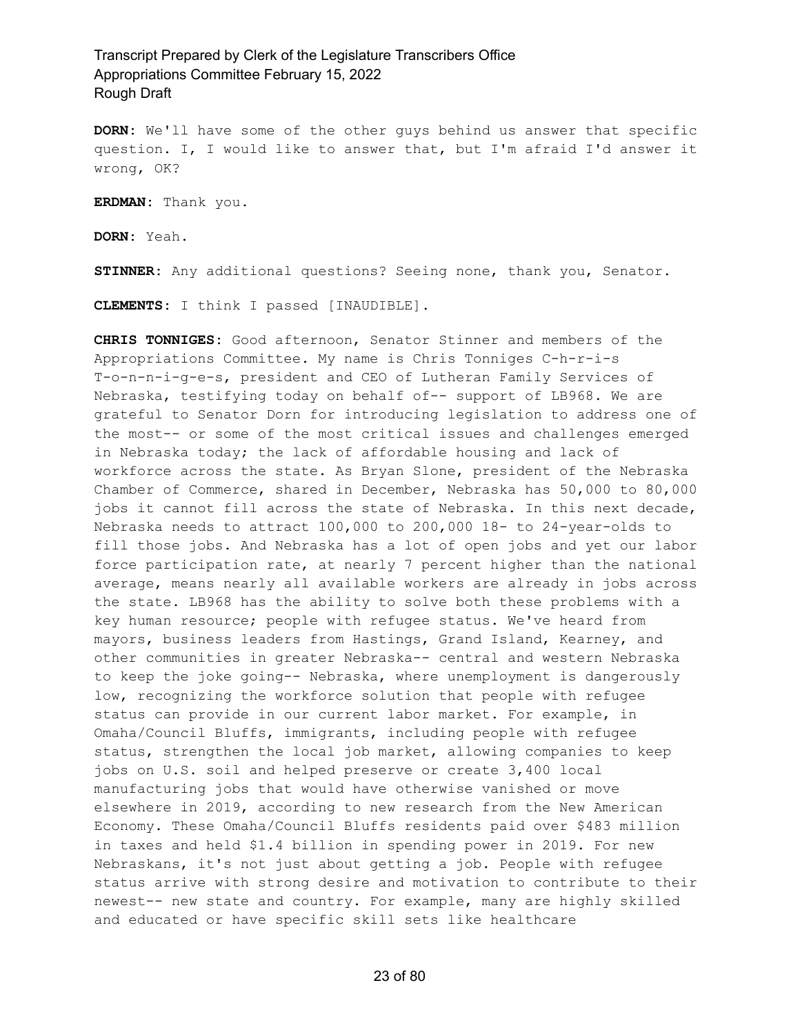**DORN:** We'll have some of the other guys behind us answer that specific question. I, I would like to answer that, but I'm afraid I'd answer it wrong, OK?

**ERDMAN:** Thank you.

**DORN:** Yeah.

**STINNER:** Any additional questions? Seeing none, thank you, Senator.

**CLEMENTS:** I think I passed [INAUDIBLE].

**CHRIS TONNIGES:** Good afternoon, Senator Stinner and members of the Appropriations Committee. My name is Chris Tonniges C-h-r-i-s T-o-n-n-i-g-e-s, president and CEO of Lutheran Family Services of Nebraska, testifying today on behalf of-- support of LB968. We are grateful to Senator Dorn for introducing legislation to address one of the most-- or some of the most critical issues and challenges emerged in Nebraska today; the lack of affordable housing and lack of workforce across the state. As Bryan Slone, president of the Nebraska Chamber of Commerce, shared in December, Nebraska has 50,000 to 80,000 jobs it cannot fill across the state of Nebraska. In this next decade, Nebraska needs to attract 100,000 to 200,000 18- to 24-year-olds to fill those jobs. And Nebraska has a lot of open jobs and yet our labor force participation rate, at nearly 7 percent higher than the national average, means nearly all available workers are already in jobs across the state. LB968 has the ability to solve both these problems with a key human resource; people with refugee status. We've heard from mayors, business leaders from Hastings, Grand Island, Kearney, and other communities in greater Nebraska-- central and western Nebraska to keep the joke going-- Nebraska, where unemployment is dangerously low, recognizing the workforce solution that people with refugee status can provide in our current labor market. For example, in Omaha/Council Bluffs, immigrants, including people with refugee status, strengthen the local job market, allowing companies to keep jobs on U.S. soil and helped preserve or create 3,400 local manufacturing jobs that would have otherwise vanished or move elsewhere in 2019, according to new research from the New American Economy. These Omaha/Council Bluffs residents paid over \$483 million in taxes and held \$1.4 billion in spending power in 2019. For new Nebraskans, it's not just about getting a job. People with refugee status arrive with strong desire and motivation to contribute to their newest-- new state and country. For example, many are highly skilled and educated or have specific skill sets like healthcare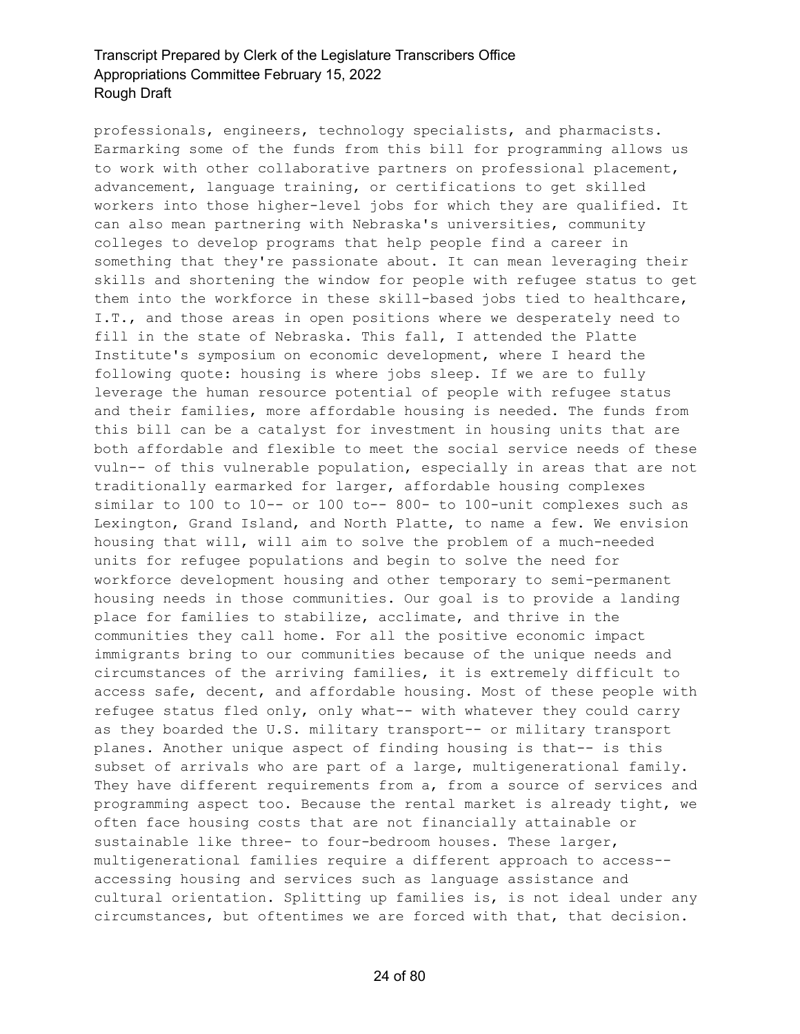professionals, engineers, technology specialists, and pharmacists. Earmarking some of the funds from this bill for programming allows us to work with other collaborative partners on professional placement, advancement, language training, or certifications to get skilled workers into those higher-level jobs for which they are qualified. It can also mean partnering with Nebraska's universities, community colleges to develop programs that help people find a career in something that they're passionate about. It can mean leveraging their skills and shortening the window for people with refugee status to get them into the workforce in these skill-based jobs tied to healthcare, I.T., and those areas in open positions where we desperately need to fill in the state of Nebraska. This fall, I attended the Platte Institute's symposium on economic development, where I heard the following quote: housing is where jobs sleep. If we are to fully leverage the human resource potential of people with refugee status and their families, more affordable housing is needed. The funds from this bill can be a catalyst for investment in housing units that are both affordable and flexible to meet the social service needs of these vuln-- of this vulnerable population, especially in areas that are not traditionally earmarked for larger, affordable housing complexes similar to 100 to 10-- or 100 to-- 800- to 100-unit complexes such as Lexington, Grand Island, and North Platte, to name a few. We envision housing that will, will aim to solve the problem of a much-needed units for refugee populations and begin to solve the need for workforce development housing and other temporary to semi-permanent housing needs in those communities. Our goal is to provide a landing place for families to stabilize, acclimate, and thrive in the communities they call home. For all the positive economic impact immigrants bring to our communities because of the unique needs and circumstances of the arriving families, it is extremely difficult to access safe, decent, and affordable housing. Most of these people with refugee status fled only, only what-- with whatever they could carry as they boarded the U.S. military transport-- or military transport planes. Another unique aspect of finding housing is that-- is this subset of arrivals who are part of a large, multigenerational family. They have different requirements from a, from a source of services and programming aspect too. Because the rental market is already tight, we often face housing costs that are not financially attainable or sustainable like three- to four-bedroom houses. These larger, multigenerational families require a different approach to access- accessing housing and services such as language assistance and cultural orientation. Splitting up families is, is not ideal under any circumstances, but oftentimes we are forced with that, that decision.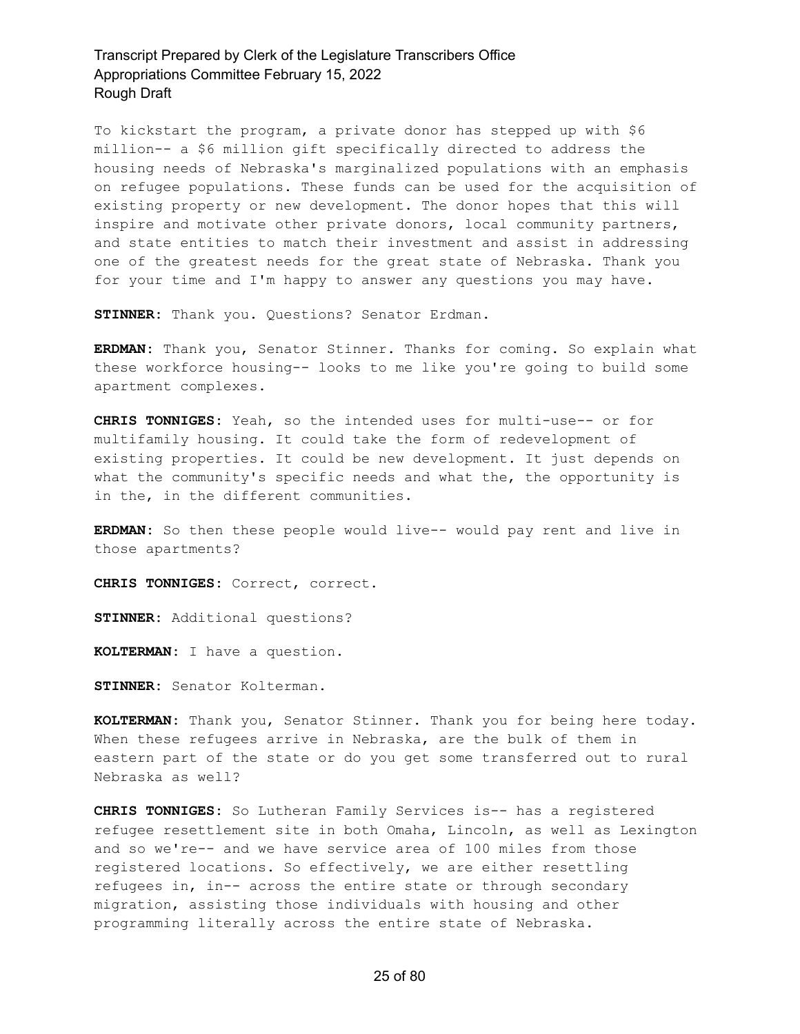To kickstart the program, a private donor has stepped up with \$6 million-- a \$6 million gift specifically directed to address the housing needs of Nebraska's marginalized populations with an emphasis on refugee populations. These funds can be used for the acquisition of existing property or new development. The donor hopes that this will inspire and motivate other private donors, local community partners, and state entities to match their investment and assist in addressing one of the greatest needs for the great state of Nebraska. Thank you for your time and I'm happy to answer any questions you may have.

**STINNER:** Thank you. Questions? Senator Erdman.

**ERDMAN:** Thank you, Senator Stinner. Thanks for coming. So explain what these workforce housing-- looks to me like you're going to build some apartment complexes.

**CHRIS TONNIGES:** Yeah, so the intended uses for multi-use-- or for multifamily housing. It could take the form of redevelopment of existing properties. It could be new development. It just depends on what the community's specific needs and what the, the opportunity is in the, in the different communities.

**ERDMAN:** So then these people would live-- would pay rent and live in those apartments?

**CHRIS TONNIGES:** Correct, correct.

**STINNER:** Additional questions?

**KOLTERMAN:** I have a question.

**STINNER:** Senator Kolterman.

**KOLTERMAN:** Thank you, Senator Stinner. Thank you for being here today. When these refugees arrive in Nebraska, are the bulk of them in eastern part of the state or do you get some transferred out to rural Nebraska as well?

**CHRIS TONNIGES:** So Lutheran Family Services is-- has a registered refugee resettlement site in both Omaha, Lincoln, as well as Lexington and so we're-- and we have service area of 100 miles from those registered locations. So effectively, we are either resettling refugees in, in-- across the entire state or through secondary migration, assisting those individuals with housing and other programming literally across the entire state of Nebraska.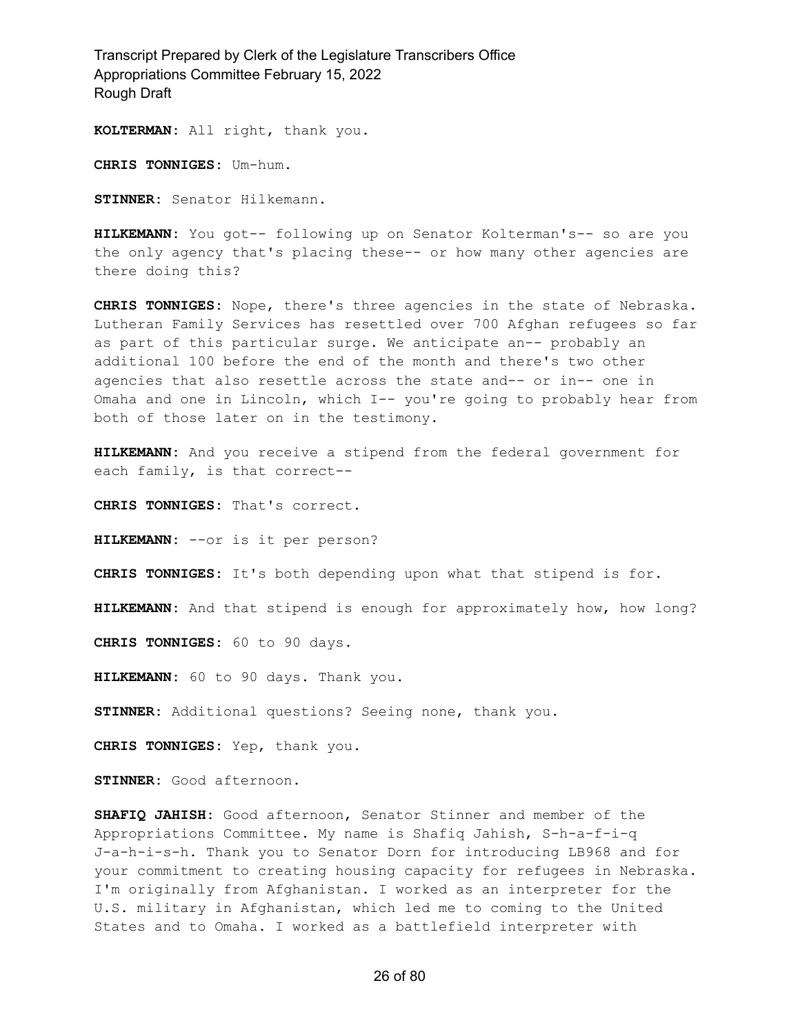**KOLTERMAN:** All right, thank you.

**CHRIS TONNIGES:** Um-hum.

**STINNER:** Senator Hilkemann.

**HILKEMANN:** You got-- following up on Senator Kolterman's-- so are you the only agency that's placing these-- or how many other agencies are there doing this?

**CHRIS TONNIGES:** Nope, there's three agencies in the state of Nebraska. Lutheran Family Services has resettled over 700 Afghan refugees so far as part of this particular surge. We anticipate an-- probably an additional 100 before the end of the month and there's two other agencies that also resettle across the state and-- or in-- one in Omaha and one in Lincoln, which I-- you're going to probably hear from both of those later on in the testimony.

**HILKEMANN:** And you receive a stipend from the federal government for each family, is that correct--

**CHRIS TONNIGES:** That's correct.

**HILKEMANN:** --or is it per person?

**CHRIS TONNIGES:** It's both depending upon what that stipend is for.

**HILKEMANN:** And that stipend is enough for approximately how, how long?

**CHRIS TONNIGES:** 60 to 90 days.

**HILKEMANN:** 60 to 90 days. Thank you.

**STINNER:** Additional questions? Seeing none, thank you.

**CHRIS TONNIGES:** Yep, thank you.

**STINNER:** Good afternoon.

**SHAFIQ JAHISH:** Good afternoon, Senator Stinner and member of the Appropriations Committee. My name is Shafiq Jahish, S-h-a-f-i-q J-a-h-i-s-h. Thank you to Senator Dorn for introducing LB968 and for your commitment to creating housing capacity for refugees in Nebraska. I'm originally from Afghanistan. I worked as an interpreter for the U.S. military in Afghanistan, which led me to coming to the United States and to Omaha. I worked as a battlefield interpreter with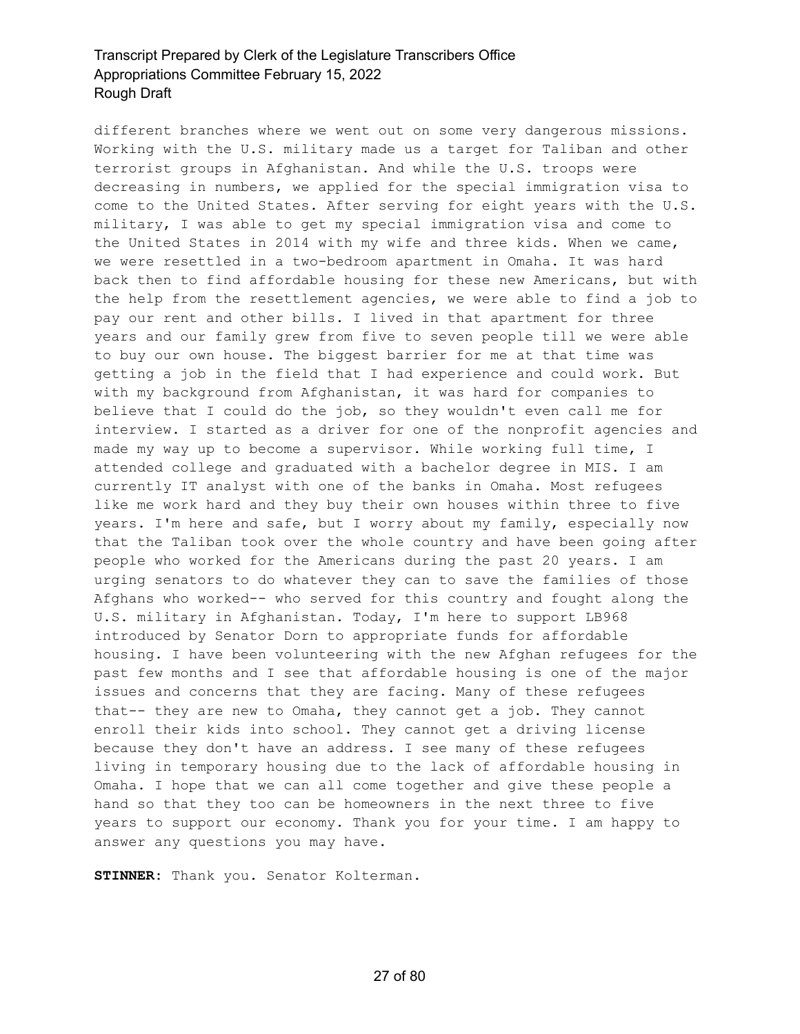different branches where we went out on some very dangerous missions. Working with the U.S. military made us a target for Taliban and other terrorist groups in Afghanistan. And while the U.S. troops were decreasing in numbers, we applied for the special immigration visa to come to the United States. After serving for eight years with the U.S. military, I was able to get my special immigration visa and come to the United States in 2014 with my wife and three kids. When we came, we were resettled in a two-bedroom apartment in Omaha. It was hard back then to find affordable housing for these new Americans, but with the help from the resettlement agencies, we were able to find a job to pay our rent and other bills. I lived in that apartment for three years and our family grew from five to seven people till we were able to buy our own house. The biggest barrier for me at that time was getting a job in the field that I had experience and could work. But with my background from Afghanistan, it was hard for companies to believe that I could do the job, so they wouldn't even call me for interview. I started as a driver for one of the nonprofit agencies and made my way up to become a supervisor. While working full time, I attended college and graduated with a bachelor degree in MIS. I am currently IT analyst with one of the banks in Omaha. Most refugees like me work hard and they buy their own houses within three to five years. I'm here and safe, but I worry about my family, especially now that the Taliban took over the whole country and have been going after people who worked for the Americans during the past 20 years. I am urging senators to do whatever they can to save the families of those Afghans who worked-- who served for this country and fought along the U.S. military in Afghanistan. Today, I'm here to support LB968 introduced by Senator Dorn to appropriate funds for affordable housing. I have been volunteering with the new Afghan refugees for the past few months and I see that affordable housing is one of the major issues and concerns that they are facing. Many of these refugees that-- they are new to Omaha, they cannot get a job. They cannot enroll their kids into school. They cannot get a driving license because they don't have an address. I see many of these refugees living in temporary housing due to the lack of affordable housing in Omaha. I hope that we can all come together and give these people a hand so that they too can be homeowners in the next three to five years to support our economy. Thank you for your time. I am happy to answer any questions you may have.

**STINNER:** Thank you. Senator Kolterman.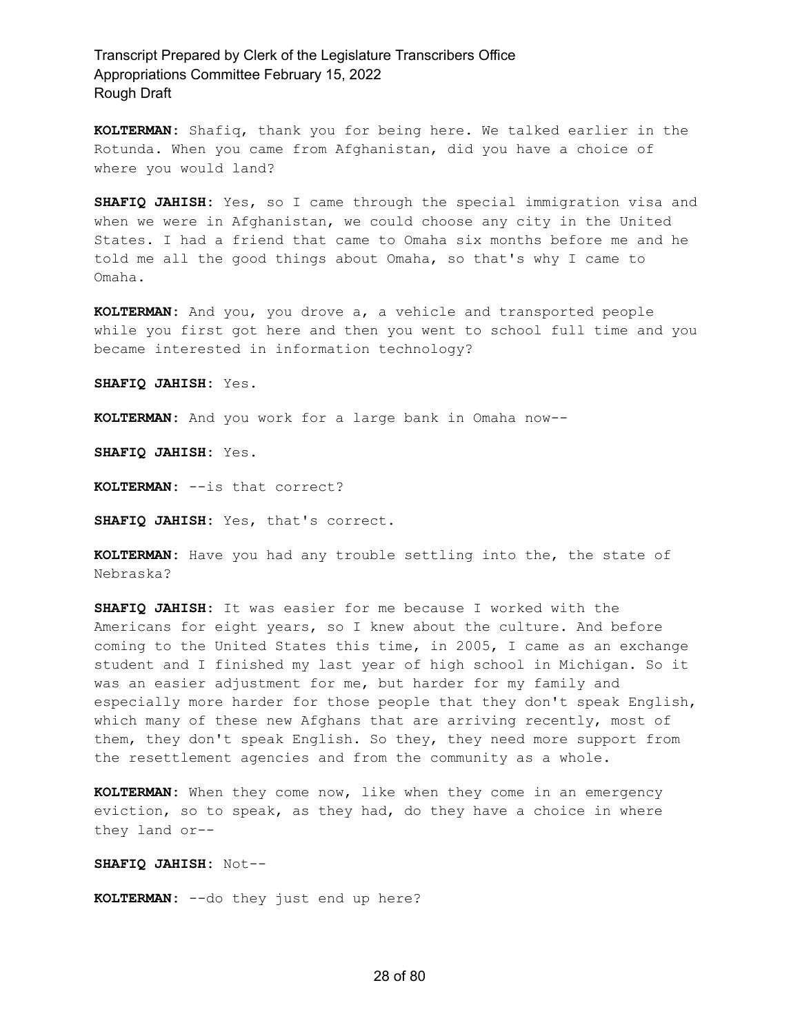**KOLTERMAN:** Shafiq, thank you for being here. We talked earlier in the Rotunda. When you came from Afghanistan, did you have a choice of where you would land?

**SHAFIQ JAHISH:** Yes, so I came through the special immigration visa and when we were in Afghanistan, we could choose any city in the United States. I had a friend that came to Omaha six months before me and he told me all the good things about Omaha, so that's why I came to Omaha.

**KOLTERMAN:** And you, you drove a, a vehicle and transported people while you first got here and then you went to school full time and you became interested in information technology?

**SHAFIQ JAHISH:** Yes.

**KOLTERMAN:** And you work for a large bank in Omaha now--

**SHAFIQ JAHISH:** Yes.

**KOLTERMAN:** --is that correct?

**SHAFIQ JAHISH:** Yes, that's correct.

**KOLTERMAN:** Have you had any trouble settling into the, the state of Nebraska?

**SHAFIQ JAHISH:** It was easier for me because I worked with the Americans for eight years, so I knew about the culture. And before coming to the United States this time, in 2005, I came as an exchange student and I finished my last year of high school in Michigan. So it was an easier adjustment for me, but harder for my family and especially more harder for those people that they don't speak English, which many of these new Afghans that are arriving recently, most of them, they don't speak English. So they, they need more support from the resettlement agencies and from the community as a whole.

**KOLTERMAN:** When they come now, like when they come in an emergency eviction, so to speak, as they had, do they have a choice in where they land or--

**SHAFIQ JAHISH:** Not--

**KOLTERMAN:** --do they just end up here?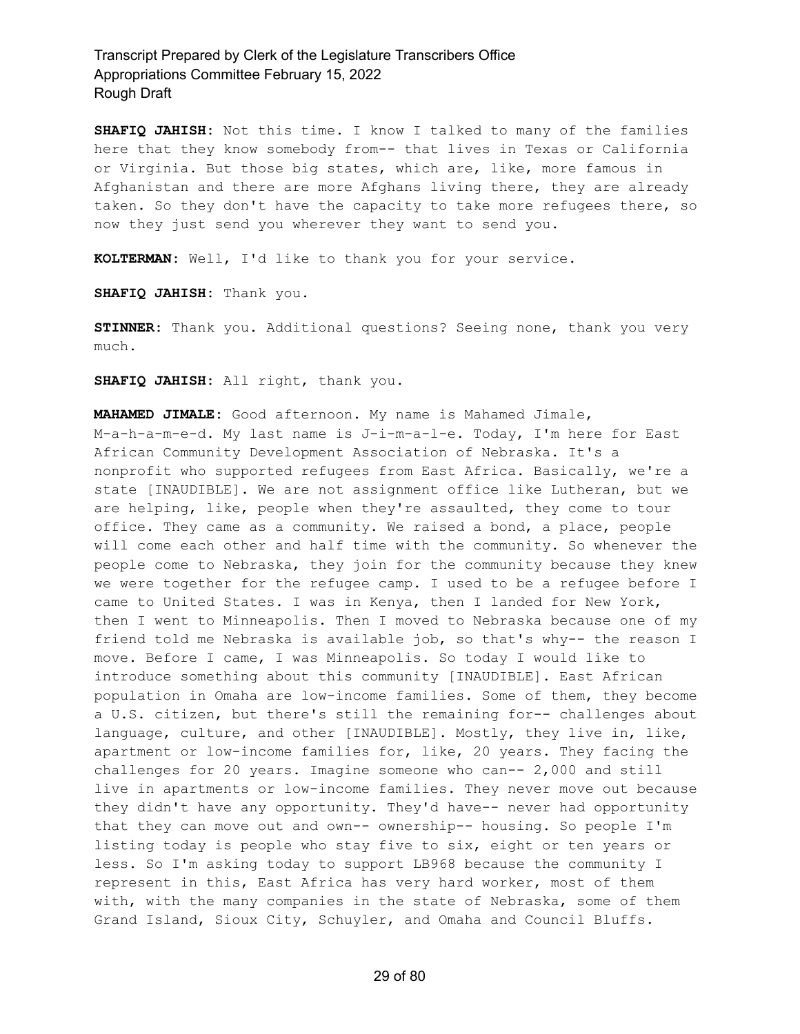**SHAFIQ JAHISH:** Not this time. I know I talked to many of the families here that they know somebody from-- that lives in Texas or California or Virginia. But those big states, which are, like, more famous in Afghanistan and there are more Afghans living there, they are already taken. So they don't have the capacity to take more refugees there, so now they just send you wherever they want to send you.

**KOLTERMAN:** Well, I'd like to thank you for your service.

**SHAFIQ JAHISH:** Thank you.

**STINNER:** Thank you. Additional questions? Seeing none, thank you very much.

**SHAFIQ JAHISH:** All right, thank you.

**MAHAMED JIMALE:** Good afternoon. My name is Mahamed Jimale, M-a-h-a-m-e-d. My last name is J-i-m-a-l-e. Today, I'm here for East African Community Development Association of Nebraska. It's a nonprofit who supported refugees from East Africa. Basically, we're a state [INAUDIBLE]. We are not assignment office like Lutheran, but we are helping, like, people when they're assaulted, they come to tour office. They came as a community. We raised a bond, a place, people will come each other and half time with the community. So whenever the people come to Nebraska, they join for the community because they knew we were together for the refugee camp. I used to be a refugee before I came to United States. I was in Kenya, then I landed for New York, then I went to Minneapolis. Then I moved to Nebraska because one of my friend told me Nebraska is available job, so that's why-- the reason I move. Before I came, I was Minneapolis. So today I would like to introduce something about this community [INAUDIBLE]. East African population in Omaha are low-income families. Some of them, they become a U.S. citizen, but there's still the remaining for-- challenges about language, culture, and other [INAUDIBLE]. Mostly, they live in, like, apartment or low-income families for, like, 20 years. They facing the challenges for 20 years. Imagine someone who can-- 2,000 and still live in apartments or low-income families. They never move out because they didn't have any opportunity. They'd have-- never had opportunity that they can move out and own-- ownership-- housing. So people I'm listing today is people who stay five to six, eight or ten years or less. So I'm asking today to support LB968 because the community I represent in this, East Africa has very hard worker, most of them with, with the many companies in the state of Nebraska, some of them Grand Island, Sioux City, Schuyler, and Omaha and Council Bluffs.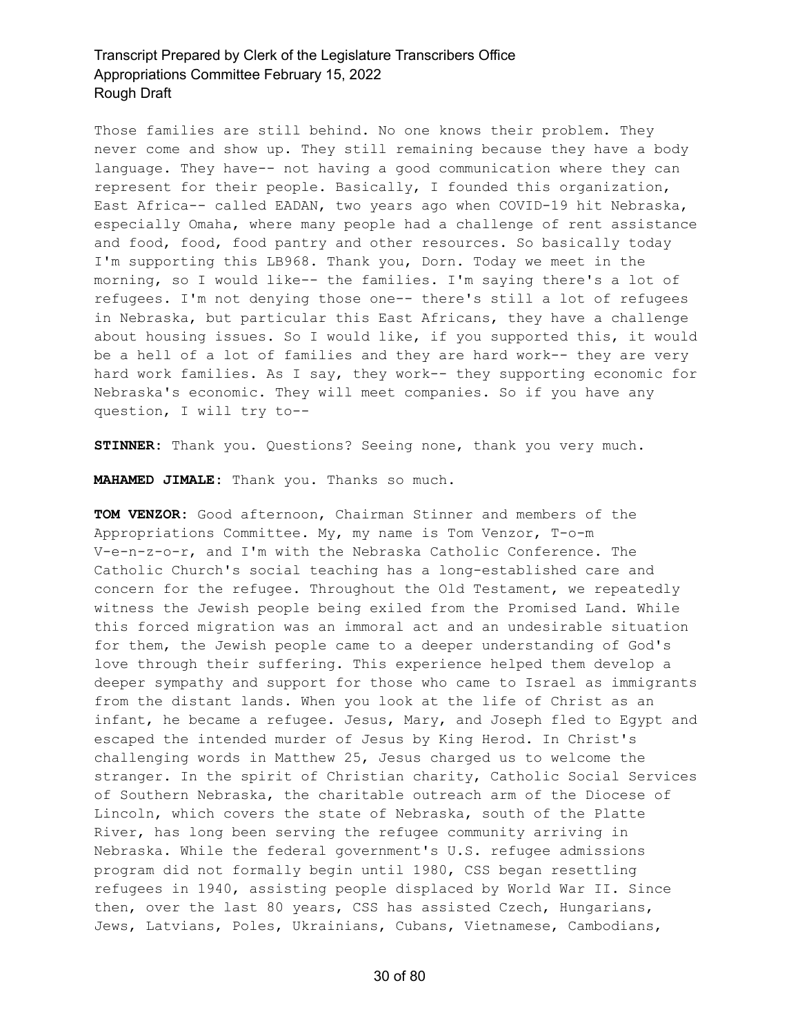Those families are still behind. No one knows their problem. They never come and show up. They still remaining because they have a body language. They have-- not having a good communication where they can represent for their people. Basically, I founded this organization, East Africa-- called EADAN, two years ago when COVID-19 hit Nebraska, especially Omaha, where many people had a challenge of rent assistance and food, food, food pantry and other resources. So basically today I'm supporting this LB968. Thank you, Dorn. Today we meet in the morning, so I would like-- the families. I'm saying there's a lot of refugees. I'm not denying those one-- there's still a lot of refugees in Nebraska, but particular this East Africans, they have a challenge about housing issues. So I would like, if you supported this, it would be a hell of a lot of families and they are hard work-- they are very hard work families. As I say, they work-- they supporting economic for Nebraska's economic. They will meet companies. So if you have any question, I will try to--

**STINNER:** Thank you. Questions? Seeing none, thank you very much.

**MAHAMED JIMALE:** Thank you. Thanks so much.

**TOM VENZOR:** Good afternoon, Chairman Stinner and members of the Appropriations Committee. My, my name is Tom Venzor, T-o-m V-e-n-z-o-r, and I'm with the Nebraska Catholic Conference. The Catholic Church's social teaching has a long-established care and concern for the refugee. Throughout the Old Testament, we repeatedly witness the Jewish people being exiled from the Promised Land. While this forced migration was an immoral act and an undesirable situation for them, the Jewish people came to a deeper understanding of God's love through their suffering. This experience helped them develop a deeper sympathy and support for those who came to Israel as immigrants from the distant lands. When you look at the life of Christ as an infant, he became a refugee. Jesus, Mary, and Joseph fled to Egypt and escaped the intended murder of Jesus by King Herod. In Christ's challenging words in Matthew 25, Jesus charged us to welcome the stranger. In the spirit of Christian charity, Catholic Social Services of Southern Nebraska, the charitable outreach arm of the Diocese of Lincoln, which covers the state of Nebraska, south of the Platte River, has long been serving the refugee community arriving in Nebraska. While the federal government's U.S. refugee admissions program did not formally begin until 1980, CSS began resettling refugees in 1940, assisting people displaced by World War II. Since then, over the last 80 years, CSS has assisted Czech, Hungarians, Jews, Latvians, Poles, Ukrainians, Cubans, Vietnamese, Cambodians,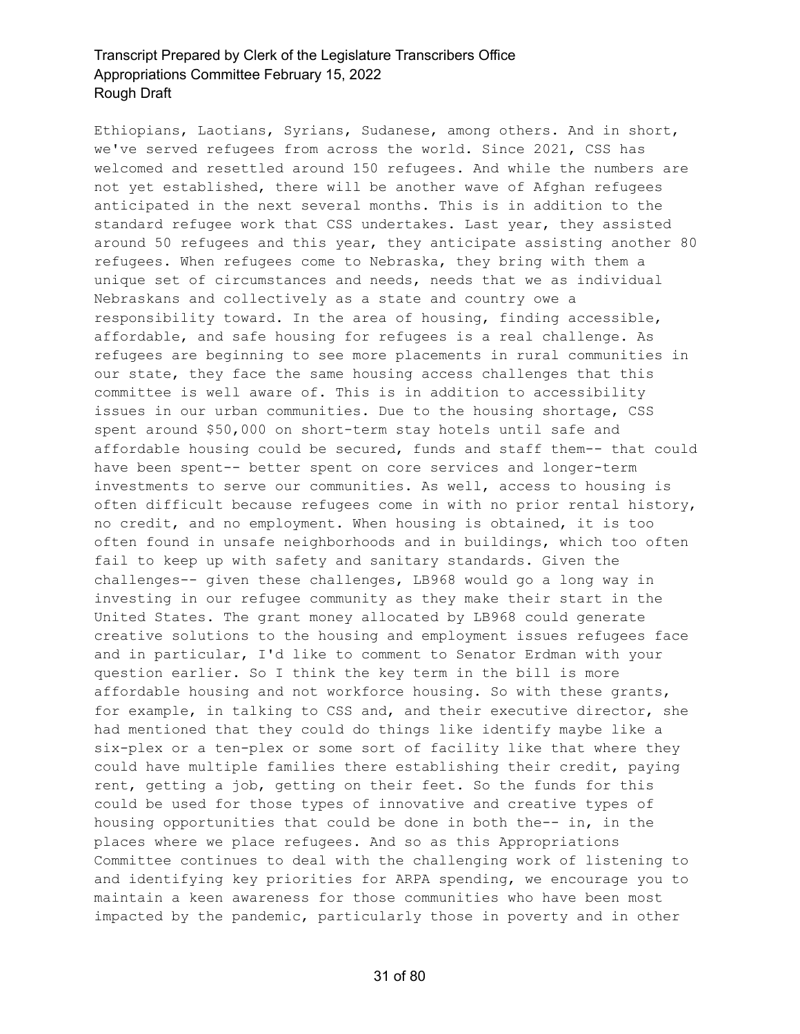Ethiopians, Laotians, Syrians, Sudanese, among others. And in short, we've served refugees from across the world. Since 2021, CSS has welcomed and resettled around 150 refugees. And while the numbers are not yet established, there will be another wave of Afghan refugees anticipated in the next several months. This is in addition to the standard refugee work that CSS undertakes. Last year, they assisted around 50 refugees and this year, they anticipate assisting another 80 refugees. When refugees come to Nebraska, they bring with them a unique set of circumstances and needs, needs that we as individual Nebraskans and collectively as a state and country owe a responsibility toward. In the area of housing, finding accessible, affordable, and safe housing for refugees is a real challenge. As refugees are beginning to see more placements in rural communities in our state, they face the same housing access challenges that this committee is well aware of. This is in addition to accessibility issues in our urban communities. Due to the housing shortage, CSS spent around \$50,000 on short-term stay hotels until safe and affordable housing could be secured, funds and staff them-- that could have been spent-- better spent on core services and longer-term investments to serve our communities. As well, access to housing is often difficult because refugees come in with no prior rental history, no credit, and no employment. When housing is obtained, it is too often found in unsafe neighborhoods and in buildings, which too often fail to keep up with safety and sanitary standards. Given the challenges-- given these challenges, LB968 would go a long way in investing in our refugee community as they make their start in the United States. The grant money allocated by LB968 could generate creative solutions to the housing and employment issues refugees face and in particular, I'd like to comment to Senator Erdman with your question earlier. So I think the key term in the bill is more affordable housing and not workforce housing. So with these grants, for example, in talking to CSS and, and their executive director, she had mentioned that they could do things like identify maybe like a six-plex or a ten-plex or some sort of facility like that where they could have multiple families there establishing their credit, paying rent, getting a job, getting on their feet. So the funds for this could be used for those types of innovative and creative types of housing opportunities that could be done in both the-- in, in the places where we place refugees. And so as this Appropriations Committee continues to deal with the challenging work of listening to and identifying key priorities for ARPA spending, we encourage you to maintain a keen awareness for those communities who have been most impacted by the pandemic, particularly those in poverty and in other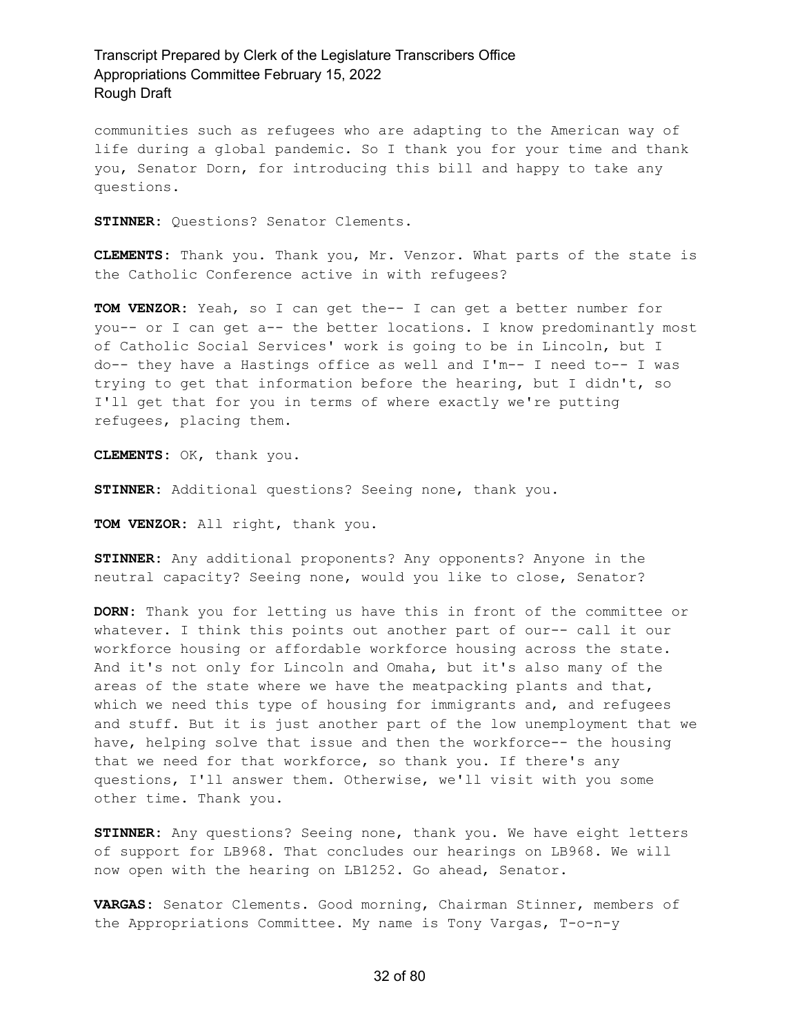communities such as refugees who are adapting to the American way of life during a global pandemic. So I thank you for your time and thank you, Senator Dorn, for introducing this bill and happy to take any questions.

**STINNER:** Questions? Senator Clements.

**CLEMENTS:** Thank you. Thank you, Mr. Venzor. What parts of the state is the Catholic Conference active in with refugees?

**TOM VENZOR:** Yeah, so I can get the-- I can get a better number for you-- or I can get a-- the better locations. I know predominantly most of Catholic Social Services' work is going to be in Lincoln, but I do-- they have a Hastings office as well and I'm-- I need to-- I was trying to get that information before the hearing, but I didn't, so I'll get that for you in terms of where exactly we're putting refugees, placing them.

**CLEMENTS:** OK, thank you.

**STINNER:** Additional questions? Seeing none, thank you.

**TOM VENZOR:** All right, thank you.

**STINNER:** Any additional proponents? Any opponents? Anyone in the neutral capacity? Seeing none, would you like to close, Senator?

**DORN:** Thank you for letting us have this in front of the committee or whatever. I think this points out another part of our-- call it our workforce housing or affordable workforce housing across the state. And it's not only for Lincoln and Omaha, but it's also many of the areas of the state where we have the meatpacking plants and that, which we need this type of housing for immigrants and, and refugees and stuff. But it is just another part of the low unemployment that we have, helping solve that issue and then the workforce-- the housing that we need for that workforce, so thank you. If there's any questions, I'll answer them. Otherwise, we'll visit with you some other time. Thank you.

**STINNER:** Any questions? Seeing none, thank you. We have eight letters of support for LB968. That concludes our hearings on LB968. We will now open with the hearing on LB1252. Go ahead, Senator.

**VARGAS:** Senator Clements. Good morning, Chairman Stinner, members of the Appropriations Committee. My name is Tony Vargas, T-o-n-y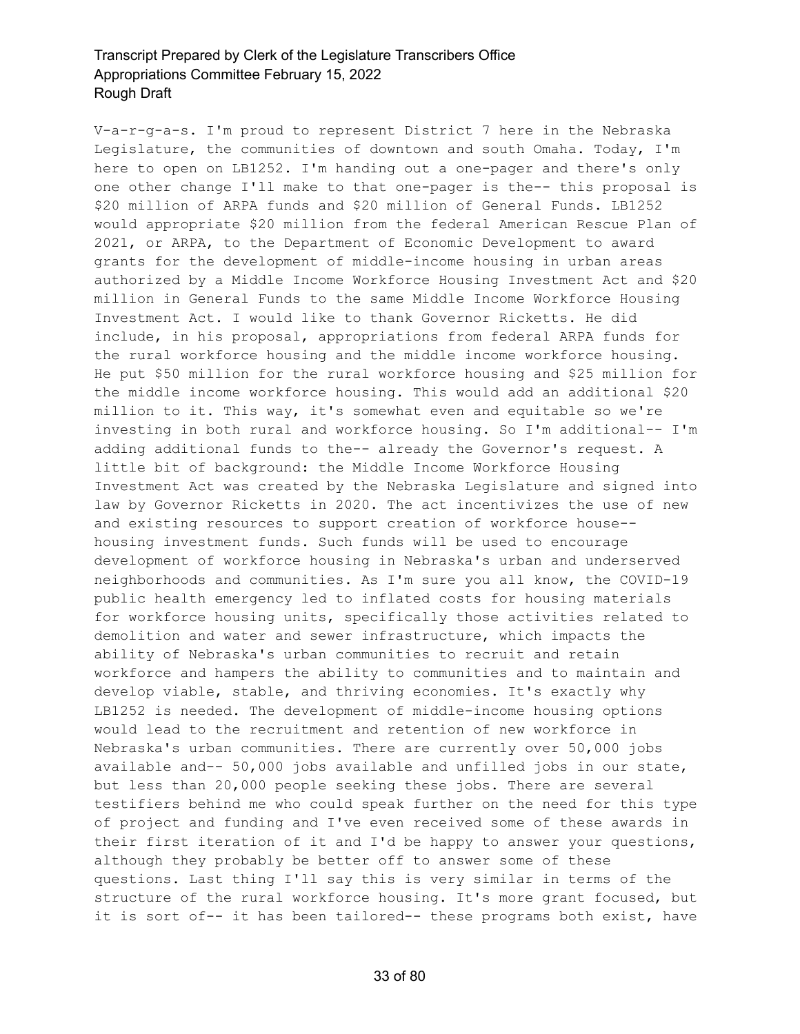V-a-r-g-a-s. I'm proud to represent District 7 here in the Nebraska Legislature, the communities of downtown and south Omaha. Today, I'm here to open on LB1252. I'm handing out a one-pager and there's only one other change I'll make to that one-pager is the-- this proposal is \$20 million of ARPA funds and \$20 million of General Funds. LB1252 would appropriate \$20 million from the federal American Rescue Plan of 2021, or ARPA, to the Department of Economic Development to award grants for the development of middle-income housing in urban areas authorized by a Middle Income Workforce Housing Investment Act and \$20 million in General Funds to the same Middle Income Workforce Housing Investment Act. I would like to thank Governor Ricketts. He did include, in his proposal, appropriations from federal ARPA funds for the rural workforce housing and the middle income workforce housing. He put \$50 million for the rural workforce housing and \$25 million for the middle income workforce housing. This would add an additional \$20 million to it. This way, it's somewhat even and equitable so we're investing in both rural and workforce housing. So I'm additional-- I'm adding additional funds to the-- already the Governor's request. A little bit of background: the Middle Income Workforce Housing Investment Act was created by the Nebraska Legislature and signed into law by Governor Ricketts in 2020. The act incentivizes the use of new and existing resources to support creation of workforce house- housing investment funds. Such funds will be used to encourage development of workforce housing in Nebraska's urban and underserved neighborhoods and communities. As I'm sure you all know, the COVID-19 public health emergency led to inflated costs for housing materials for workforce housing units, specifically those activities related to demolition and water and sewer infrastructure, which impacts the ability of Nebraska's urban communities to recruit and retain workforce and hampers the ability to communities and to maintain and develop viable, stable, and thriving economies. It's exactly why LB1252 is needed. The development of middle-income housing options would lead to the recruitment and retention of new workforce in Nebraska's urban communities. There are currently over 50,000 jobs available and-- 50,000 jobs available and unfilled jobs in our state, but less than 20,000 people seeking these jobs. There are several testifiers behind me who could speak further on the need for this type of project and funding and I've even received some of these awards in their first iteration of it and I'd be happy to answer your questions, although they probably be better off to answer some of these questions. Last thing I'll say this is very similar in terms of the structure of the rural workforce housing. It's more grant focused, but it is sort of-- it has been tailored-- these programs both exist, have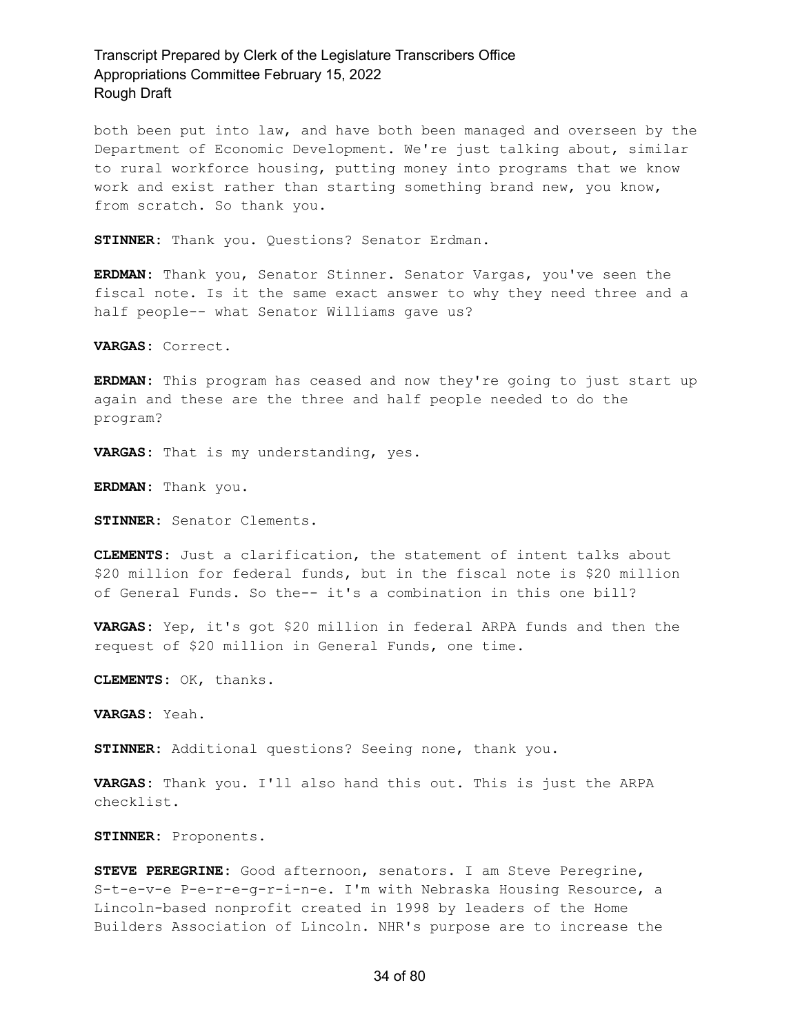both been put into law, and have both been managed and overseen by the Department of Economic Development. We're just talking about, similar to rural workforce housing, putting money into programs that we know work and exist rather than starting something brand new, you know, from scratch. So thank you.

**STINNER:** Thank you. Questions? Senator Erdman.

**ERDMAN:** Thank you, Senator Stinner. Senator Vargas, you've seen the fiscal note. Is it the same exact answer to why they need three and a half people-- what Senator Williams gave us?

**VARGAS:** Correct.

**ERDMAN:** This program has ceased and now they're going to just start up again and these are the three and half people needed to do the program?

**VARGAS:** That is my understanding, yes.

**ERDMAN:** Thank you.

**STINNER:** Senator Clements.

**CLEMENTS:** Just a clarification, the statement of intent talks about \$20 million for federal funds, but in the fiscal note is \$20 million of General Funds. So the-- it's a combination in this one bill?

**VARGAS:** Yep, it's got \$20 million in federal ARPA funds and then the request of \$20 million in General Funds, one time.

**CLEMENTS:** OK, thanks.

**VARGAS:** Yeah.

**STINNER:** Additional questions? Seeing none, thank you.

**VARGAS:** Thank you. I'll also hand this out. This is just the ARPA checklist.

**STINNER:** Proponents.

**STEVE PEREGRINE:** Good afternoon, senators. I am Steve Peregrine, S-t-e-v-e P-e-r-e-g-r-i-n-e. I'm with Nebraska Housing Resource, a Lincoln-based nonprofit created in 1998 by leaders of the Home Builders Association of Lincoln. NHR's purpose are to increase the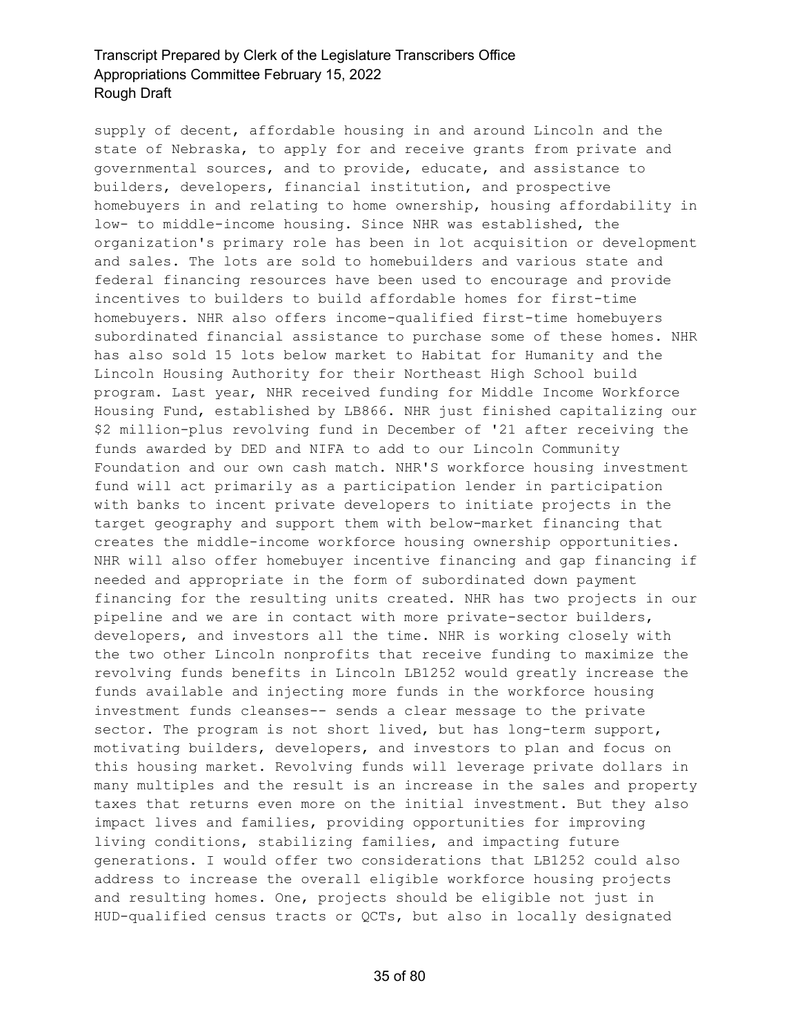supply of decent, affordable housing in and around Lincoln and the state of Nebraska, to apply for and receive grants from private and governmental sources, and to provide, educate, and assistance to builders, developers, financial institution, and prospective homebuyers in and relating to home ownership, housing affordability in low- to middle-income housing. Since NHR was established, the organization's primary role has been in lot acquisition or development and sales. The lots are sold to homebuilders and various state and federal financing resources have been used to encourage and provide incentives to builders to build affordable homes for first-time homebuyers. NHR also offers income-qualified first-time homebuyers subordinated financial assistance to purchase some of these homes. NHR has also sold 15 lots below market to Habitat for Humanity and the Lincoln Housing Authority for their Northeast High School build program. Last year, NHR received funding for Middle Income Workforce Housing Fund, established by LB866. NHR just finished capitalizing our \$2 million-plus revolving fund in December of '21 after receiving the funds awarded by DED and NIFA to add to our Lincoln Community Foundation and our own cash match. NHR'S workforce housing investment fund will act primarily as a participation lender in participation with banks to incent private developers to initiate projects in the target geography and support them with below-market financing that creates the middle-income workforce housing ownership opportunities. NHR will also offer homebuyer incentive financing and gap financing if needed and appropriate in the form of subordinated down payment financing for the resulting units created. NHR has two projects in our pipeline and we are in contact with more private-sector builders, developers, and investors all the time. NHR is working closely with the two other Lincoln nonprofits that receive funding to maximize the revolving funds benefits in Lincoln LB1252 would greatly increase the funds available and injecting more funds in the workforce housing investment funds cleanses-- sends a clear message to the private sector. The program is not short lived, but has long-term support, motivating builders, developers, and investors to plan and focus on this housing market. Revolving funds will leverage private dollars in many multiples and the result is an increase in the sales and property taxes that returns even more on the initial investment. But they also impact lives and families, providing opportunities for improving living conditions, stabilizing families, and impacting future generations. I would offer two considerations that LB1252 could also address to increase the overall eligible workforce housing projects and resulting homes. One, projects should be eligible not just in HUD-qualified census tracts or QCTs, but also in locally designated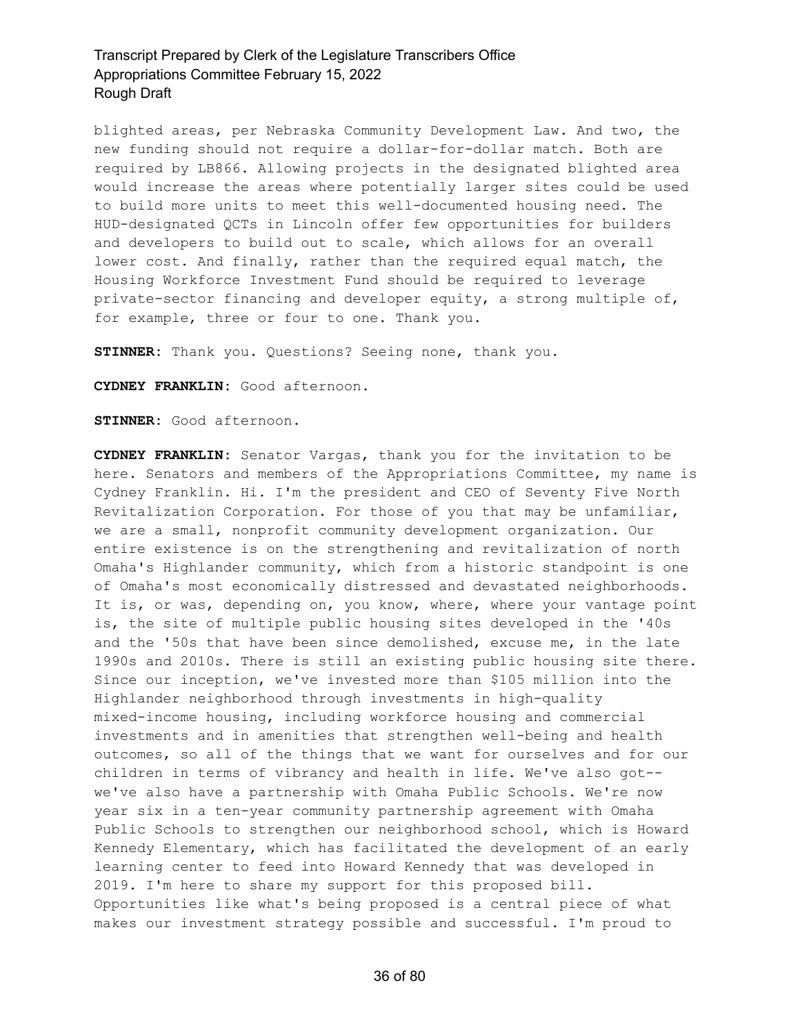blighted areas, per Nebraska Community Development Law. And two, the new funding should not require a dollar-for-dollar match. Both are required by LB866. Allowing projects in the designated blighted area would increase the areas where potentially larger sites could be used to build more units to meet this well-documented housing need. The HUD-designated QCTs in Lincoln offer few opportunities for builders and developers to build out to scale, which allows for an overall lower cost. And finally, rather than the required equal match, the Housing Workforce Investment Fund should be required to leverage private-sector financing and developer equity, a strong multiple of, for example, three or four to one. Thank you.

**STINNER:** Thank you. Questions? Seeing none, thank you.

**CYDNEY FRANKLIN:** Good afternoon.

**STINNER:** Good afternoon.

**CYDNEY FRANKLIN:** Senator Vargas, thank you for the invitation to be here. Senators and members of the Appropriations Committee, my name is Cydney Franklin. Hi. I'm the president and CEO of Seventy Five North Revitalization Corporation. For those of you that may be unfamiliar, we are a small, nonprofit community development organization. Our entire existence is on the strengthening and revitalization of north Omaha's Highlander community, which from a historic standpoint is one of Omaha's most economically distressed and devastated neighborhoods. It is, or was, depending on, you know, where, where your vantage point is, the site of multiple public housing sites developed in the '40s and the '50s that have been since demolished, excuse me, in the late 1990s and 2010s. There is still an existing public housing site there. Since our inception, we've invested more than \$105 million into the Highlander neighborhood through investments in high-quality mixed-income housing, including workforce housing and commercial investments and in amenities that strengthen well-being and health outcomes, so all of the things that we want for ourselves and for our children in terms of vibrancy and health in life. We've also got- we've also have a partnership with Omaha Public Schools. We're now year six in a ten-year community partnership agreement with Omaha Public Schools to strengthen our neighborhood school, which is Howard Kennedy Elementary, which has facilitated the development of an early learning center to feed into Howard Kennedy that was developed in 2019. I'm here to share my support for this proposed bill. Opportunities like what's being proposed is a central piece of what makes our investment strategy possible and successful. I'm proud to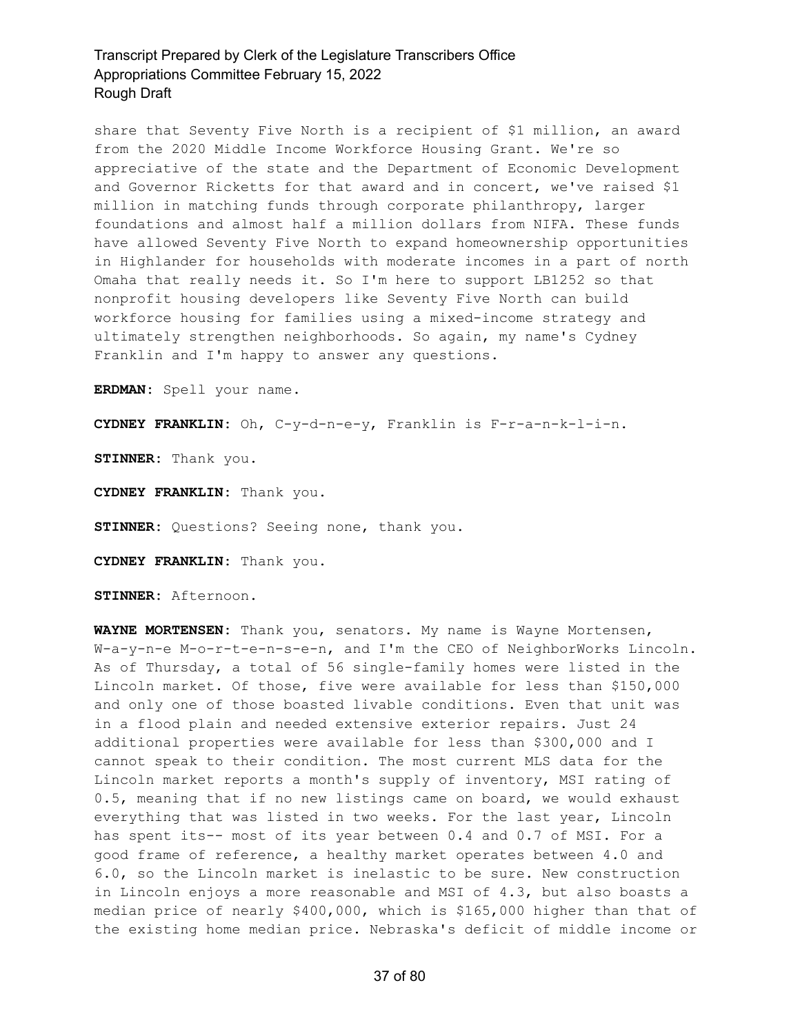share that Seventy Five North is a recipient of \$1 million, an award from the 2020 Middle Income Workforce Housing Grant. We're so appreciative of the state and the Department of Economic Development and Governor Ricketts for that award and in concert, we've raised \$1 million in matching funds through corporate philanthropy, larger foundations and almost half a million dollars from NIFA. These funds have allowed Seventy Five North to expand homeownership opportunities in Highlander for households with moderate incomes in a part of north Omaha that really needs it. So I'm here to support LB1252 so that nonprofit housing developers like Seventy Five North can build workforce housing for families using a mixed-income strategy and ultimately strengthen neighborhoods. So again, my name's Cydney Franklin and I'm happy to answer any questions.

**ERDMAN:** Spell your name.

**CYDNEY FRANKLIN:** Oh, C-y-d-n-e-y, Franklin is F-r-a-n-k-l-i-n.

**STINNER:** Thank you.

**CYDNEY FRANKLIN:** Thank you.

**STINNER:** Questions? Seeing none, thank you.

**CYDNEY FRANKLIN:** Thank you.

**STINNER:** Afternoon.

**WAYNE MORTENSEN:** Thank you, senators. My name is Wayne Mortensen, W-a-y-n-e M-o-r-t-e-n-s-e-n, and I'm the CEO of NeighborWorks Lincoln. As of Thursday, a total of 56 single-family homes were listed in the Lincoln market. Of those, five were available for less than \$150,000 and only one of those boasted livable conditions. Even that unit was in a flood plain and needed extensive exterior repairs. Just 24 additional properties were available for less than \$300,000 and I cannot speak to their condition. The most current MLS data for the Lincoln market reports a month's supply of inventory, MSI rating of 0.5, meaning that if no new listings came on board, we would exhaust everything that was listed in two weeks. For the last year, Lincoln has spent its-- most of its year between 0.4 and 0.7 of MSI. For a good frame of reference, a healthy market operates between 4.0 and 6.0, so the Lincoln market is inelastic to be sure. New construction in Lincoln enjoys a more reasonable and MSI of 4.3, but also boasts a median price of nearly \$400,000, which is \$165,000 higher than that of the existing home median price. Nebraska's deficit of middle income or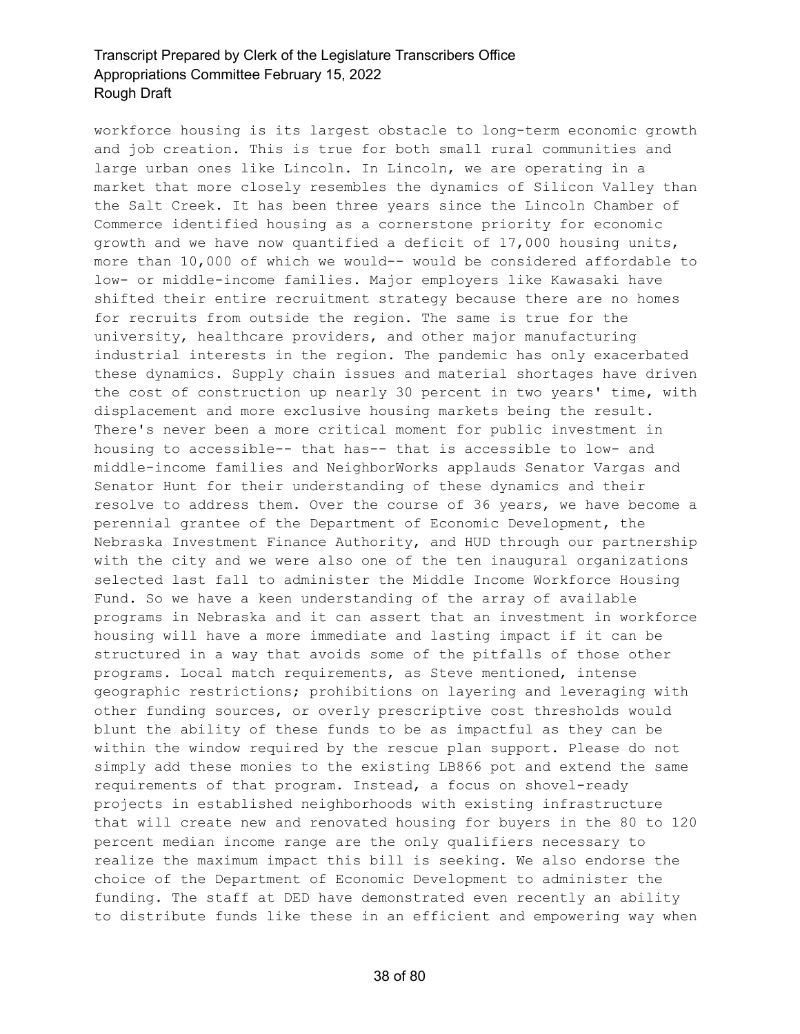workforce housing is its largest obstacle to long-term economic growth and job creation. This is true for both small rural communities and large urban ones like Lincoln. In Lincoln, we are operating in a market that more closely resembles the dynamics of Silicon Valley than the Salt Creek. It has been three years since the Lincoln Chamber of Commerce identified housing as a cornerstone priority for economic growth and we have now quantified a deficit of 17,000 housing units, more than 10,000 of which we would-- would be considered affordable to low- or middle-income families. Major employers like Kawasaki have shifted their entire recruitment strategy because there are no homes for recruits from outside the region. The same is true for the university, healthcare providers, and other major manufacturing industrial interests in the region. The pandemic has only exacerbated these dynamics. Supply chain issues and material shortages have driven the cost of construction up nearly 30 percent in two years' time, with displacement and more exclusive housing markets being the result. There's never been a more critical moment for public investment in housing to accessible-- that has-- that is accessible to low- and middle-income families and NeighborWorks applauds Senator Vargas and Senator Hunt for their understanding of these dynamics and their resolve to address them. Over the course of 36 years, we have become a perennial grantee of the Department of Economic Development, the Nebraska Investment Finance Authority, and HUD through our partnership with the city and we were also one of the ten inaugural organizations selected last fall to administer the Middle Income Workforce Housing Fund. So we have a keen understanding of the array of available programs in Nebraska and it can assert that an investment in workforce housing will have a more immediate and lasting impact if it can be structured in a way that avoids some of the pitfalls of those other programs. Local match requirements, as Steve mentioned, intense geographic restrictions; prohibitions on layering and leveraging with other funding sources, or overly prescriptive cost thresholds would blunt the ability of these funds to be as impactful as they can be within the window required by the rescue plan support. Please do not simply add these monies to the existing LB866 pot and extend the same requirements of that program. Instead, a focus on shovel-ready projects in established neighborhoods with existing infrastructure that will create new and renovated housing for buyers in the 80 to 120 percent median income range are the only qualifiers necessary to realize the maximum impact this bill is seeking. We also endorse the choice of the Department of Economic Development to administer the funding. The staff at DED have demonstrated even recently an ability to distribute funds like these in an efficient and empowering way when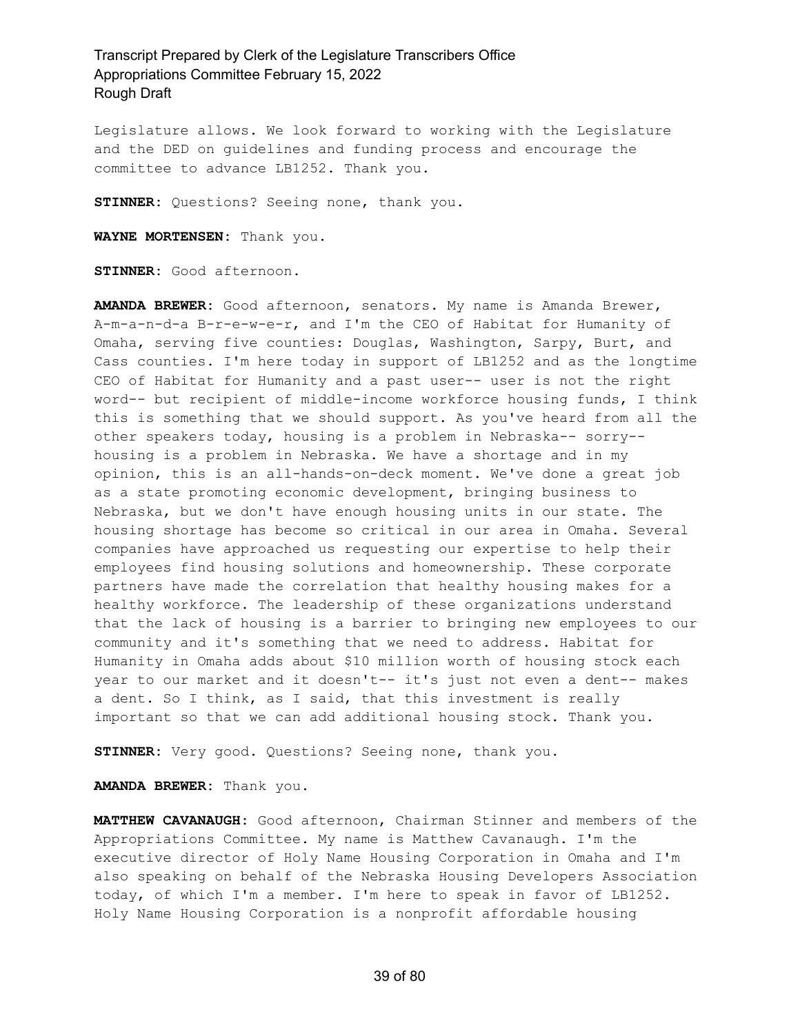Legislature allows. We look forward to working with the Legislature and the DED on guidelines and funding process and encourage the committee to advance LB1252. Thank you.

**STINNER:** Questions? Seeing none, thank you.

**WAYNE MORTENSEN:** Thank you.

**STINNER:** Good afternoon.

**AMANDA BREWER:** Good afternoon, senators. My name is Amanda Brewer, A-m-a-n-d-a B-r-e-w-e-r, and I'm the CEO of Habitat for Humanity of Omaha, serving five counties: Douglas, Washington, Sarpy, Burt, and Cass counties. I'm here today in support of LB1252 and as the longtime CEO of Habitat for Humanity and a past user-- user is not the right word-- but recipient of middle-income workforce housing funds, I think this is something that we should support. As you've heard from all the other speakers today, housing is a problem in Nebraska-- sorry- housing is a problem in Nebraska. We have a shortage and in my opinion, this is an all-hands-on-deck moment. We've done a great job as a state promoting economic development, bringing business to Nebraska, but we don't have enough housing units in our state. The housing shortage has become so critical in our area in Omaha. Several companies have approached us requesting our expertise to help their employees find housing solutions and homeownership. These corporate partners have made the correlation that healthy housing makes for a healthy workforce. The leadership of these organizations understand that the lack of housing is a barrier to bringing new employees to our community and it's something that we need to address. Habitat for Humanity in Omaha adds about \$10 million worth of housing stock each year to our market and it doesn't-- it's just not even a dent-- makes a dent. So I think, as I said, that this investment is really important so that we can add additional housing stock. Thank you.

**STINNER:** Very good. Questions? Seeing none, thank you.

**AMANDA BREWER:** Thank you.

**MATTHEW CAVANAUGH:** Good afternoon, Chairman Stinner and members of the Appropriations Committee. My name is Matthew Cavanaugh. I'm the executive director of Holy Name Housing Corporation in Omaha and I'm also speaking on behalf of the Nebraska Housing Developers Association today, of which I'm a member. I'm here to speak in favor of LB1252. Holy Name Housing Corporation is a nonprofit affordable housing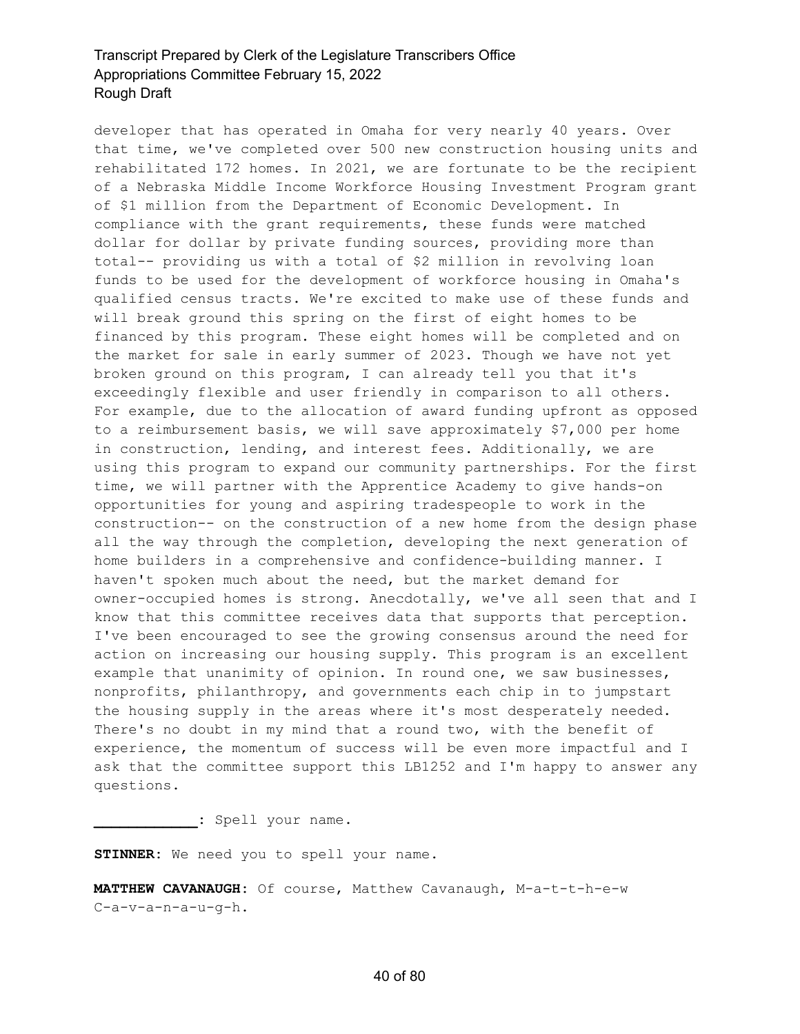developer that has operated in Omaha for very nearly 40 years. Over that time, we've completed over 500 new construction housing units and rehabilitated 172 homes. In 2021, we are fortunate to be the recipient of a Nebraska Middle Income Workforce Housing Investment Program grant of \$1 million from the Department of Economic Development. In compliance with the grant requirements, these funds were matched dollar for dollar by private funding sources, providing more than total-- providing us with a total of \$2 million in revolving loan funds to be used for the development of workforce housing in Omaha's qualified census tracts. We're excited to make use of these funds and will break ground this spring on the first of eight homes to be financed by this program. These eight homes will be completed and on the market for sale in early summer of 2023. Though we have not yet broken ground on this program, I can already tell you that it's exceedingly flexible and user friendly in comparison to all others. For example, due to the allocation of award funding upfront as opposed to a reimbursement basis, we will save approximately \$7,000 per home in construction, lending, and interest fees. Additionally, we are using this program to expand our community partnerships. For the first time, we will partner with the Apprentice Academy to give hands-on opportunities for young and aspiring tradespeople to work in the construction-- on the construction of a new home from the design phase all the way through the completion, developing the next generation of home builders in a comprehensive and confidence-building manner. I haven't spoken much about the need, but the market demand for owner-occupied homes is strong. Anecdotally, we've all seen that and I know that this committee receives data that supports that perception. I've been encouraged to see the growing consensus around the need for action on increasing our housing supply. This program is an excellent example that unanimity of opinion. In round one, we saw businesses, nonprofits, philanthropy, and governments each chip in to jumpstart the housing supply in the areas where it's most desperately needed. There's no doubt in my mind that a round two, with the benefit of experience, the momentum of success will be even more impactful and I ask that the committee support this LB1252 and I'm happy to answer any questions.

**\_\_\_\_\_\_\_\_\_\_\_\_:** Spell your name.

**STINNER:** We need you to spell your name.

**MATTHEW CAVANAUGH:** Of course, Matthew Cavanaugh, M-a-t-t-h-e-w C-a-v-a-n-a-u-g-h.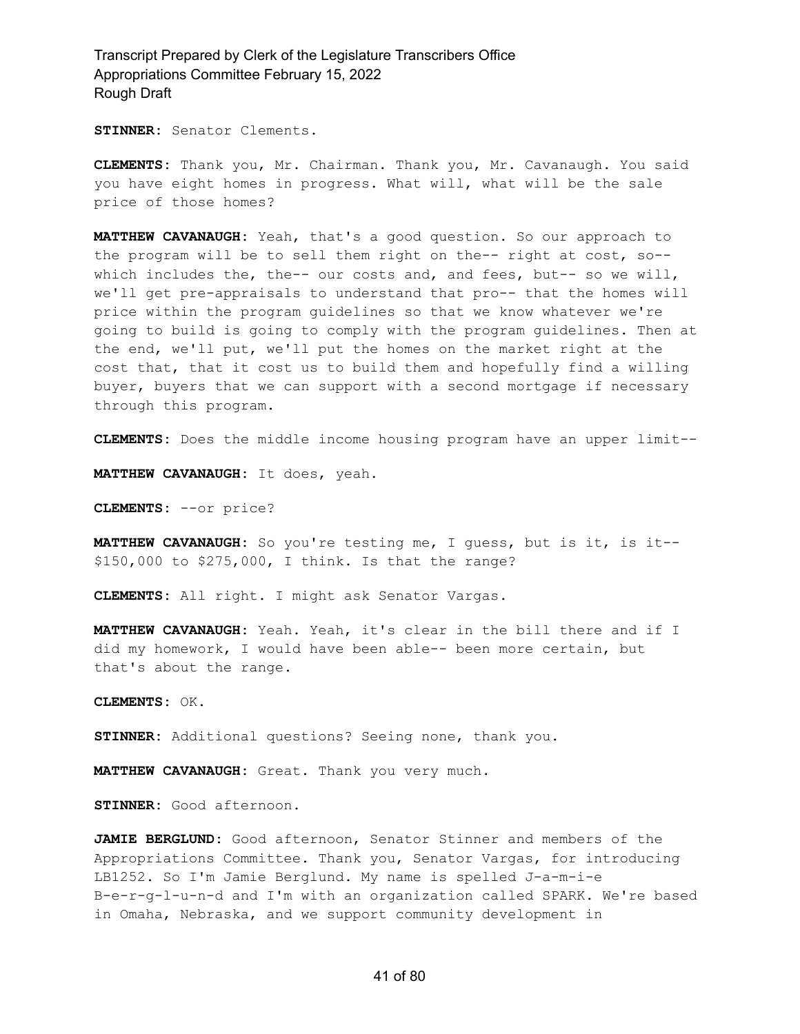**STINNER:** Senator Clements.

**CLEMENTS:** Thank you, Mr. Chairman. Thank you, Mr. Cavanaugh. You said you have eight homes in progress. What will, what will be the sale price of those homes?

**MATTHEW CAVANAUGH:** Yeah, that's a good question. So our approach to the program will be to sell them right on the-- right at cost, so- which includes the, the-- our costs and, and fees, but-- so we will, we'll get pre-appraisals to understand that pro-- that the homes will price within the program guidelines so that we know whatever we're going to build is going to comply with the program guidelines. Then at the end, we'll put, we'll put the homes on the market right at the cost that, that it cost us to build them and hopefully find a willing buyer, buyers that we can support with a second mortgage if necessary through this program.

**CLEMENTS:** Does the middle income housing program have an upper limit--

**MATTHEW CAVANAUGH:** It does, yeah.

**CLEMENTS:** --or price?

**MATTHEW CAVANAUGH:** So you're testing me, I guess, but is it, is it-- \$150,000 to \$275,000, I think. Is that the range?

**CLEMENTS:** All right. I might ask Senator Vargas.

**MATTHEW CAVANAUGH:** Yeah. Yeah, it's clear in the bill there and if I did my homework, I would have been able-- been more certain, but that's about the range.

**CLEMENTS:** OK.

**STINNER:** Additional questions? Seeing none, thank you.

**MATTHEW CAVANAUGH:** Great. Thank you very much.

**STINNER:** Good afternoon.

**JAMIE BERGLUND:** Good afternoon, Senator Stinner and members of the Appropriations Committee. Thank you, Senator Vargas, for introducing LB1252. So I'm Jamie Berglund. My name is spelled J-a-m-i-e B-e-r-g-l-u-n-d and I'm with an organization called SPARK. We're based in Omaha, Nebraska, and we support community development in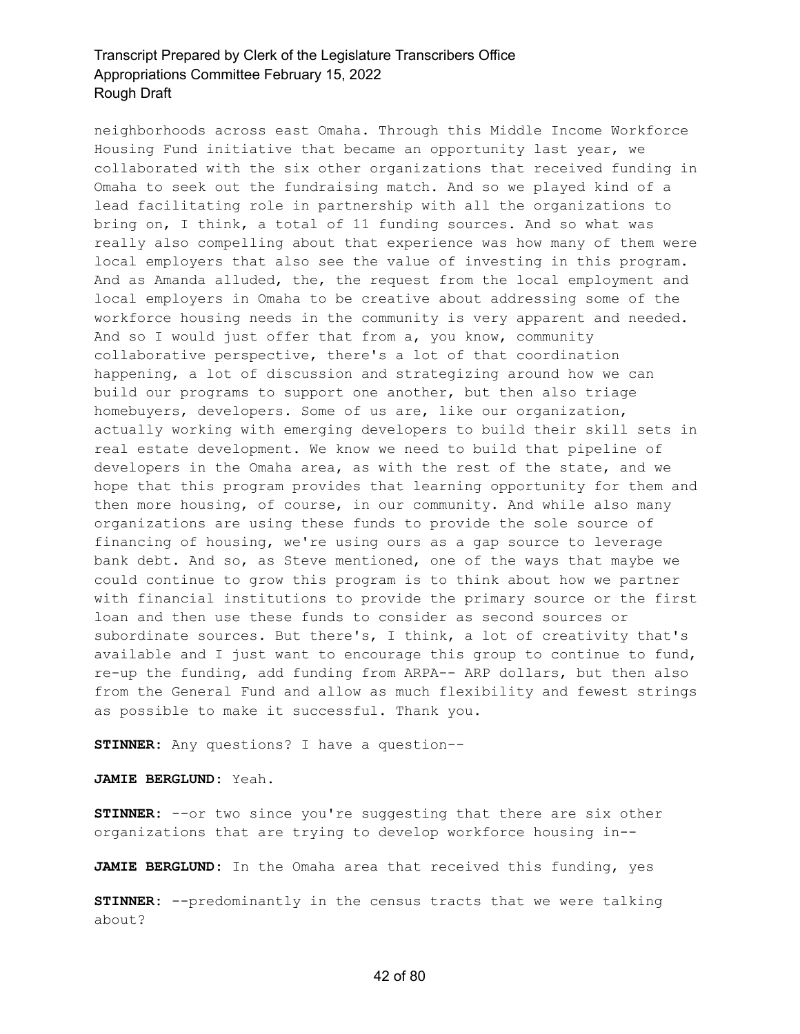neighborhoods across east Omaha. Through this Middle Income Workforce Housing Fund initiative that became an opportunity last year, we collaborated with the six other organizations that received funding in Omaha to seek out the fundraising match. And so we played kind of a lead facilitating role in partnership with all the organizations to bring on, I think, a total of 11 funding sources. And so what was really also compelling about that experience was how many of them were local employers that also see the value of investing in this program. And as Amanda alluded, the, the request from the local employment and local employers in Omaha to be creative about addressing some of the workforce housing needs in the community is very apparent and needed. And so I would just offer that from a, you know, community collaborative perspective, there's a lot of that coordination happening, a lot of discussion and strategizing around how we can build our programs to support one another, but then also triage homebuyers, developers. Some of us are, like our organization, actually working with emerging developers to build their skill sets in real estate development. We know we need to build that pipeline of developers in the Omaha area, as with the rest of the state, and we hope that this program provides that learning opportunity for them and then more housing, of course, in our community. And while also many organizations are using these funds to provide the sole source of financing of housing, we're using ours as a gap source to leverage bank debt. And so, as Steve mentioned, one of the ways that maybe we could continue to grow this program is to think about how we partner with financial institutions to provide the primary source or the first loan and then use these funds to consider as second sources or subordinate sources. But there's, I think, a lot of creativity that's available and I just want to encourage this group to continue to fund, re-up the funding, add funding from ARPA-- ARP dollars, but then also from the General Fund and allow as much flexibility and fewest strings as possible to make it successful. Thank you.

**STINNER:** Any questions? I have a question--

**JAMIE BERGLUND:** Yeah.

**STINNER:** --or two since you're suggesting that there are six other organizations that are trying to develop workforce housing in--

**JAMIE BERGLUND:** In the Omaha area that received this funding, yes

**STINNER:** --predominantly in the census tracts that we were talking about?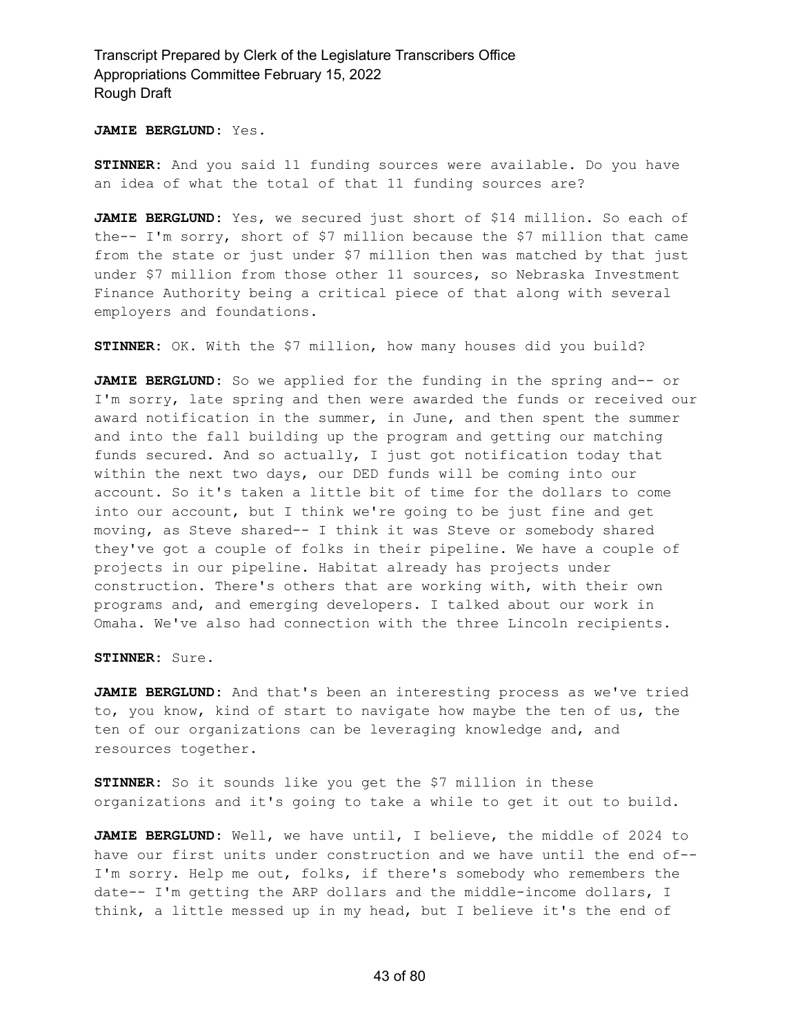**JAMIE BERGLUND:** Yes.

**STINNER:** And you said 11 funding sources were available. Do you have an idea of what the total of that 11 funding sources are?

**JAMIE BERGLUND:** Yes, we secured just short of \$14 million. So each of the-- I'm sorry, short of \$7 million because the \$7 million that came from the state or just under \$7 million then was matched by that just under \$7 million from those other 11 sources, so Nebraska Investment Finance Authority being a critical piece of that along with several employers and foundations.

**STINNER:** OK. With the \$7 million, how many houses did you build?

**JAMIE BERGLUND:** So we applied for the funding in the spring and-- or I'm sorry, late spring and then were awarded the funds or received our award notification in the summer, in June, and then spent the summer and into the fall building up the program and getting our matching funds secured. And so actually, I just got notification today that within the next two days, our DED funds will be coming into our account. So it's taken a little bit of time for the dollars to come into our account, but I think we're going to be just fine and get moving, as Steve shared-- I think it was Steve or somebody shared they've got a couple of folks in their pipeline. We have a couple of projects in our pipeline. Habitat already has projects under construction. There's others that are working with, with their own programs and, and emerging developers. I talked about our work in Omaha. We've also had connection with the three Lincoln recipients.

#### **STINNER:** Sure.

**JAMIE BERGLUND:** And that's been an interesting process as we've tried to, you know, kind of start to navigate how maybe the ten of us, the ten of our organizations can be leveraging knowledge and, and resources together.

**STINNER:** So it sounds like you get the \$7 million in these organizations and it's going to take a while to get it out to build.

**JAMIE BERGLUND:** Well, we have until, I believe, the middle of 2024 to have our first units under construction and we have until the end of-- I'm sorry. Help me out, folks, if there's somebody who remembers the date-- I'm getting the ARP dollars and the middle-income dollars, I think, a little messed up in my head, but I believe it's the end of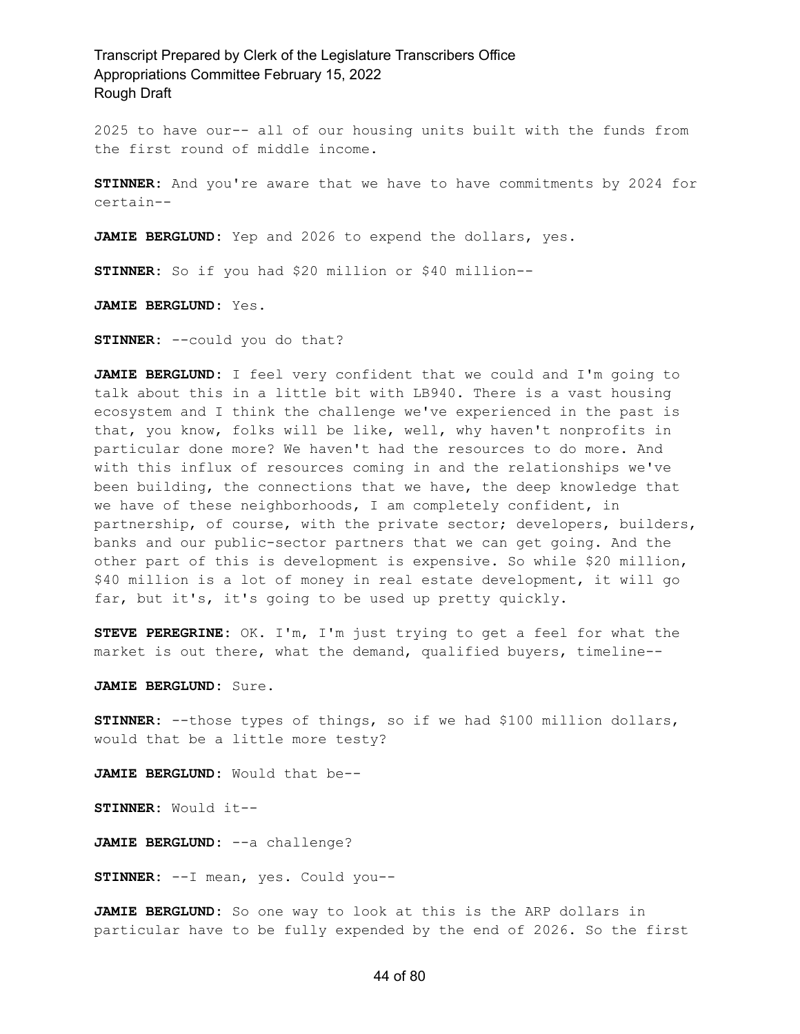2025 to have our-- all of our housing units built with the funds from the first round of middle income.

**STINNER:** And you're aware that we have to have commitments by 2024 for certain--

**JAMIE BERGLUND:** Yep and 2026 to expend the dollars, yes.

**STINNER:** So if you had \$20 million or \$40 million--

**JAMIE BERGLUND:** Yes.

**STINNER:** --could you do that?

**JAMIE BERGLUND:** I feel very confident that we could and I'm going to talk about this in a little bit with LB940. There is a vast housing ecosystem and I think the challenge we've experienced in the past is that, you know, folks will be like, well, why haven't nonprofits in particular done more? We haven't had the resources to do more. And with this influx of resources coming in and the relationships we've been building, the connections that we have, the deep knowledge that we have of these neighborhoods, I am completely confident, in partnership, of course, with the private sector; developers, builders, banks and our public-sector partners that we can get going. And the other part of this is development is expensive. So while \$20 million, \$40 million is a lot of money in real estate development, it will go far, but it's, it's going to be used up pretty quickly.

**STEVE PEREGRINE:** OK. I'm, I'm just trying to get a feel for what the market is out there, what the demand, qualified buyers, timeline--

**JAMIE BERGLUND:** Sure.

**STINNER:** --those types of things, so if we had \$100 million dollars, would that be a little more testy?

**JAMIE BERGLUND:** Would that be--

**STINNER:** Would it--

**JAMIE BERGLUND:** --a challenge?

**STINNER:** --I mean, yes. Could you--

**JAMIE BERGLUND:** So one way to look at this is the ARP dollars in particular have to be fully expended by the end of 2026. So the first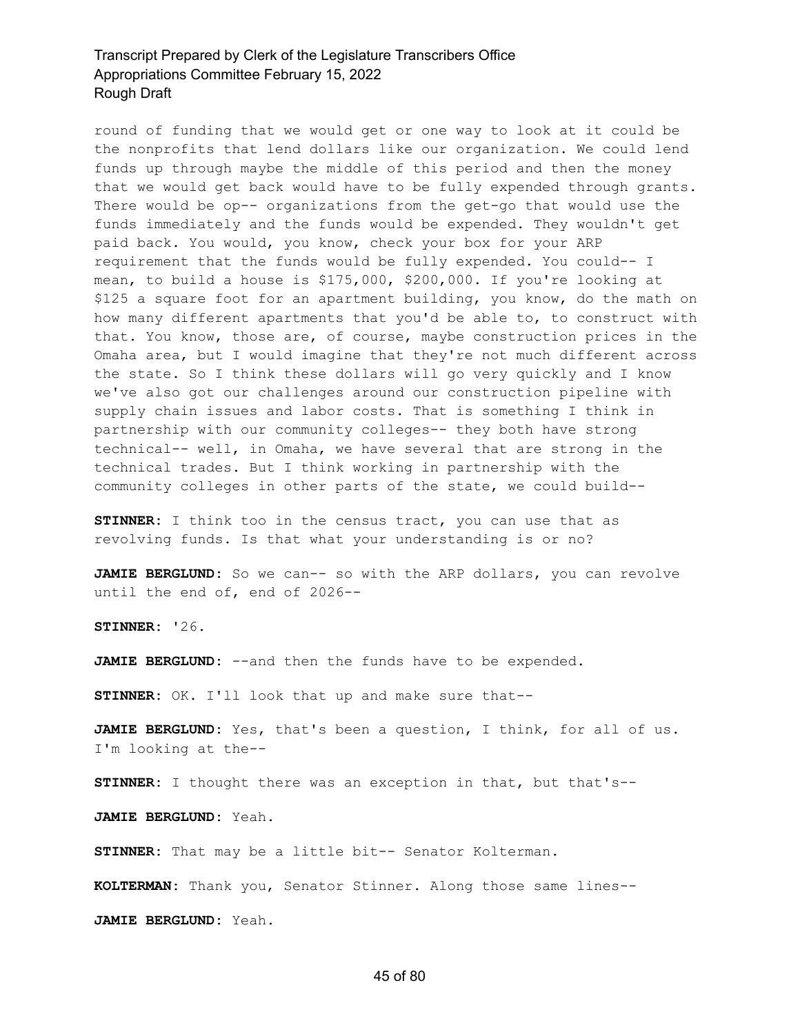round of funding that we would get or one way to look at it could be the nonprofits that lend dollars like our organization. We could lend funds up through maybe the middle of this period and then the money that we would get back would have to be fully expended through grants. There would be op-- organizations from the get-go that would use the funds immediately and the funds would be expended. They wouldn't get paid back. You would, you know, check your box for your ARP requirement that the funds would be fully expended. You could-- I mean, to build a house is \$175,000, \$200,000. If you're looking at \$125 a square foot for an apartment building, you know, do the math on how many different apartments that you'd be able to, to construct with that. You know, those are, of course, maybe construction prices in the Omaha area, but I would imagine that they're not much different across the state. So I think these dollars will go very quickly and I know we've also got our challenges around our construction pipeline with supply chain issues and labor costs. That is something I think in partnership with our community colleges-- they both have strong technical-- well, in Omaha, we have several that are strong in the technical trades. But I think working in partnership with the community colleges in other parts of the state, we could build--

**STINNER:** I think too in the census tract, you can use that as revolving funds. Is that what your understanding is or no?

**JAMIE BERGLUND:** So we can-- so with the ARP dollars, you can revolve until the end of, end of 2026--

**STINNER:** '26.

JAMIE BERGLUND: --and then the funds have to be expended.

**STINNER:** OK. I'll look that up and make sure that--

**JAMIE BERGLUND:** Yes, that's been a question, I think, for all of us. I'm looking at the--

**STINNER:** I thought there was an exception in that, but that's--

**JAMIE BERGLUND:** Yeah.

**STINNER:** That may be a little bit-- Senator Kolterman.

**KOLTERMAN:** Thank you, Senator Stinner. Along those same lines--

**JAMIE BERGLUND:** Yeah.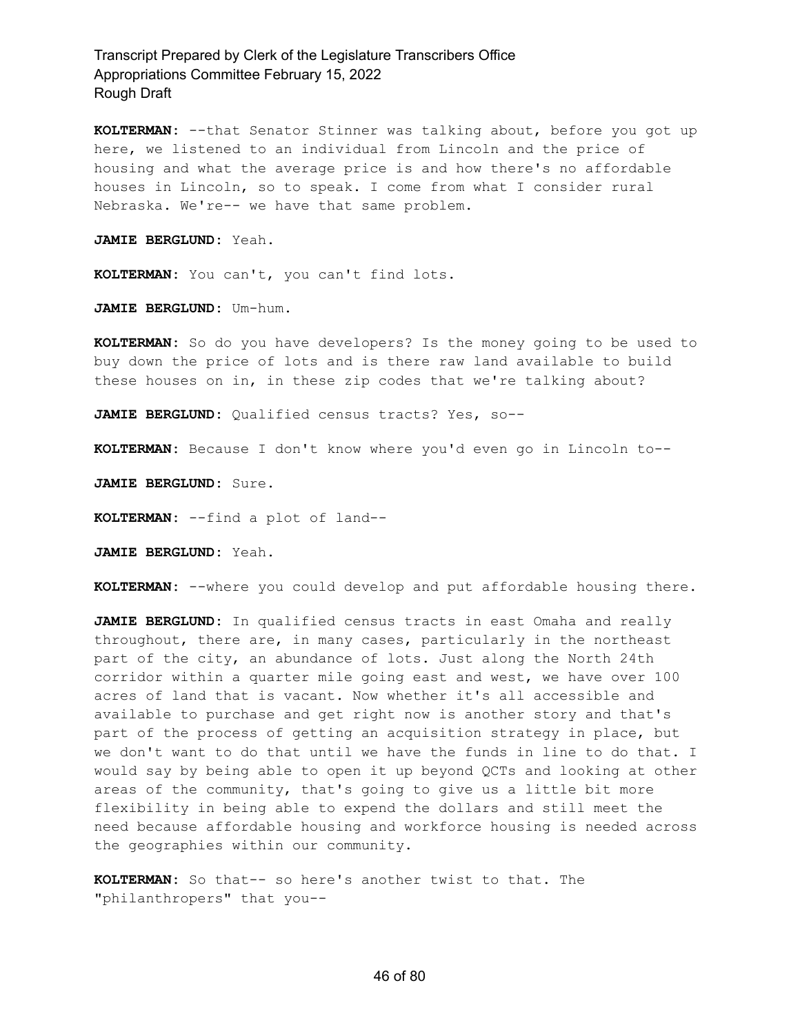**KOLTERMAN:** --that Senator Stinner was talking about, before you got up here, we listened to an individual from Lincoln and the price of housing and what the average price is and how there's no affordable houses in Lincoln, so to speak. I come from what I consider rural Nebraska. We're-- we have that same problem.

**JAMIE BERGLUND:** Yeah.

**KOLTERMAN:** You can't, you can't find lots.

**JAMIE BERGLUND:** Um-hum.

**KOLTERMAN:** So do you have developers? Is the money going to be used to buy down the price of lots and is there raw land available to build these houses on in, in these zip codes that we're talking about?

**JAMIE BERGLUND:** Qualified census tracts? Yes, so--

**KOLTERMAN:** Because I don't know where you'd even go in Lincoln to--

**JAMIE BERGLUND:** Sure.

**KOLTERMAN:** --find a plot of land--

**JAMIE BERGLUND:** Yeah.

**KOLTERMAN:** --where you could develop and put affordable housing there.

**JAMIE BERGLUND:** In qualified census tracts in east Omaha and really throughout, there are, in many cases, particularly in the northeast part of the city, an abundance of lots. Just along the North 24th corridor within a quarter mile going east and west, we have over 100 acres of land that is vacant. Now whether it's all accessible and available to purchase and get right now is another story and that's part of the process of getting an acquisition strategy in place, but we don't want to do that until we have the funds in line to do that. I would say by being able to open it up beyond QCTs and looking at other areas of the community, that's going to give us a little bit more flexibility in being able to expend the dollars and still meet the need because affordable housing and workforce housing is needed across the geographies within our community.

**KOLTERMAN:** So that-- so here's another twist to that. The "philanthropers" that you--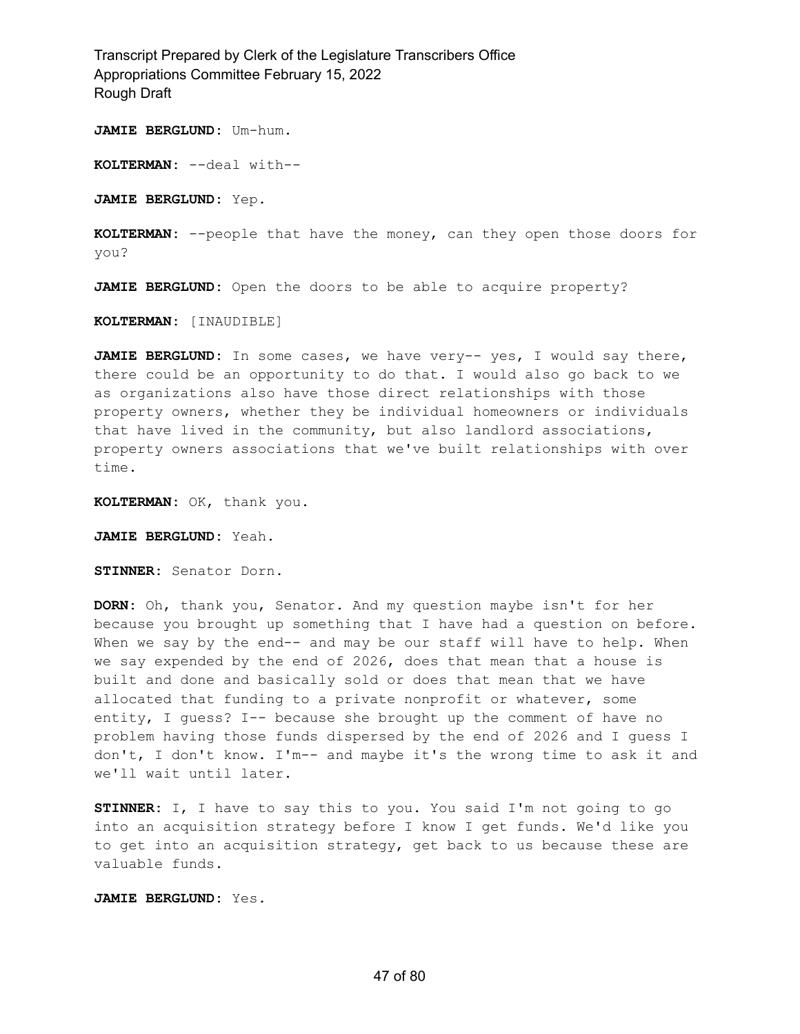**JAMIE BERGLUND:** Um-hum.

**KOLTERMAN:** --deal with--

**JAMIE BERGLUND:** Yep.

**KOLTERMAN:** --people that have the money, can they open those doors for you?

**JAMIE BERGLUND:** Open the doors to be able to acquire property?

**KOLTERMAN:** [INAUDIBLE]

**JAMIE BERGLUND:** In some cases, we have very-- yes, I would say there, there could be an opportunity to do that. I would also go back to we as organizations also have those direct relationships with those property owners, whether they be individual homeowners or individuals that have lived in the community, but also landlord associations, property owners associations that we've built relationships with over time.

**KOLTERMAN:** OK, thank you.

**JAMIE BERGLUND:** Yeah.

**STINNER:** Senator Dorn.

**DORN:** Oh, thank you, Senator. And my question maybe isn't for her because you brought up something that I have had a question on before. When we say by the end-- and may be our staff will have to help. When we say expended by the end of 2026, does that mean that a house is built and done and basically sold or does that mean that we have allocated that funding to a private nonprofit or whatever, some entity, I guess? I-- because she brought up the comment of have no problem having those funds dispersed by the end of 2026 and I guess I don't, I don't know. I'm-- and maybe it's the wrong time to ask it and we'll wait until later.

**STINNER:** I, I have to say this to you. You said I'm not going to go into an acquisition strategy before I know I get funds. We'd like you to get into an acquisition strategy, get back to us because these are valuable funds.

**JAMIE BERGLUND:** Yes.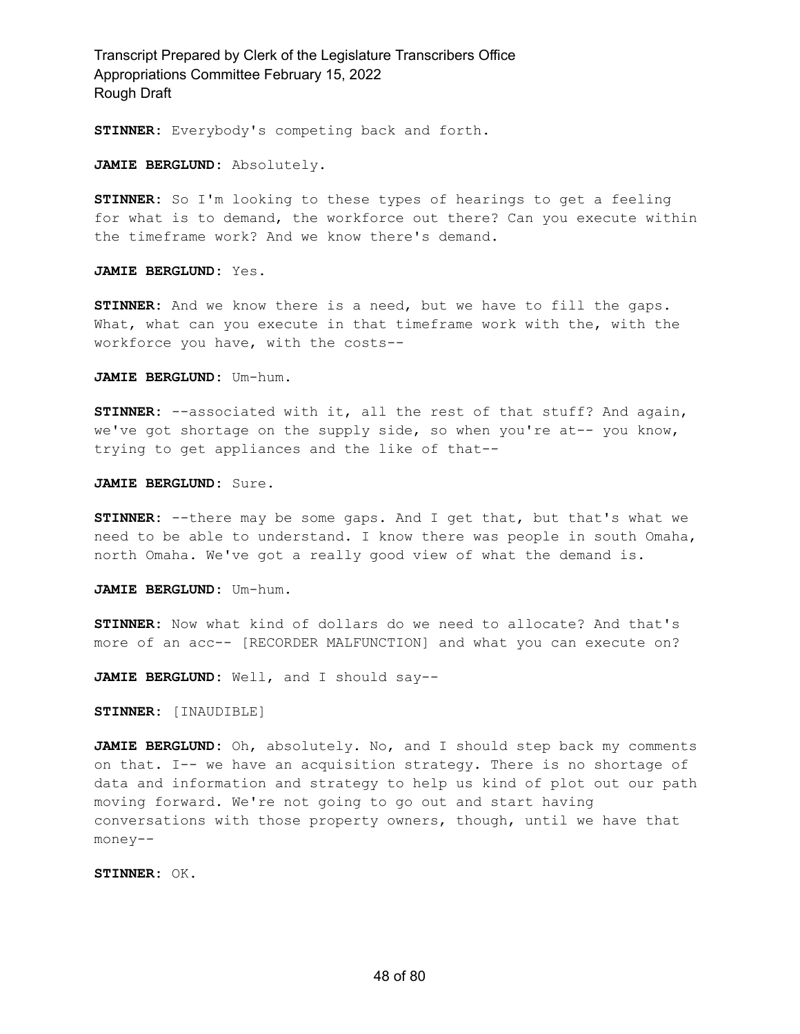**STINNER:** Everybody's competing back and forth.

**JAMIE BERGLUND:** Absolutely.

**STINNER:** So I'm looking to these types of hearings to get a feeling for what is to demand, the workforce out there? Can you execute within the timeframe work? And we know there's demand.

**JAMIE BERGLUND:** Yes.

**STINNER:** And we know there is a need, but we have to fill the gaps. What, what can you execute in that timeframe work with the, with the workforce you have, with the costs--

**JAMIE BERGLUND:** Um-hum.

**STINNER:** --associated with it, all the rest of that stuff? And again, we've got shortage on the supply side, so when you're at-- you know, trying to get appliances and the like of that--

**JAMIE BERGLUND:** Sure.

**STINNER:** --there may be some gaps. And I get that, but that's what we need to be able to understand. I know there was people in south Omaha, north Omaha. We've got a really good view of what the demand is.

**JAMIE BERGLUND:** Um-hum.

**STINNER:** Now what kind of dollars do we need to allocate? And that's more of an acc-- [RECORDER MALFUNCTION] and what you can execute on?

**JAMIE BERGLUND:** Well, and I should say--

**STINNER:** [INAUDIBLE]

**JAMIE BERGLUND:** Oh, absolutely. No, and I should step back my comments on that. I-- we have an acquisition strategy. There is no shortage of data and information and strategy to help us kind of plot out our path moving forward. We're not going to go out and start having conversations with those property owners, though, until we have that money--

**STINNER:** OK.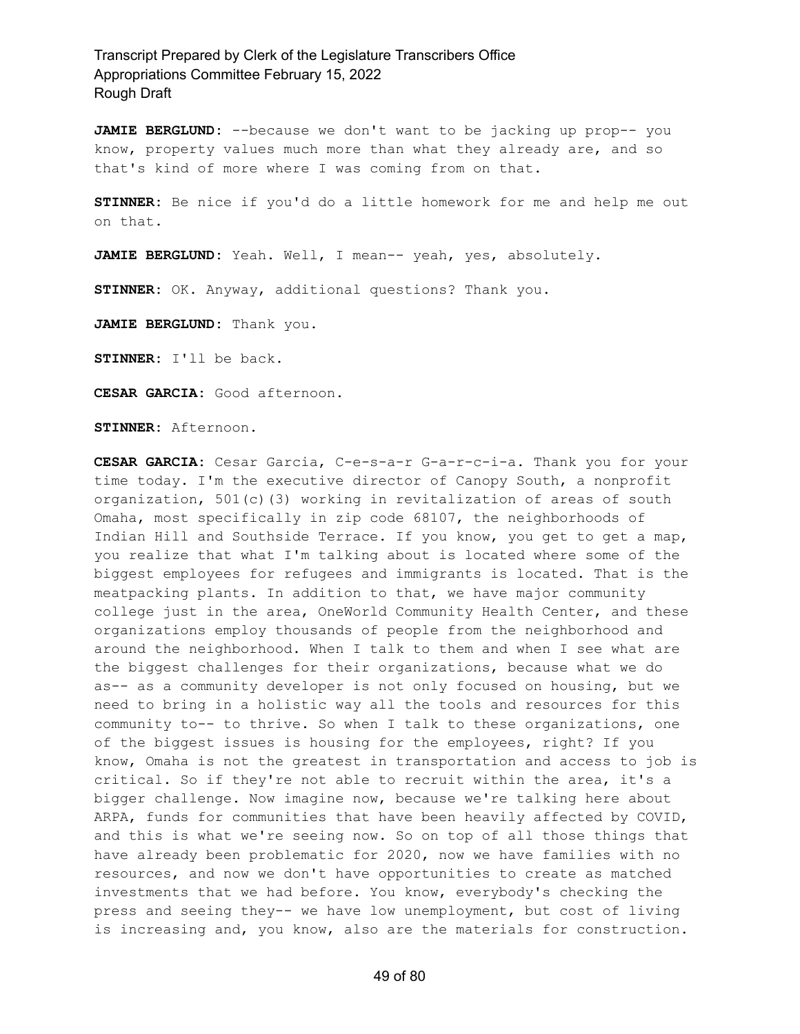**JAMIE BERGLUND:** --because we don't want to be jacking up prop-- you know, property values much more than what they already are, and so that's kind of more where I was coming from on that.

**STINNER:** Be nice if you'd do a little homework for me and help me out on that.

**JAMIE BERGLUND:** Yeah. Well, I mean-- yeah, yes, absolutely.

**STINNER:** OK. Anyway, additional questions? Thank you.

**JAMIE BERGLUND:** Thank you.

**STINNER:** I'll be back.

**CESAR GARCIA:** Good afternoon.

**STINNER:** Afternoon.

**CESAR GARCIA:** Cesar Garcia, C-e-s-a-r G-a-r-c-i-a. Thank you for your time today. I'm the executive director of Canopy South, a nonprofit organization, 501(c)(3) working in revitalization of areas of south Omaha, most specifically in zip code 68107, the neighborhoods of Indian Hill and Southside Terrace. If you know, you get to get a map, you realize that what I'm talking about is located where some of the biggest employees for refugees and immigrants is located. That is the meatpacking plants. In addition to that, we have major community college just in the area, OneWorld Community Health Center, and these organizations employ thousands of people from the neighborhood and around the neighborhood. When I talk to them and when I see what are the biggest challenges for their organizations, because what we do as-- as a community developer is not only focused on housing, but we need to bring in a holistic way all the tools and resources for this community to-- to thrive. So when I talk to these organizations, one of the biggest issues is housing for the employees, right? If you know, Omaha is not the greatest in transportation and access to job is critical. So if they're not able to recruit within the area, it's a bigger challenge. Now imagine now, because we're talking here about ARPA, funds for communities that have been heavily affected by COVID, and this is what we're seeing now. So on top of all those things that have already been problematic for 2020, now we have families with no resources, and now we don't have opportunities to create as matched investments that we had before. You know, everybody's checking the press and seeing they-- we have low unemployment, but cost of living is increasing and, you know, also are the materials for construction.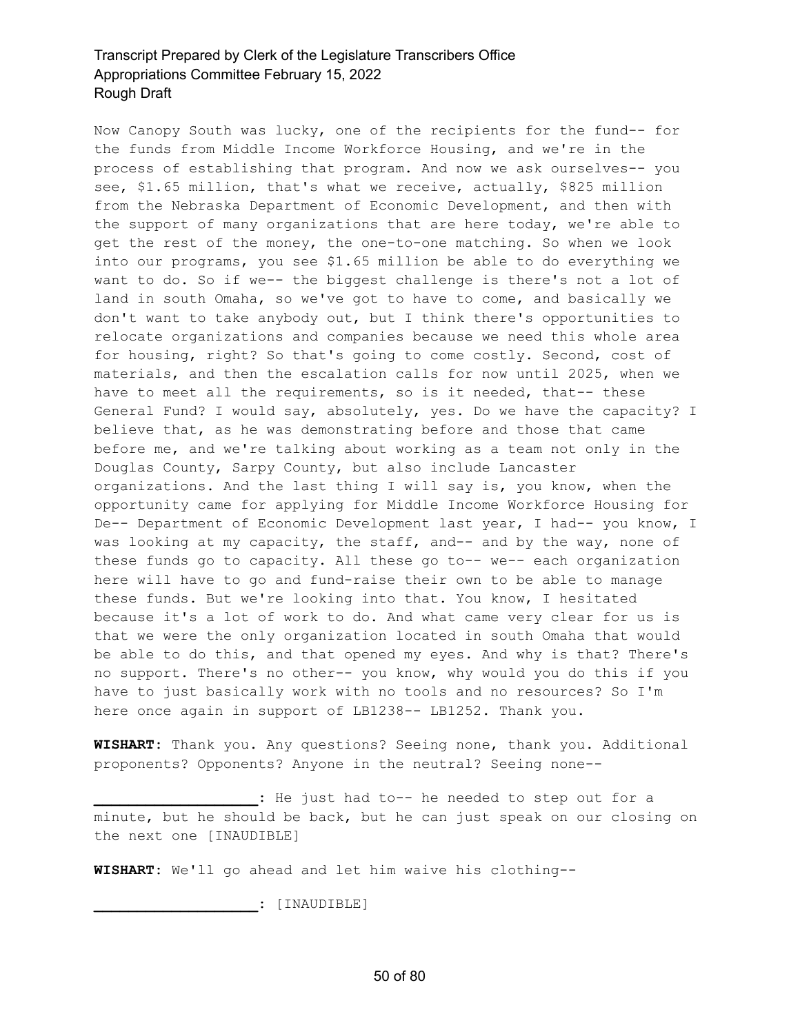Now Canopy South was lucky, one of the recipients for the fund-- for the funds from Middle Income Workforce Housing, and we're in the process of establishing that program. And now we ask ourselves-- you see, \$1.65 million, that's what we receive, actually, \$825 million from the Nebraska Department of Economic Development, and then with the support of many organizations that are here today, we're able to get the rest of the money, the one-to-one matching. So when we look into our programs, you see \$1.65 million be able to do everything we want to do. So if we-- the biggest challenge is there's not a lot of land in south Omaha, so we've got to have to come, and basically we don't want to take anybody out, but I think there's opportunities to relocate organizations and companies because we need this whole area for housing, right? So that's going to come costly. Second, cost of materials, and then the escalation calls for now until 2025, when we have to meet all the requirements, so is it needed, that-- these General Fund? I would say, absolutely, yes. Do we have the capacity? I believe that, as he was demonstrating before and those that came before me, and we're talking about working as a team not only in the Douglas County, Sarpy County, but also include Lancaster organizations. And the last thing I will say is, you know, when the opportunity came for applying for Middle Income Workforce Housing for De-- Department of Economic Development last year, I had-- you know, I was looking at my capacity, the staff, and-- and by the way, none of these funds go to capacity. All these go to-- we-- each organization here will have to go and fund-raise their own to be able to manage these funds. But we're looking into that. You know, I hesitated because it's a lot of work to do. And what came very clear for us is that we were the only organization located in south Omaha that would be able to do this, and that opened my eyes. And why is that? There's no support. There's no other-- you know, why would you do this if you have to just basically work with no tools and no resources? So I'm here once again in support of LB1238-- LB1252. Thank you.

**WISHART:** Thank you. Any questions? Seeing none, thank you. Additional proponents? Opponents? Anyone in the neutral? Seeing none--

**\_\_\_\_\_\_\_\_\_\_\_\_\_\_\_\_\_\_\_:** He just had to-- he needed to step out for a minute, but he should be back, but he can just speak on our closing on the next one [INAUDIBLE]

**WISHART:** We'll go ahead and let him waive his clothing--

**\_\_\_\_\_\_\_\_\_\_\_\_\_\_\_\_\_\_\_:** [INAUDIBLE]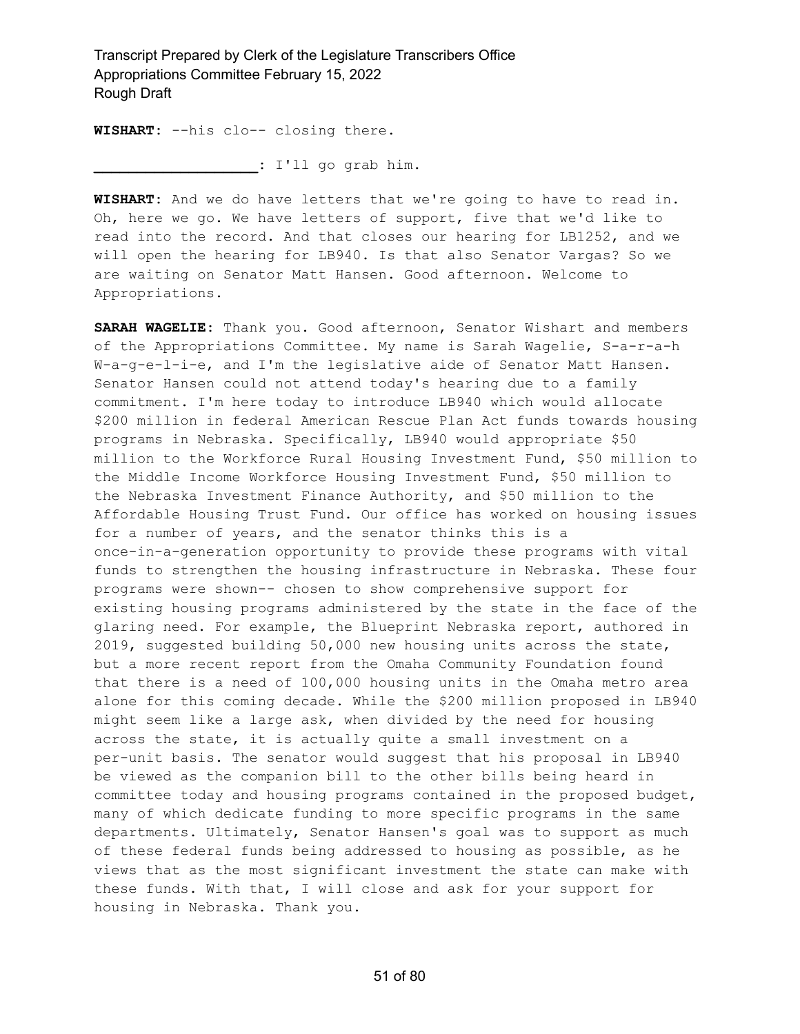**WISHART:** --his clo-- closing there.

**\_\_\_\_\_\_\_\_\_\_\_\_\_\_\_\_\_\_\_:** I'll go grab him.

**WISHART:** And we do have letters that we're going to have to read in. Oh, here we go. We have letters of support, five that we'd like to read into the record. And that closes our hearing for LB1252, and we will open the hearing for LB940. Is that also Senator Vargas? So we are waiting on Senator Matt Hansen. Good afternoon. Welcome to Appropriations.

**SARAH WAGELIE:** Thank you. Good afternoon, Senator Wishart and members of the Appropriations Committee. My name is Sarah Wagelie, S-a-r-a-h W-a-g-e-l-i-e, and I'm the legislative aide of Senator Matt Hansen. Senator Hansen could not attend today's hearing due to a family commitment. I'm here today to introduce LB940 which would allocate \$200 million in federal American Rescue Plan Act funds towards housing programs in Nebraska. Specifically, LB940 would appropriate \$50 million to the Workforce Rural Housing Investment Fund, \$50 million to the Middle Income Workforce Housing Investment Fund, \$50 million to the Nebraska Investment Finance Authority, and \$50 million to the Affordable Housing Trust Fund. Our office has worked on housing issues for a number of years, and the senator thinks this is a once-in-a-generation opportunity to provide these programs with vital funds to strengthen the housing infrastructure in Nebraska. These four programs were shown-- chosen to show comprehensive support for existing housing programs administered by the state in the face of the glaring need. For example, the Blueprint Nebraska report, authored in 2019, suggested building 50,000 new housing units across the state, but a more recent report from the Omaha Community Foundation found that there is a need of 100,000 housing units in the Omaha metro area alone for this coming decade. While the \$200 million proposed in LB940 might seem like a large ask, when divided by the need for housing across the state, it is actually quite a small investment on a per-unit basis. The senator would suggest that his proposal in LB940 be viewed as the companion bill to the other bills being heard in committee today and housing programs contained in the proposed budget, many of which dedicate funding to more specific programs in the same departments. Ultimately, Senator Hansen's goal was to support as much of these federal funds being addressed to housing as possible, as he views that as the most significant investment the state can make with these funds. With that, I will close and ask for your support for housing in Nebraska. Thank you.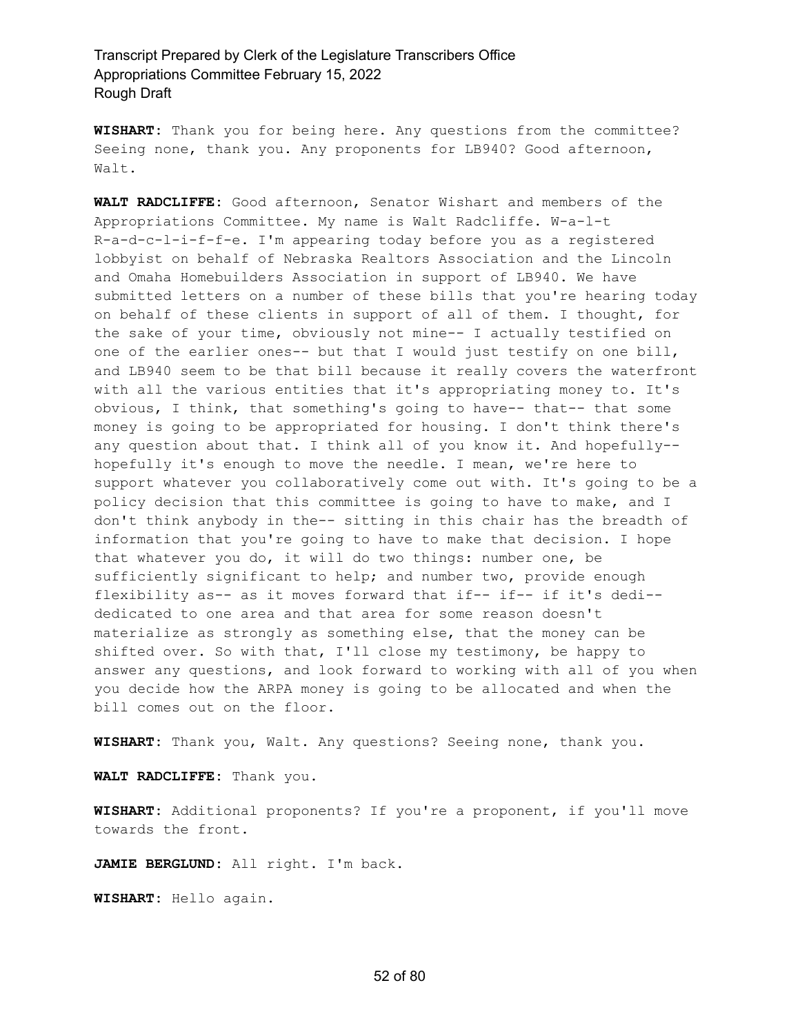**WISHART:** Thank you for being here. Any questions from the committee? Seeing none, thank you. Any proponents for LB940? Good afternoon, Walt.

**WALT RADCLIFFE:** Good afternoon, Senator Wishart and members of the Appropriations Committee. My name is Walt Radcliffe. W-a-l-t R-a-d-c-l-i-f-f-e. I'm appearing today before you as a registered lobbyist on behalf of Nebraska Realtors Association and the Lincoln and Omaha Homebuilders Association in support of LB940. We have submitted letters on a number of these bills that you're hearing today on behalf of these clients in support of all of them. I thought, for the sake of your time, obviously not mine-- I actually testified on one of the earlier ones-- but that I would just testify on one bill, and LB940 seem to be that bill because it really covers the waterfront with all the various entities that it's appropriating money to. It's obvious, I think, that something's going to have-- that-- that some money is going to be appropriated for housing. I don't think there's any question about that. I think all of you know it. And hopefully- hopefully it's enough to move the needle. I mean, we're here to support whatever you collaboratively come out with. It's going to be a policy decision that this committee is going to have to make, and I don't think anybody in the-- sitting in this chair has the breadth of information that you're going to have to make that decision. I hope that whatever you do, it will do two things: number one, be sufficiently significant to help; and number two, provide enough flexibility as-- as it moves forward that if-- if-- if it's dedi-dedicated to one area and that area for some reason doesn't materialize as strongly as something else, that the money can be shifted over. So with that, I'll close my testimony, be happy to answer any questions, and look forward to working with all of you when you decide how the ARPA money is going to be allocated and when the bill comes out on the floor.

**WISHART:** Thank you, Walt. Any questions? Seeing none, thank you.

**WALT RADCLIFFE:** Thank you.

**WISHART:** Additional proponents? If you're a proponent, if you'll move towards the front.

**JAMIE BERGLUND:** All right. I'm back.

**WISHART:** Hello again.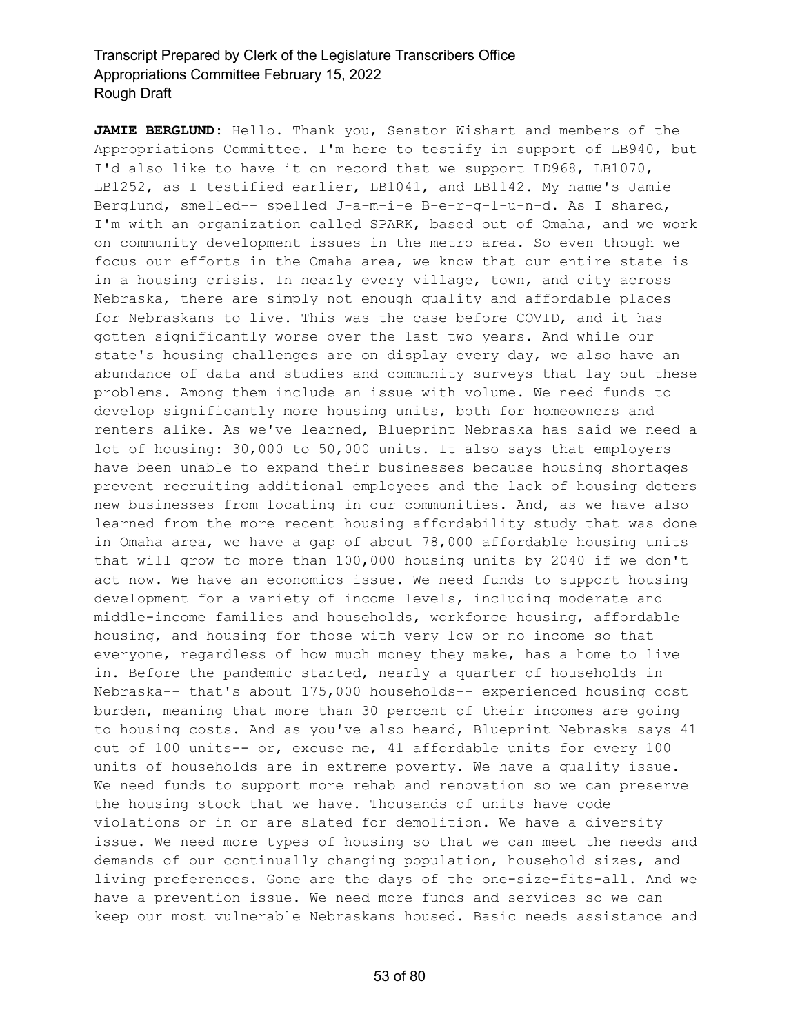**JAMIE BERGLUND:** Hello. Thank you, Senator Wishart and members of the Appropriations Committee. I'm here to testify in support of LB940, but I'd also like to have it on record that we support LD968, LB1070, LB1252, as I testified earlier, LB1041, and LB1142. My name's Jamie Berglund, smelled-- spelled J-a-m-i-e B-e-r-g-l-u-n-d. As I shared, I'm with an organization called SPARK, based out of Omaha, and we work on community development issues in the metro area. So even though we focus our efforts in the Omaha area, we know that our entire state is in a housing crisis. In nearly every village, town, and city across Nebraska, there are simply not enough quality and affordable places for Nebraskans to live. This was the case before COVID, and it has gotten significantly worse over the last two years. And while our state's housing challenges are on display every day, we also have an abundance of data and studies and community surveys that lay out these problems. Among them include an issue with volume. We need funds to develop significantly more housing units, both for homeowners and renters alike. As we've learned, Blueprint Nebraska has said we need a lot of housing: 30,000 to 50,000 units. It also says that employers have been unable to expand their businesses because housing shortages prevent recruiting additional employees and the lack of housing deters new businesses from locating in our communities. And, as we have also learned from the more recent housing affordability study that was done in Omaha area, we have a gap of about 78,000 affordable housing units that will grow to more than 100,000 housing units by 2040 if we don't act now. We have an economics issue. We need funds to support housing development for a variety of income levels, including moderate and middle-income families and households, workforce housing, affordable housing, and housing for those with very low or no income so that everyone, regardless of how much money they make, has a home to live in. Before the pandemic started, nearly a quarter of households in Nebraska-- that's about 175,000 households-- experienced housing cost burden, meaning that more than 30 percent of their incomes are going to housing costs. And as you've also heard, Blueprint Nebraska says 41 out of 100 units-- or, excuse me, 41 affordable units for every 100 units of households are in extreme poverty. We have a quality issue. We need funds to support more rehab and renovation so we can preserve the housing stock that we have. Thousands of units have code violations or in or are slated for demolition. We have a diversity issue. We need more types of housing so that we can meet the needs and demands of our continually changing population, household sizes, and living preferences. Gone are the days of the one-size-fits-all. And we have a prevention issue. We need more funds and services so we can keep our most vulnerable Nebraskans housed. Basic needs assistance and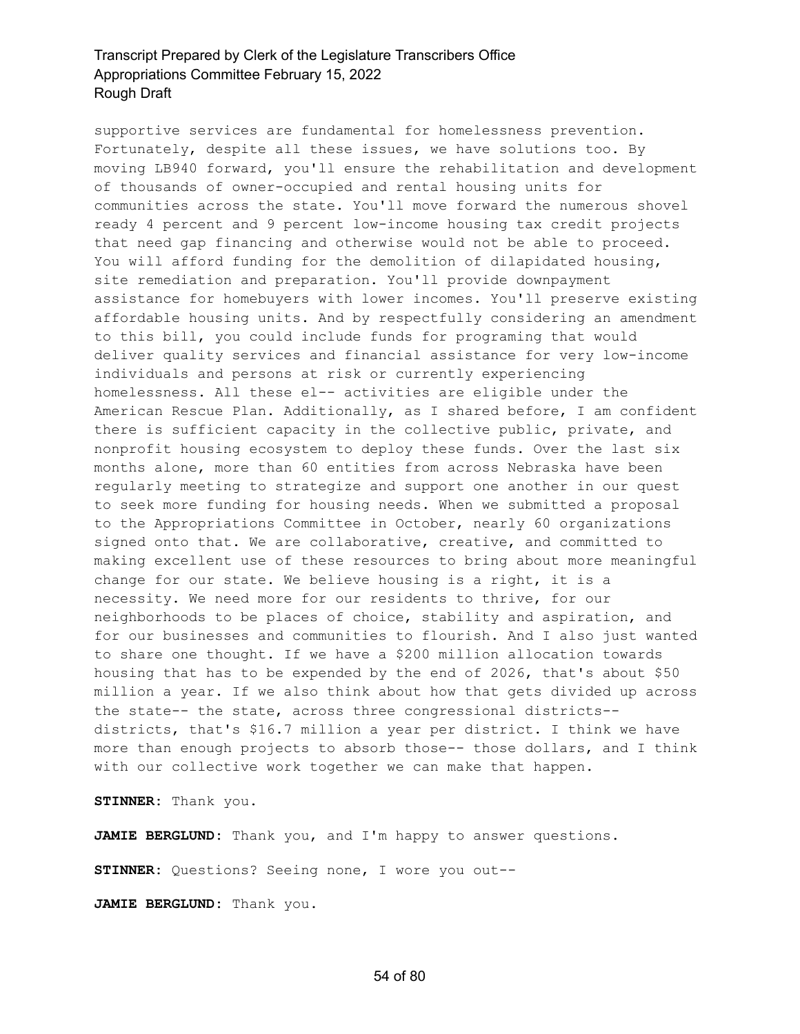supportive services are fundamental for homelessness prevention. Fortunately, despite all these issues, we have solutions too. By moving LB940 forward, you'll ensure the rehabilitation and development of thousands of owner-occupied and rental housing units for communities across the state. You'll move forward the numerous shovel ready 4 percent and 9 percent low-income housing tax credit projects that need gap financing and otherwise would not be able to proceed. You will afford funding for the demolition of dilapidated housing, site remediation and preparation. You'll provide downpayment assistance for homebuyers with lower incomes. You'll preserve existing affordable housing units. And by respectfully considering an amendment to this bill, you could include funds for programing that would deliver quality services and financial assistance for very low-income individuals and persons at risk or currently experiencing homelessness. All these el-- activities are eligible under the American Rescue Plan. Additionally, as I shared before, I am confident there is sufficient capacity in the collective public, private, and nonprofit housing ecosystem to deploy these funds. Over the last six months alone, more than 60 entities from across Nebraska have been regularly meeting to strategize and support one another in our quest to seek more funding for housing needs. When we submitted a proposal to the Appropriations Committee in October, nearly 60 organizations signed onto that. We are collaborative, creative, and committed to making excellent use of these resources to bring about more meaningful change for our state. We believe housing is a right, it is a necessity. We need more for our residents to thrive, for our neighborhoods to be places of choice, stability and aspiration, and for our businesses and communities to flourish. And I also just wanted to share one thought. If we have a \$200 million allocation towards housing that has to be expended by the end of 2026, that's about \$50 million a year. If we also think about how that gets divided up across the state-- the state, across three congressional districts- districts, that's \$16.7 million a year per district. I think we have more than enough projects to absorb those-- those dollars, and I think with our collective work together we can make that happen.

**STINNER:** Thank you.

**JAMIE BERGLUND:** Thank you, and I'm happy to answer questions.

**STINNER:** Questions? Seeing none, I wore you out--

**JAMIE BERGLUND:** Thank you.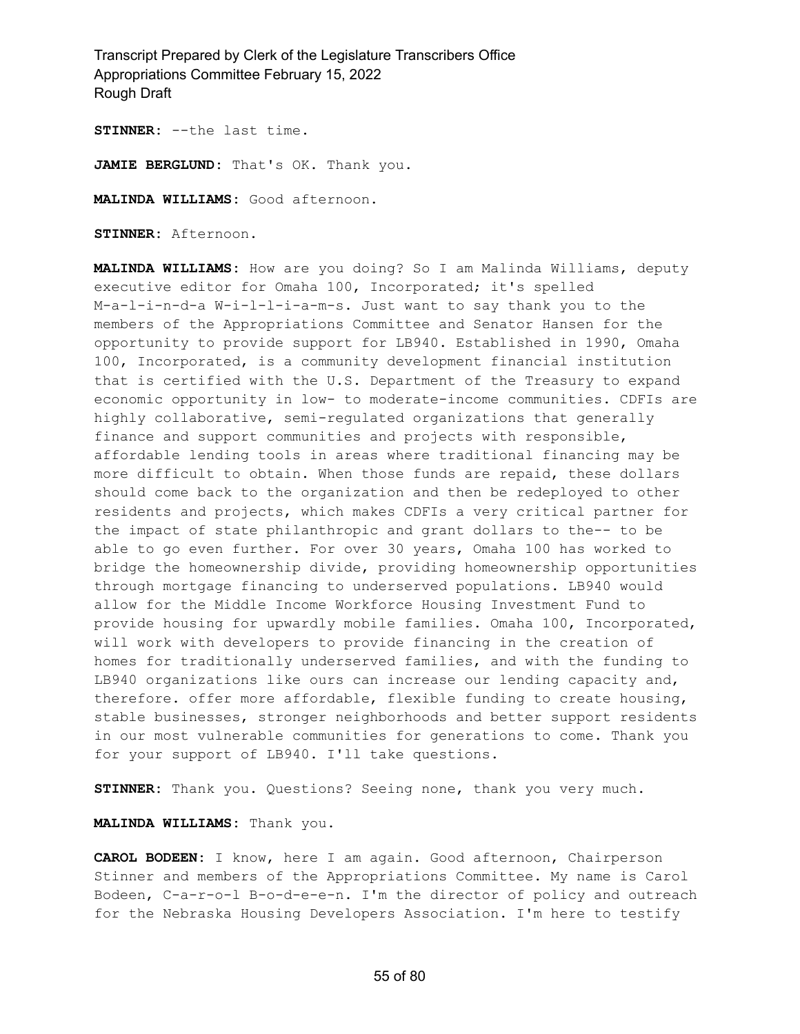**STINNER:** --the last time.

**JAMIE BERGLUND:** That's OK. Thank you.

**MALINDA WILLIAMS:** Good afternoon.

**STINNER:** Afternoon.

**MALINDA WILLIAMS:** How are you doing? So I am Malinda Williams, deputy executive editor for Omaha 100, Incorporated; it's spelled M-a-l-i-n-d-a W-i-l-l-i-a-m-s. Just want to say thank you to the members of the Appropriations Committee and Senator Hansen for the opportunity to provide support for LB940. Established in 1990, Omaha 100, Incorporated, is a community development financial institution that is certified with the U.S. Department of the Treasury to expand economic opportunity in low- to moderate-income communities. CDFIs are highly collaborative, semi-regulated organizations that generally finance and support communities and projects with responsible, affordable lending tools in areas where traditional financing may be more difficult to obtain. When those funds are repaid, these dollars should come back to the organization and then be redeployed to other residents and projects, which makes CDFIs a very critical partner for the impact of state philanthropic and grant dollars to the-- to be able to go even further. For over 30 years, Omaha 100 has worked to bridge the homeownership divide, providing homeownership opportunities through mortgage financing to underserved populations. LB940 would allow for the Middle Income Workforce Housing Investment Fund to provide housing for upwardly mobile families. Omaha 100, Incorporated, will work with developers to provide financing in the creation of homes for traditionally underserved families, and with the funding to LB940 organizations like ours can increase our lending capacity and, therefore. offer more affordable, flexible funding to create housing, stable businesses, stronger neighborhoods and better support residents in our most vulnerable communities for generations to come. Thank you for your support of LB940. I'll take questions.

**STINNER:** Thank you. Questions? Seeing none, thank you very much.

#### **MALINDA WILLIAMS:** Thank you.

**CAROL BODEEN:** I know, here I am again. Good afternoon, Chairperson Stinner and members of the Appropriations Committee. My name is Carol Bodeen, C-a-r-o-l B-o-d-e-e-n. I'm the director of policy and outreach for the Nebraska Housing Developers Association. I'm here to testify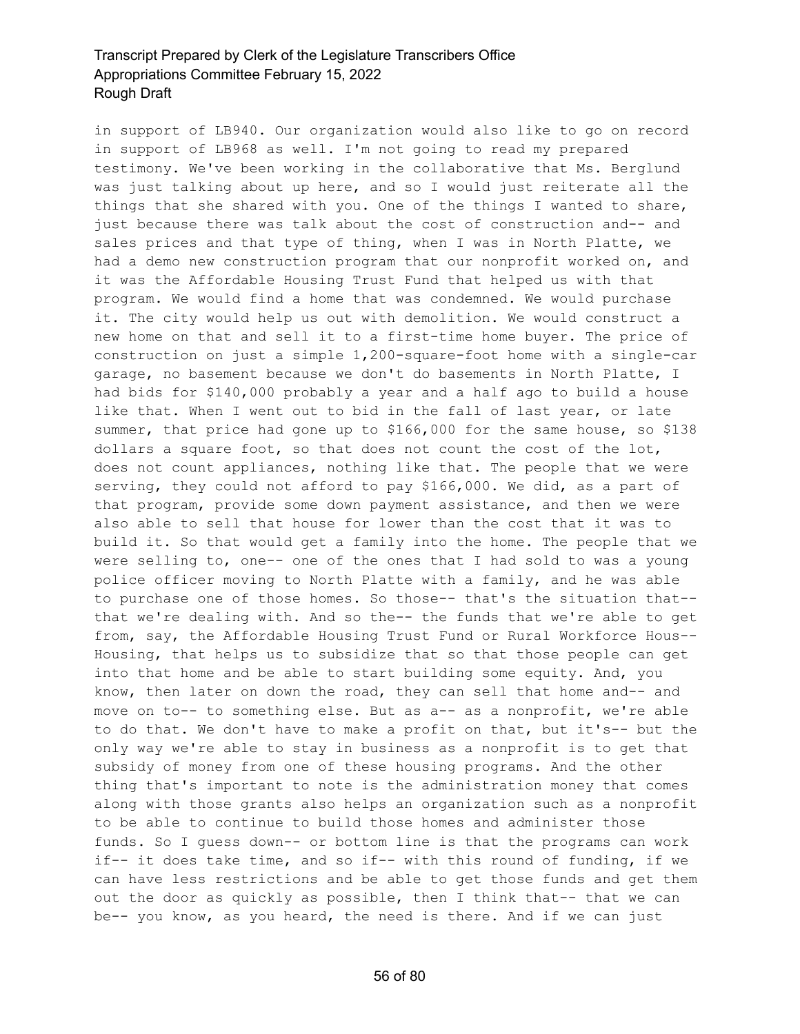in support of LB940. Our organization would also like to go on record in support of LB968 as well. I'm not going to read my prepared testimony. We've been working in the collaborative that Ms. Berglund was just talking about up here, and so I would just reiterate all the things that she shared with you. One of the things I wanted to share, just because there was talk about the cost of construction and-- and sales prices and that type of thing, when I was in North Platte, we had a demo new construction program that our nonprofit worked on, and it was the Affordable Housing Trust Fund that helped us with that program. We would find a home that was condemned. We would purchase it. The city would help us out with demolition. We would construct a new home on that and sell it to a first-time home buyer. The price of construction on just a simple 1,200-square-foot home with a single-car garage, no basement because we don't do basements in North Platte, I had bids for \$140,000 probably a year and a half ago to build a house like that. When I went out to bid in the fall of last year, or late summer, that price had gone up to \$166,000 for the same house, so \$138 dollars a square foot, so that does not count the cost of the lot, does not count appliances, nothing like that. The people that we were serving, they could not afford to pay \$166,000. We did, as a part of that program, provide some down payment assistance, and then we were also able to sell that house for lower than the cost that it was to build it. So that would get a family into the home. The people that we were selling to, one-- one of the ones that I had sold to was a young police officer moving to North Platte with a family, and he was able to purchase one of those homes. So those-- that's the situation that- that we're dealing with. And so the-- the funds that we're able to get from, say, the Affordable Housing Trust Fund or Rural Workforce Hous-- Housing, that helps us to subsidize that so that those people can get into that home and be able to start building some equity. And, you know, then later on down the road, they can sell that home and-- and move on to-- to something else. But as a-- as a nonprofit, we're able to do that. We don't have to make a profit on that, but it's-- but the only way we're able to stay in business as a nonprofit is to get that subsidy of money from one of these housing programs. And the other thing that's important to note is the administration money that comes along with those grants also helps an organization such as a nonprofit to be able to continue to build those homes and administer those funds. So I guess down-- or bottom line is that the programs can work if-- it does take time, and so if-- with this round of funding, if we can have less restrictions and be able to get those funds and get them out the door as quickly as possible, then I think that-- that we can be-- you know, as you heard, the need is there. And if we can just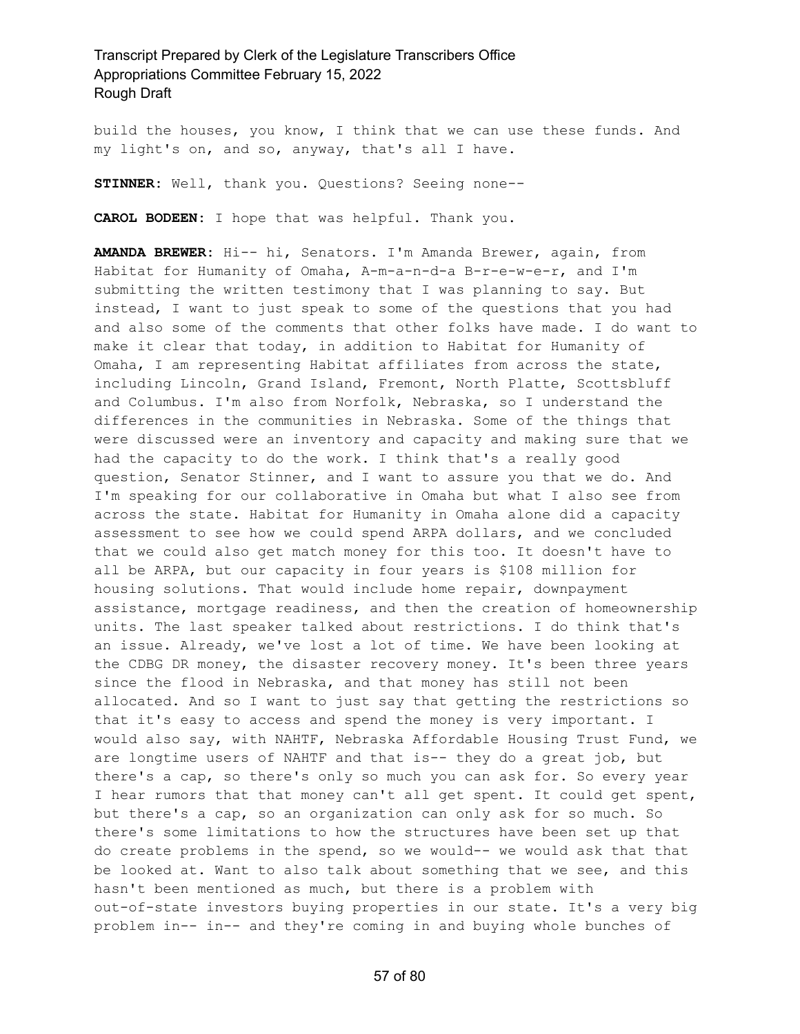build the houses, you know, I think that we can use these funds. And my light's on, and so, anyway, that's all I have.

**STINNER:** Well, thank you. Questions? Seeing none--

**CAROL BODEEN:** I hope that was helpful. Thank you.

**AMANDA BREWER:** Hi-- hi, Senators. I'm Amanda Brewer, again, from Habitat for Humanity of Omaha, A-m-a-n-d-a B-r-e-w-e-r, and I'm submitting the written testimony that I was planning to say. But instead, I want to just speak to some of the questions that you had and also some of the comments that other folks have made. I do want to make it clear that today, in addition to Habitat for Humanity of Omaha, I am representing Habitat affiliates from across the state, including Lincoln, Grand Island, Fremont, North Platte, Scottsbluff and Columbus. I'm also from Norfolk, Nebraska, so I understand the differences in the communities in Nebraska. Some of the things that were discussed were an inventory and capacity and making sure that we had the capacity to do the work. I think that's a really good question, Senator Stinner, and I want to assure you that we do. And I'm speaking for our collaborative in Omaha but what I also see from across the state. Habitat for Humanity in Omaha alone did a capacity assessment to see how we could spend ARPA dollars, and we concluded that we could also get match money for this too. It doesn't have to all be ARPA, but our capacity in four years is \$108 million for housing solutions. That would include home repair, downpayment assistance, mortgage readiness, and then the creation of homeownership units. The last speaker talked about restrictions. I do think that's an issue. Already, we've lost a lot of time. We have been looking at the CDBG DR money, the disaster recovery money. It's been three years since the flood in Nebraska, and that money has still not been allocated. And so I want to just say that getting the restrictions so that it's easy to access and spend the money is very important. I would also say, with NAHTF, Nebraska Affordable Housing Trust Fund, we are longtime users of NAHTF and that is-- they do a great job, but there's a cap, so there's only so much you can ask for. So every year I hear rumors that that money can't all get spent. It could get spent, but there's a cap, so an organization can only ask for so much. So there's some limitations to how the structures have been set up that do create problems in the spend, so we would-- we would ask that that be looked at. Want to also talk about something that we see, and this hasn't been mentioned as much, but there is a problem with out-of-state investors buying properties in our state. It's a very big problem in-- in-- and they're coming in and buying whole bunches of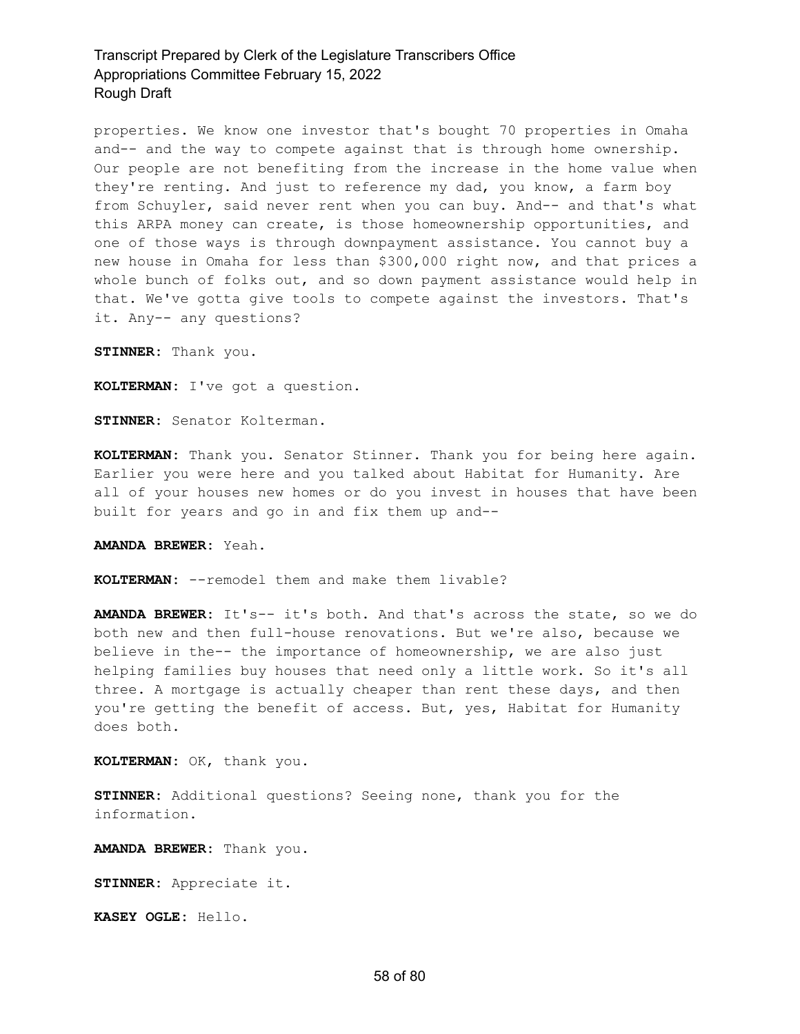properties. We know one investor that's bought 70 properties in Omaha and-- and the way to compete against that is through home ownership. Our people are not benefiting from the increase in the home value when they're renting. And just to reference my dad, you know, a farm boy from Schuyler, said never rent when you can buy. And-- and that's what this ARPA money can create, is those homeownership opportunities, and one of those ways is through downpayment assistance. You cannot buy a new house in Omaha for less than \$300,000 right now, and that prices a whole bunch of folks out, and so down payment assistance would help in that. We've gotta give tools to compete against the investors. That's it. Any-- any questions?

**STINNER:** Thank you.

**KOLTERMAN:** I've got a question.

**STINNER:** Senator Kolterman.

**KOLTERMAN:** Thank you. Senator Stinner. Thank you for being here again. Earlier you were here and you talked about Habitat for Humanity. Are all of your houses new homes or do you invest in houses that have been built for years and go in and fix them up and--

**AMANDA BREWER:** Yeah.

**KOLTERMAN:** --remodel them and make them livable?

**AMANDA BREWER:** It's-- it's both. And that's across the state, so we do both new and then full-house renovations. But we're also, because we believe in the-- the importance of homeownership, we are also just helping families buy houses that need only a little work. So it's all three. A mortgage is actually cheaper than rent these days, and then you're getting the benefit of access. But, yes, Habitat for Humanity does both.

**KOLTERMAN:** OK, thank you.

**STINNER:** Additional questions? Seeing none, thank you for the information.

**AMANDA BREWER:** Thank you.

**STINNER:** Appreciate it.

**KASEY OGLE:** Hello.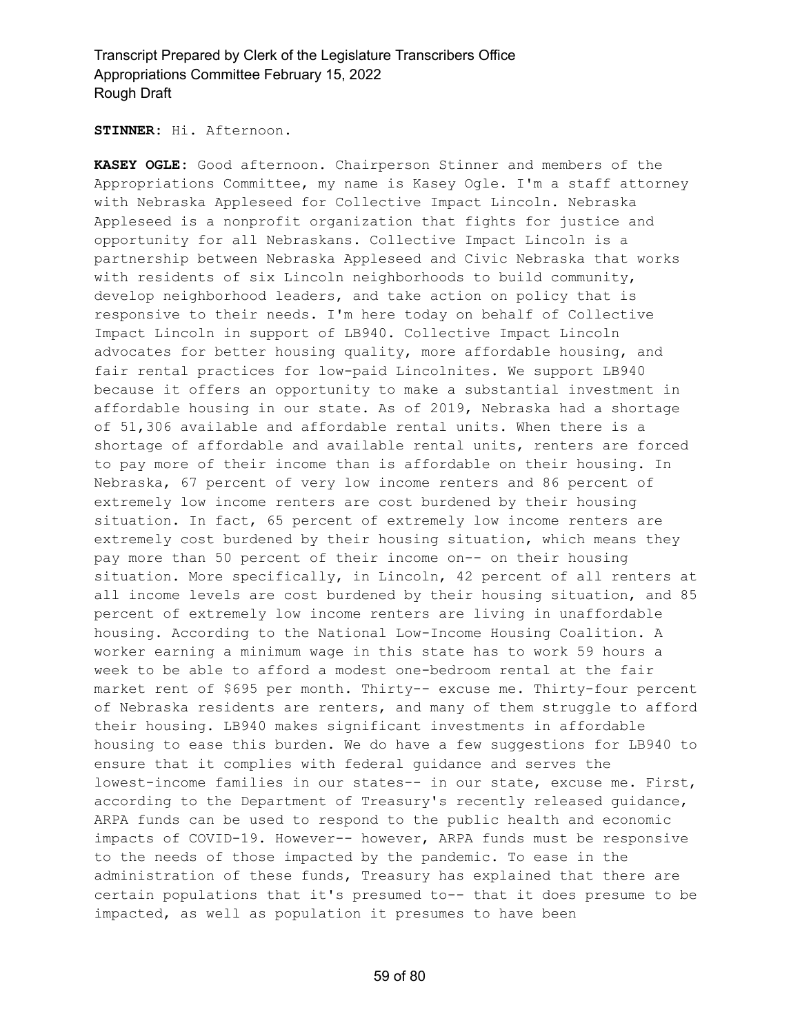**STINNER:** Hi. Afternoon.

**KASEY OGLE:** Good afternoon. Chairperson Stinner and members of the Appropriations Committee, my name is Kasey Ogle. I'm a staff attorney with Nebraska Appleseed for Collective Impact Lincoln. Nebraska Appleseed is a nonprofit organization that fights for justice and opportunity for all Nebraskans. Collective Impact Lincoln is a partnership between Nebraska Appleseed and Civic Nebraska that works with residents of six Lincoln neighborhoods to build community, develop neighborhood leaders, and take action on policy that is responsive to their needs. I'm here today on behalf of Collective Impact Lincoln in support of LB940. Collective Impact Lincoln advocates for better housing quality, more affordable housing, and fair rental practices for low-paid Lincolnites. We support LB940 because it offers an opportunity to make a substantial investment in affordable housing in our state. As of 2019, Nebraska had a shortage of 51,306 available and affordable rental units. When there is a shortage of affordable and available rental units, renters are forced to pay more of their income than is affordable on their housing. In Nebraska, 67 percent of very low income renters and 86 percent of extremely low income renters are cost burdened by their housing situation. In fact, 65 percent of extremely low income renters are extremely cost burdened by their housing situation, which means they pay more than 50 percent of their income on-- on their housing situation. More specifically, in Lincoln, 42 percent of all renters at all income levels are cost burdened by their housing situation, and 85 percent of extremely low income renters are living in unaffordable housing. According to the National Low-Income Housing Coalition. A worker earning a minimum wage in this state has to work 59 hours a week to be able to afford a modest one-bedroom rental at the fair market rent of \$695 per month. Thirty-- excuse me. Thirty-four percent of Nebraska residents are renters, and many of them struggle to afford their housing. LB940 makes significant investments in affordable housing to ease this burden. We do have a few suggestions for LB940 to ensure that it complies with federal guidance and serves the lowest-income families in our states-- in our state, excuse me. First, according to the Department of Treasury's recently released guidance, ARPA funds can be used to respond to the public health and economic impacts of COVID-19. However-- however, ARPA funds must be responsive to the needs of those impacted by the pandemic. To ease in the administration of these funds, Treasury has explained that there are certain populations that it's presumed to-- that it does presume to be impacted, as well as population it presumes to have been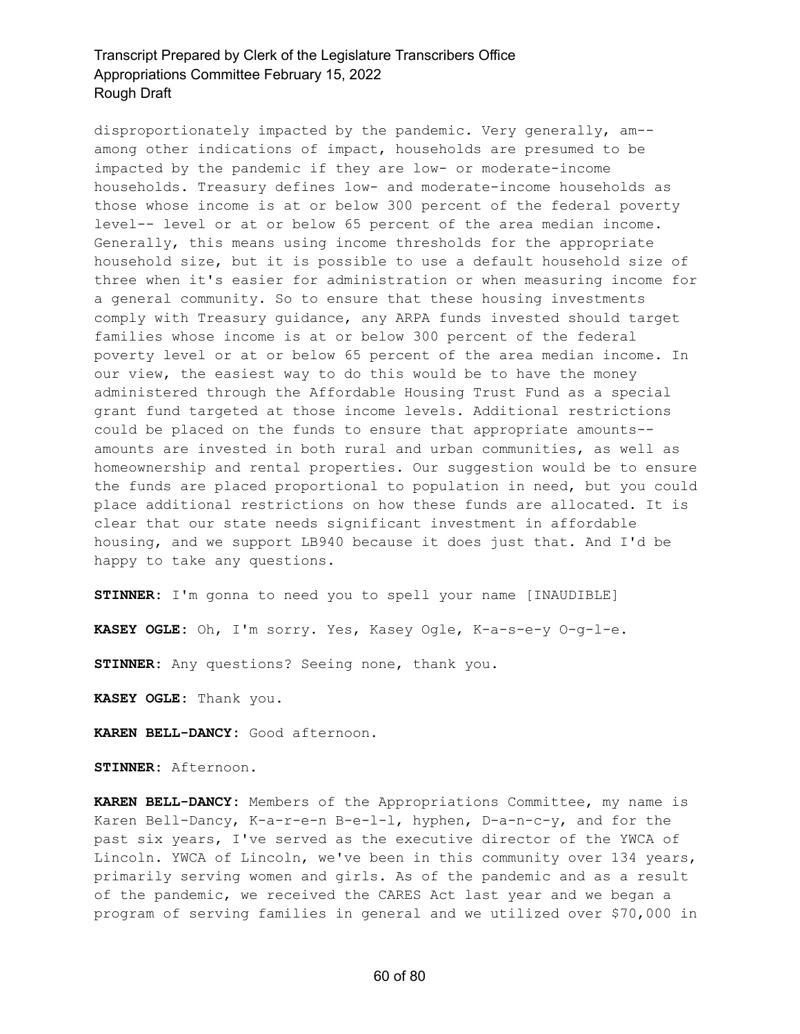disproportionately impacted by the pandemic. Very generally, am- among other indications of impact, households are presumed to be impacted by the pandemic if they are low- or moderate-income households. Treasury defines low- and moderate-income households as those whose income is at or below 300 percent of the federal poverty level-- level or at or below 65 percent of the area median income. Generally, this means using income thresholds for the appropriate household size, but it is possible to use a default household size of three when it's easier for administration or when measuring income for a general community. So to ensure that these housing investments comply with Treasury guidance, any ARPA funds invested should target families whose income is at or below 300 percent of the federal poverty level or at or below 65 percent of the area median income. In our view, the easiest way to do this would be to have the money administered through the Affordable Housing Trust Fund as a special grant fund targeted at those income levels. Additional restrictions could be placed on the funds to ensure that appropriate amounts- amounts are invested in both rural and urban communities, as well as homeownership and rental properties. Our suggestion would be to ensure the funds are placed proportional to population in need, but you could place additional restrictions on how these funds are allocated. It is clear that our state needs significant investment in affordable housing, and we support LB940 because it does just that. And I'd be happy to take any questions.

**STINNER:** I'm gonna to need you to spell your name [INAUDIBLE]

**KASEY OGLE:** Oh, I'm sorry. Yes, Kasey Ogle, K-a-s-e-y O-g-l-e.

**STINNER:** Any questions? Seeing none, thank you.

**KASEY OGLE:** Thank you.

**KAREN BELL-DANCY:** Good afternoon.

**STINNER:** Afternoon.

**KAREN BELL-DANCY:** Members of the Appropriations Committee, my name is Karen Bell-Dancy, K-a-r-e-n B-e-l-l, hyphen, D-a-n-c-y, and for the past six years, I've served as the executive director of the YWCA of Lincoln. YWCA of Lincoln, we've been in this community over 134 years, primarily serving women and girls. As of the pandemic and as a result of the pandemic, we received the CARES Act last year and we began a program of serving families in general and we utilized over \$70,000 in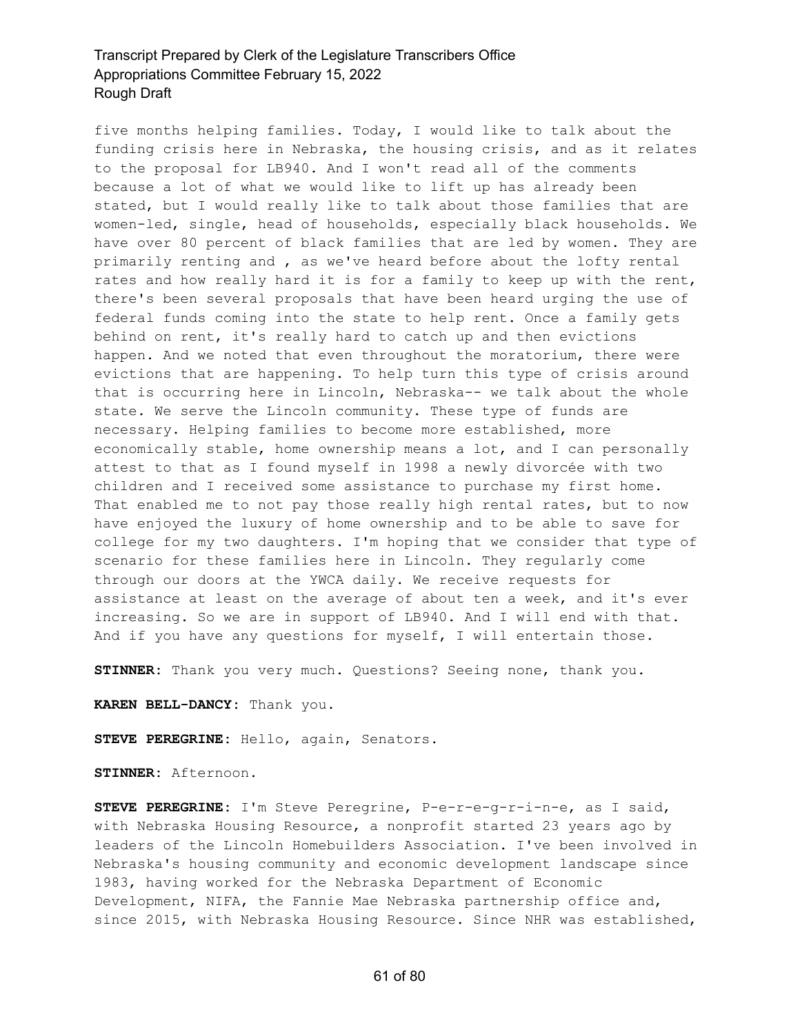five months helping families. Today, I would like to talk about the funding crisis here in Nebraska, the housing crisis, and as it relates to the proposal for LB940. And I won't read all of the comments because a lot of what we would like to lift up has already been stated, but I would really like to talk about those families that are women-led, single, head of households, especially black households. We have over 80 percent of black families that are led by women. They are primarily renting and , as we've heard before about the lofty rental rates and how really hard it is for a family to keep up with the rent, there's been several proposals that have been heard urging the use of federal funds coming into the state to help rent. Once a family gets behind on rent, it's really hard to catch up and then evictions happen. And we noted that even throughout the moratorium, there were evictions that are happening. To help turn this type of crisis around that is occurring here in Lincoln, Nebraska-- we talk about the whole state. We serve the Lincoln community. These type of funds are necessary. Helping families to become more established, more economically stable, home ownership means a lot, and I can personally attest to that as I found myself in 1998 a newly divorcée with two children and I received some assistance to purchase my first home. That enabled me to not pay those really high rental rates, but to now have enjoyed the luxury of home ownership and to be able to save for college for my two daughters. I'm hoping that we consider that type of scenario for these families here in Lincoln. They regularly come through our doors at the YWCA daily. We receive requests for assistance at least on the average of about ten a week, and it's ever increasing. So we are in support of LB940. And I will end with that. And if you have any questions for myself, I will entertain those.

**STINNER:** Thank you very much. Questions? Seeing none, thank you.

**KAREN BELL-DANCY:** Thank you.

**STEVE PEREGRINE:** Hello, again, Senators.

**STINNER:** Afternoon.

**STEVE PEREGRINE:** I'm Steve Peregrine, P-e-r-e-g-r-i-n-e, as I said, with Nebraska Housing Resource, a nonprofit started 23 years ago by leaders of the Lincoln Homebuilders Association. I've been involved in Nebraska's housing community and economic development landscape since 1983, having worked for the Nebraska Department of Economic Development, NIFA, the Fannie Mae Nebraska partnership office and, since 2015, with Nebraska Housing Resource. Since NHR was established,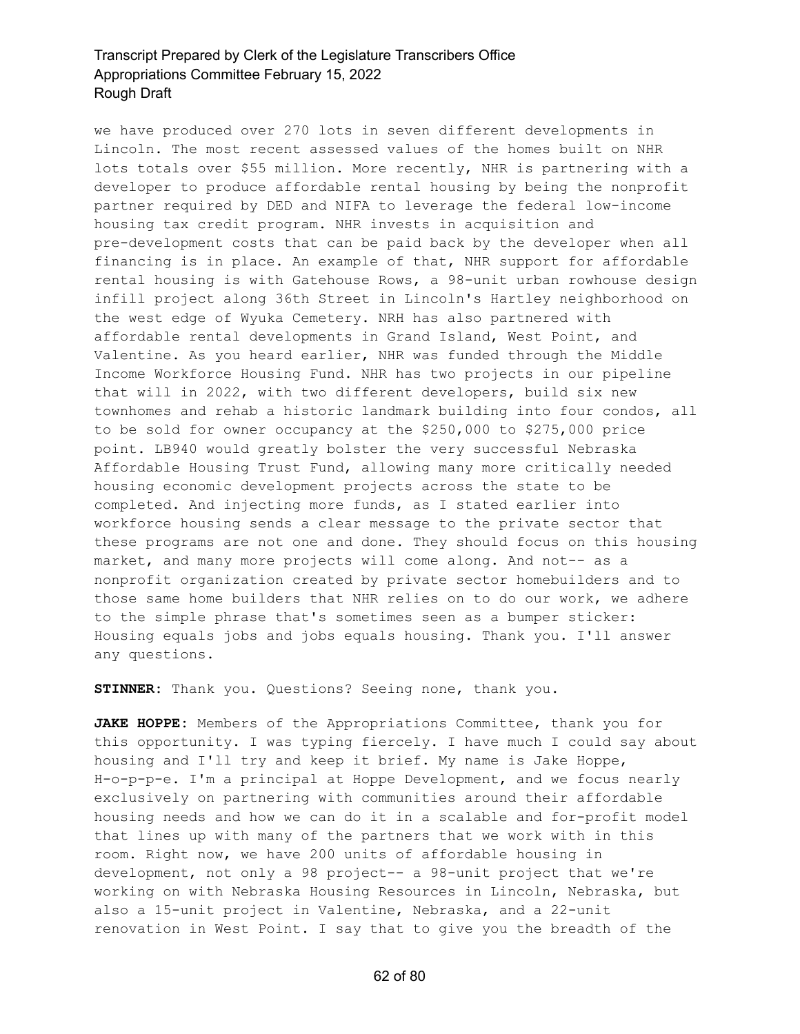we have produced over 270 lots in seven different developments in Lincoln. The most recent assessed values of the homes built on NHR lots totals over \$55 million. More recently, NHR is partnering with a developer to produce affordable rental housing by being the nonprofit partner required by DED and NIFA to leverage the federal low-income housing tax credit program. NHR invests in acquisition and pre-development costs that can be paid back by the developer when all financing is in place. An example of that, NHR support for affordable rental housing is with Gatehouse Rows, a 98-unit urban rowhouse design infill project along 36th Street in Lincoln's Hartley neighborhood on the west edge of Wyuka Cemetery. NRH has also partnered with affordable rental developments in Grand Island, West Point, and Valentine. As you heard earlier, NHR was funded through the Middle Income Workforce Housing Fund. NHR has two projects in our pipeline that will in 2022, with two different developers, build six new townhomes and rehab a historic landmark building into four condos, all to be sold for owner occupancy at the \$250,000 to \$275,000 price point. LB940 would greatly bolster the very successful Nebraska Affordable Housing Trust Fund, allowing many more critically needed housing economic development projects across the state to be completed. And injecting more funds, as I stated earlier into workforce housing sends a clear message to the private sector that these programs are not one and done. They should focus on this housing market, and many more projects will come along. And not-- as a nonprofit organization created by private sector homebuilders and to those same home builders that NHR relies on to do our work, we adhere to the simple phrase that's sometimes seen as a bumper sticker: Housing equals jobs and jobs equals housing. Thank you. I'll answer any questions.

**STINNER:** Thank you. Questions? Seeing none, thank you.

**JAKE HOPPE:** Members of the Appropriations Committee, thank you for this opportunity. I was typing fiercely. I have much I could say about housing and I'll try and keep it brief. My name is Jake Hoppe, H-o-p-p-e. I'm a principal at Hoppe Development, and we focus nearly exclusively on partnering with communities around their affordable housing needs and how we can do it in a scalable and for-profit model that lines up with many of the partners that we work with in this room. Right now, we have 200 units of affordable housing in development, not only a 98 project-- a 98-unit project that we're working on with Nebraska Housing Resources in Lincoln, Nebraska, but also a 15-unit project in Valentine, Nebraska, and a 22-unit renovation in West Point. I say that to give you the breadth of the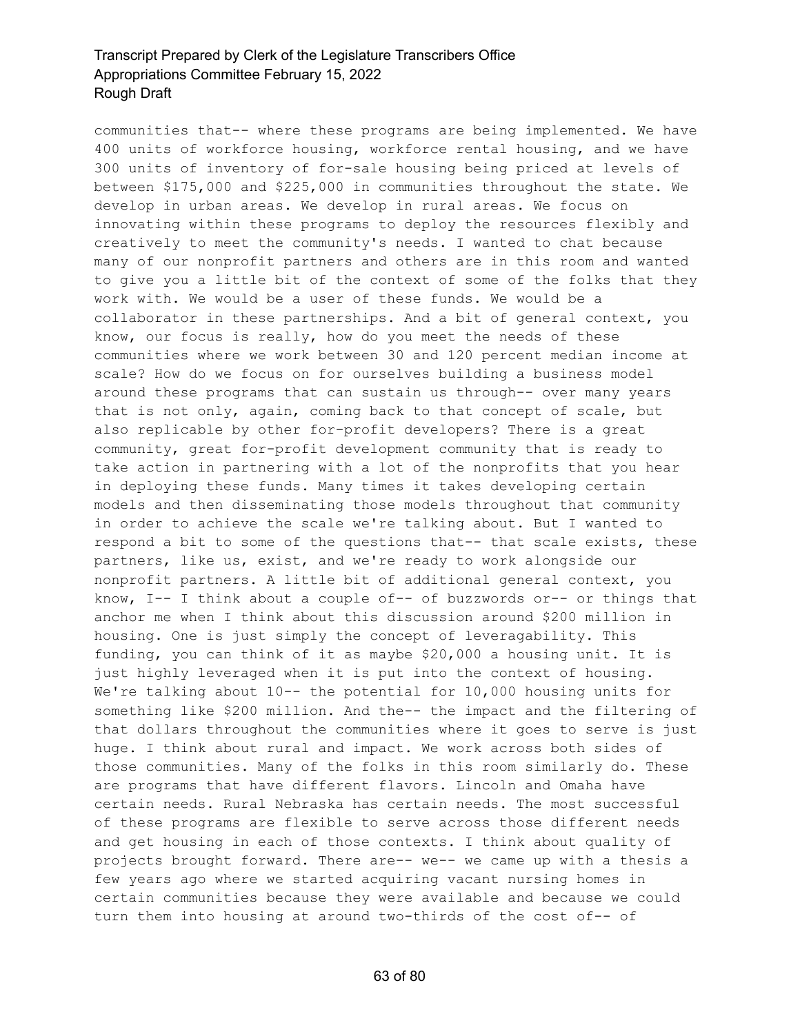communities that-- where these programs are being implemented. We have 400 units of workforce housing, workforce rental housing, and we have 300 units of inventory of for-sale housing being priced at levels of between \$175,000 and \$225,000 in communities throughout the state. We develop in urban areas. We develop in rural areas. We focus on innovating within these programs to deploy the resources flexibly and creatively to meet the community's needs. I wanted to chat because many of our nonprofit partners and others are in this room and wanted to give you a little bit of the context of some of the folks that they work with. We would be a user of these funds. We would be a collaborator in these partnerships. And a bit of general context, you know, our focus is really, how do you meet the needs of these communities where we work between 30 and 120 percent median income at scale? How do we focus on for ourselves building a business model around these programs that can sustain us through-- over many years that is not only, again, coming back to that concept of scale, but also replicable by other for-profit developers? There is a great community, great for-profit development community that is ready to take action in partnering with a lot of the nonprofits that you hear in deploying these funds. Many times it takes developing certain models and then disseminating those models throughout that community in order to achieve the scale we're talking about. But I wanted to respond a bit to some of the questions that-- that scale exists, these partners, like us, exist, and we're ready to work alongside our nonprofit partners. A little bit of additional general context, you know, I-- I think about a couple of-- of buzzwords or-- or things that anchor me when I think about this discussion around \$200 million in housing. One is just simply the concept of leveragability. This funding, you can think of it as maybe \$20,000 a housing unit. It is just highly leveraged when it is put into the context of housing. We're talking about 10-- the potential for 10,000 housing units for something like \$200 million. And the-- the impact and the filtering of that dollars throughout the communities where it goes to serve is just huge. I think about rural and impact. We work across both sides of those communities. Many of the folks in this room similarly do. These are programs that have different flavors. Lincoln and Omaha have certain needs. Rural Nebraska has certain needs. The most successful of these programs are flexible to serve across those different needs and get housing in each of those contexts. I think about quality of projects brought forward. There are-- we-- we came up with a thesis a few years ago where we started acquiring vacant nursing homes in certain communities because they were available and because we could turn them into housing at around two-thirds of the cost of-- of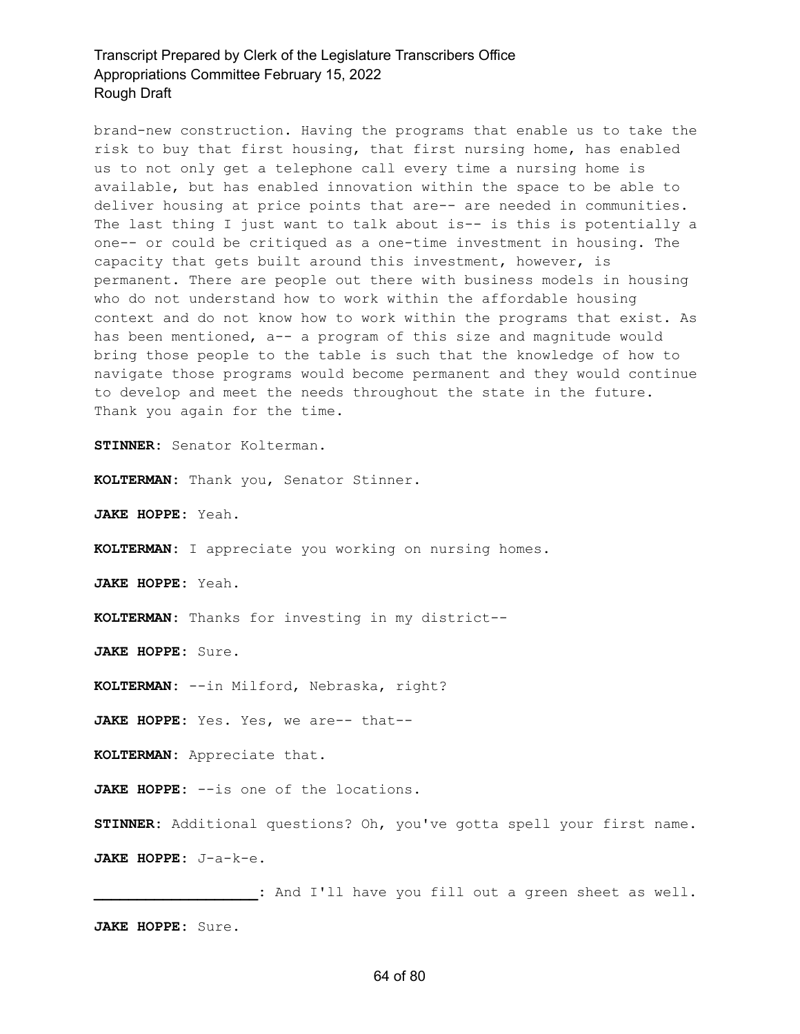brand-new construction. Having the programs that enable us to take the risk to buy that first housing, that first nursing home, has enabled us to not only get a telephone call every time a nursing home is available, but has enabled innovation within the space to be able to deliver housing at price points that are-- are needed in communities. The last thing I just want to talk about is-- is this is potentially a one-- or could be critiqued as a one-time investment in housing. The capacity that gets built around this investment, however, is permanent. There are people out there with business models in housing who do not understand how to work within the affordable housing context and do not know how to work within the programs that exist. As has been mentioned, a-- a program of this size and magnitude would bring those people to the table is such that the knowledge of how to navigate those programs would become permanent and they would continue to develop and meet the needs throughout the state in the future. Thank you again for the time.

**STINNER:** Senator Kolterman.

**KOLTERMAN:** Thank you, Senator Stinner.

**JAKE HOPPE:** Yeah.

**KOLTERMAN:** I appreciate you working on nursing homes.

**JAKE HOPPE:** Yeah.

**KOLTERMAN:** Thanks for investing in my district--

**JAKE HOPPE:** Sure.

**KOLTERMAN:** --in Milford, Nebraska, right?

**JAKE HOPPE:** Yes. Yes, we are-- that--

**KOLTERMAN:** Appreciate that.

**JAKE HOPPE:** --is one of the locations.

**STINNER:** Additional questions? Oh, you've gotta spell your first name. **JAKE HOPPE:** J-a-k-e.

**\_\_\_\_\_\_\_\_\_\_\_\_\_\_\_\_\_\_\_:** And I'll have you fill out a green sheet as well. **JAKE HOPPE:** Sure.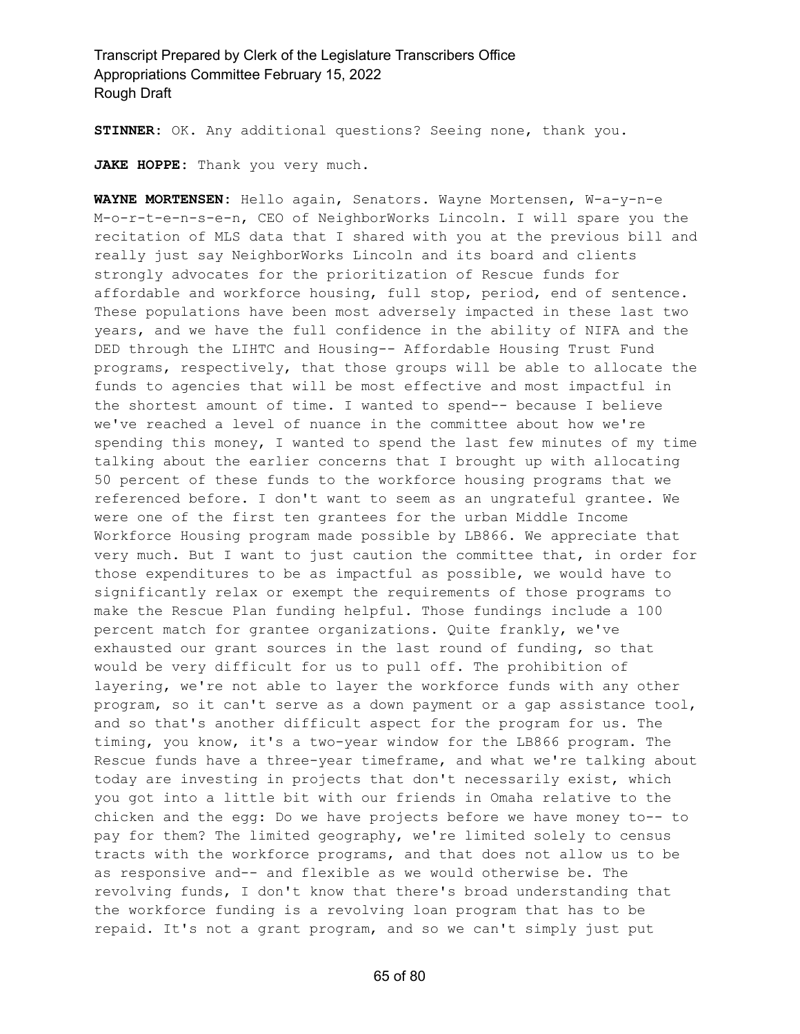**STINNER:** OK. Any additional questions? Seeing none, thank you.

**JAKE HOPPE:** Thank you very much.

**WAYNE MORTENSEN:** Hello again, Senators. Wayne Mortensen, W-a-y-n-e M-o-r-t-e-n-s-e-n, CEO of NeighborWorks Lincoln. I will spare you the recitation of MLS data that I shared with you at the previous bill and really just say NeighborWorks Lincoln and its board and clients strongly advocates for the prioritization of Rescue funds for affordable and workforce housing, full stop, period, end of sentence. These populations have been most adversely impacted in these last two years, and we have the full confidence in the ability of NIFA and the DED through the LIHTC and Housing-- Affordable Housing Trust Fund programs, respectively, that those groups will be able to allocate the funds to agencies that will be most effective and most impactful in the shortest amount of time. I wanted to spend-- because I believe we've reached a level of nuance in the committee about how we're spending this money, I wanted to spend the last few minutes of my time talking about the earlier concerns that I brought up with allocating 50 percent of these funds to the workforce housing programs that we referenced before. I don't want to seem as an ungrateful grantee. We were one of the first ten grantees for the urban Middle Income Workforce Housing program made possible by LB866. We appreciate that very much. But I want to just caution the committee that, in order for those expenditures to be as impactful as possible, we would have to significantly relax or exempt the requirements of those programs to make the Rescue Plan funding helpful. Those fundings include a 100 percent match for grantee organizations. Quite frankly, we've exhausted our grant sources in the last round of funding, so that would be very difficult for us to pull off. The prohibition of layering, we're not able to layer the workforce funds with any other program, so it can't serve as a down payment or a gap assistance tool, and so that's another difficult aspect for the program for us. The timing, you know, it's a two-year window for the LB866 program. The Rescue funds have a three-year timeframe, and what we're talking about today are investing in projects that don't necessarily exist, which you got into a little bit with our friends in Omaha relative to the chicken and the egg: Do we have projects before we have money to-- to pay for them? The limited geography, we're limited solely to census tracts with the workforce programs, and that does not allow us to be as responsive and-- and flexible as we would otherwise be. The revolving funds, I don't know that there's broad understanding that the workforce funding is a revolving loan program that has to be repaid. It's not a grant program, and so we can't simply just put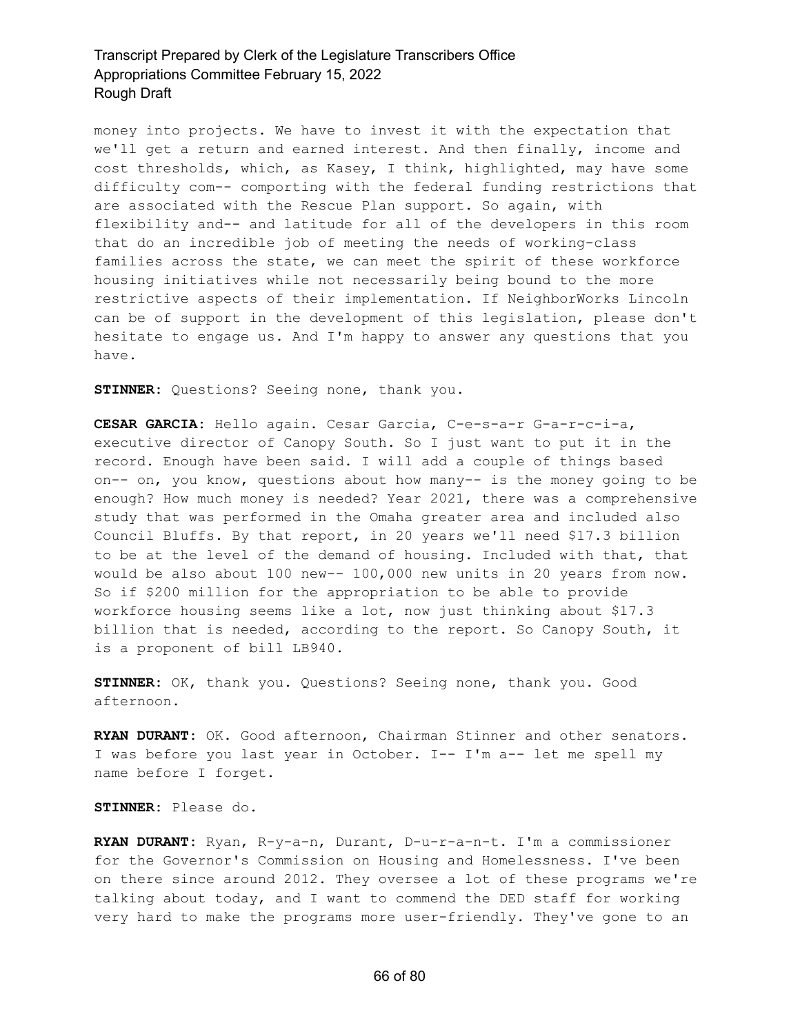money into projects. We have to invest it with the expectation that we'll get a return and earned interest. And then finally, income and cost thresholds, which, as Kasey, I think, highlighted, may have some difficulty com-- comporting with the federal funding restrictions that are associated with the Rescue Plan support. So again, with flexibility and-- and latitude for all of the developers in this room that do an incredible job of meeting the needs of working-class families across the state, we can meet the spirit of these workforce housing initiatives while not necessarily being bound to the more restrictive aspects of their implementation. If NeighborWorks Lincoln can be of support in the development of this legislation, please don't hesitate to engage us. And I'm happy to answer any questions that you have.

**STINNER:** Questions? Seeing none, thank you.

**CESAR GARCIA:** Hello again. Cesar Garcia, C-e-s-a-r G-a-r-c-i-a, executive director of Canopy South. So I just want to put it in the record. Enough have been said. I will add a couple of things based on-- on, you know, questions about how many-- is the money going to be enough? How much money is needed? Year 2021, there was a comprehensive study that was performed in the Omaha greater area and included also Council Bluffs. By that report, in 20 years we'll need \$17.3 billion to be at the level of the demand of housing. Included with that, that would be also about 100 new-- 100,000 new units in 20 years from now. So if \$200 million for the appropriation to be able to provide workforce housing seems like a lot, now just thinking about \$17.3 billion that is needed, according to the report. So Canopy South, it is a proponent of bill LB940.

**STINNER:** OK, thank you. Questions? Seeing none, thank you. Good afternoon.

**RYAN DURANT:** OK. Good afternoon, Chairman Stinner and other senators. I was before you last year in October. I-- I'm a-- let me spell my name before I forget.

**STINNER:** Please do.

**RYAN DURANT:** Ryan, R-y-a-n, Durant, D-u-r-a-n-t. I'm a commissioner for the Governor's Commission on Housing and Homelessness. I've been on there since around 2012. They oversee a lot of these programs we're talking about today, and I want to commend the DED staff for working very hard to make the programs more user-friendly. They've gone to an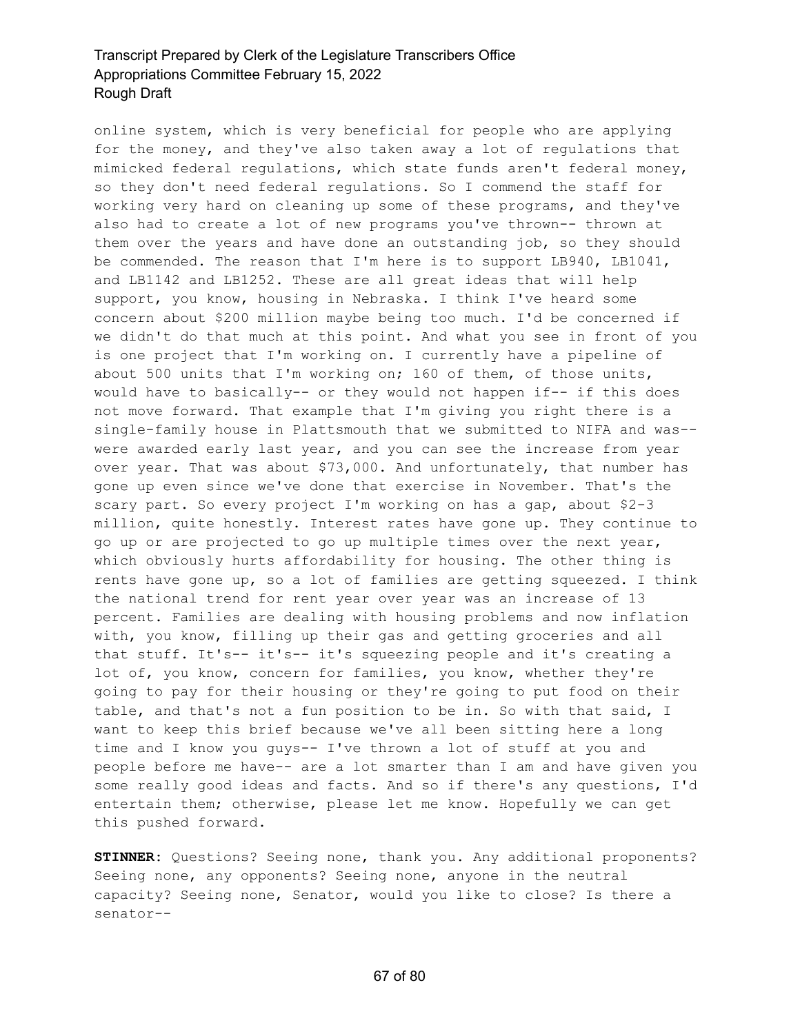online system, which is very beneficial for people who are applying for the money, and they've also taken away a lot of regulations that mimicked federal regulations, which state funds aren't federal money, so they don't need federal regulations. So I commend the staff for working very hard on cleaning up some of these programs, and they've also had to create a lot of new programs you've thrown-- thrown at them over the years and have done an outstanding job, so they should be commended. The reason that I'm here is to support LB940, LB1041, and LB1142 and LB1252. These are all great ideas that will help support, you know, housing in Nebraska. I think I've heard some concern about \$200 million maybe being too much. I'd be concerned if we didn't do that much at this point. And what you see in front of you is one project that I'm working on. I currently have a pipeline of about 500 units that I'm working on; 160 of them, of those units, would have to basically-- or they would not happen if-- if this does not move forward. That example that I'm giving you right there is a single-family house in Plattsmouth that we submitted to NIFA and was- were awarded early last year, and you can see the increase from year over year. That was about \$73,000. And unfortunately, that number has gone up even since we've done that exercise in November. That's the scary part. So every project I'm working on has a gap, about \$2-3 million, quite honestly. Interest rates have gone up. They continue to go up or are projected to go up multiple times over the next year, which obviously hurts affordability for housing. The other thing is rents have gone up, so a lot of families are getting squeezed. I think the national trend for rent year over year was an increase of 13 percent. Families are dealing with housing problems and now inflation with, you know, filling up their gas and getting groceries and all that stuff. It's-- it's-- it's squeezing people and it's creating a lot of, you know, concern for families, you know, whether they're going to pay for their housing or they're going to put food on their table, and that's not a fun position to be in. So with that said, I want to keep this brief because we've all been sitting here a long time and I know you guys-- I've thrown a lot of stuff at you and people before me have-- are a lot smarter than I am and have given you some really good ideas and facts. And so if there's any questions, I'd entertain them; otherwise, please let me know. Hopefully we can get this pushed forward.

**STINNER:** Questions? Seeing none, thank you. Any additional proponents? Seeing none, any opponents? Seeing none, anyone in the neutral capacity? Seeing none, Senator, would you like to close? Is there a senator--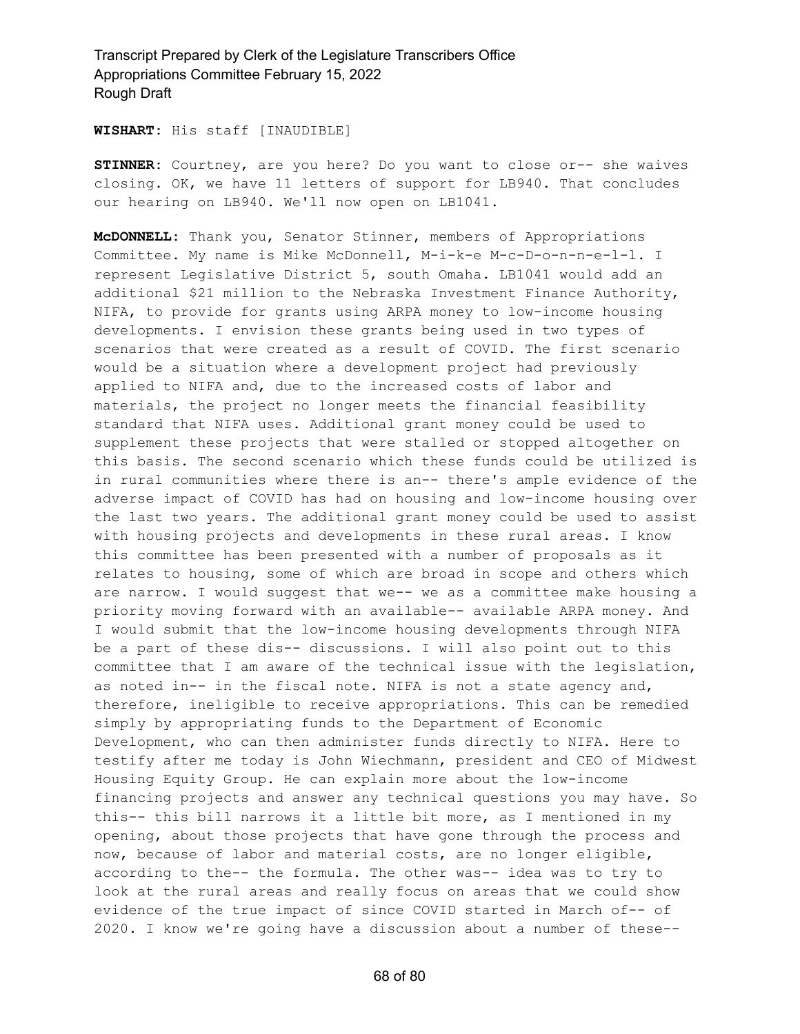**WISHART:** His staff [INAUDIBLE]

**STINNER:** Courtney, are you here? Do you want to close or-- she waives closing. OK, we have 11 letters of support for LB940. That concludes our hearing on LB940. We'll now open on LB1041.

**McDONNELL:** Thank you, Senator Stinner, members of Appropriations Committee. My name is Mike McDonnell, M-i-k-e M-c-D-o-n-n-e-l-l. I represent Legislative District 5, south Omaha. LB1041 would add an additional \$21 million to the Nebraska Investment Finance Authority, NIFA, to provide for grants using ARPA money to low-income housing developments. I envision these grants being used in two types of scenarios that were created as a result of COVID. The first scenario would be a situation where a development project had previously applied to NIFA and, due to the increased costs of labor and materials, the project no longer meets the financial feasibility standard that NIFA uses. Additional grant money could be used to supplement these projects that were stalled or stopped altogether on this basis. The second scenario which these funds could be utilized is in rural communities where there is an-- there's ample evidence of the adverse impact of COVID has had on housing and low-income housing over the last two years. The additional grant money could be used to assist with housing projects and developments in these rural areas. I know this committee has been presented with a number of proposals as it relates to housing, some of which are broad in scope and others which are narrow. I would suggest that we-- we as a committee make housing a priority moving forward with an available-- available ARPA money. And I would submit that the low-income housing developments through NIFA be a part of these dis-- discussions. I will also point out to this committee that I am aware of the technical issue with the legislation, as noted in-- in the fiscal note. NIFA is not a state agency and, therefore, ineligible to receive appropriations. This can be remedied simply by appropriating funds to the Department of Economic Development, who can then administer funds directly to NIFA. Here to testify after me today is John Wiechmann, president and CEO of Midwest Housing Equity Group. He can explain more about the low-income financing projects and answer any technical questions you may have. So this-- this bill narrows it a little bit more, as I mentioned in my opening, about those projects that have gone through the process and now, because of labor and material costs, are no longer eligible, according to the-- the formula. The other was-- idea was to try to look at the rural areas and really focus on areas that we could show evidence of the true impact of since COVID started in March of-- of 2020. I know we're going have a discussion about a number of these--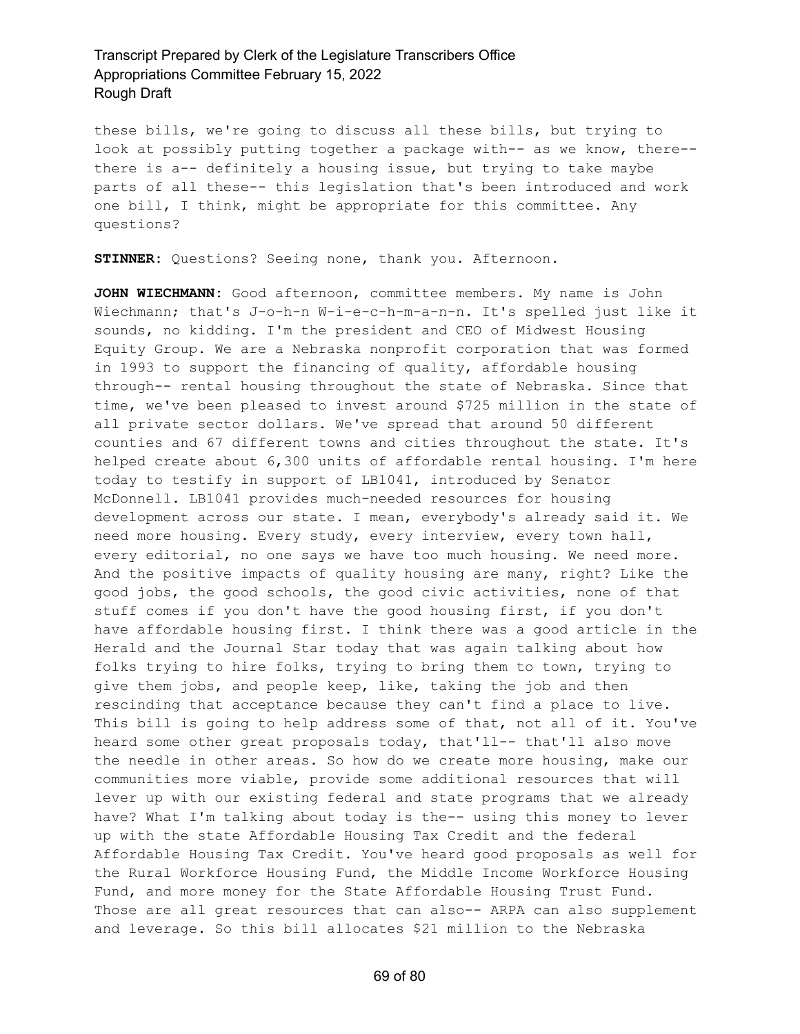these bills, we're going to discuss all these bills, but trying to look at possibly putting together a package with-- as we know, there- there is a-- definitely a housing issue, but trying to take maybe parts of all these-- this legislation that's been introduced and work one bill, I think, might be appropriate for this committee. Any questions?

**STINNER:** Questions? Seeing none, thank you. Afternoon.

**JOHN WIECHMANN:** Good afternoon, committee members. My name is John Wiechmann; that's J-o-h-n W-i-e-c-h-m-a-n-n. It's spelled just like it sounds, no kidding. I'm the president and CEO of Midwest Housing Equity Group. We are a Nebraska nonprofit corporation that was formed in 1993 to support the financing of quality, affordable housing through-- rental housing throughout the state of Nebraska. Since that time, we've been pleased to invest around \$725 million in the state of all private sector dollars. We've spread that around 50 different counties and 67 different towns and cities throughout the state. It's helped create about 6,300 units of affordable rental housing. I'm here today to testify in support of LB1041, introduced by Senator McDonnell. LB1041 provides much-needed resources for housing development across our state. I mean, everybody's already said it. We need more housing. Every study, every interview, every town hall, every editorial, no one says we have too much housing. We need more. And the positive impacts of quality housing are many, right? Like the good jobs, the good schools, the good civic activities, none of that stuff comes if you don't have the good housing first, if you don't have affordable housing first. I think there was a good article in the Herald and the Journal Star today that was again talking about how folks trying to hire folks, trying to bring them to town, trying to give them jobs, and people keep, like, taking the job and then rescinding that acceptance because they can't find a place to live. This bill is going to help address some of that, not all of it. You've heard some other great proposals today, that'll-- that'll also move the needle in other areas. So how do we create more housing, make our communities more viable, provide some additional resources that will lever up with our existing federal and state programs that we already have? What I'm talking about today is the-- using this money to lever up with the state Affordable Housing Tax Credit and the federal Affordable Housing Tax Credit. You've heard good proposals as well for the Rural Workforce Housing Fund, the Middle Income Workforce Housing Fund, and more money for the State Affordable Housing Trust Fund. Those are all great resources that can also-- ARPA can also supplement and leverage. So this bill allocates \$21 million to the Nebraska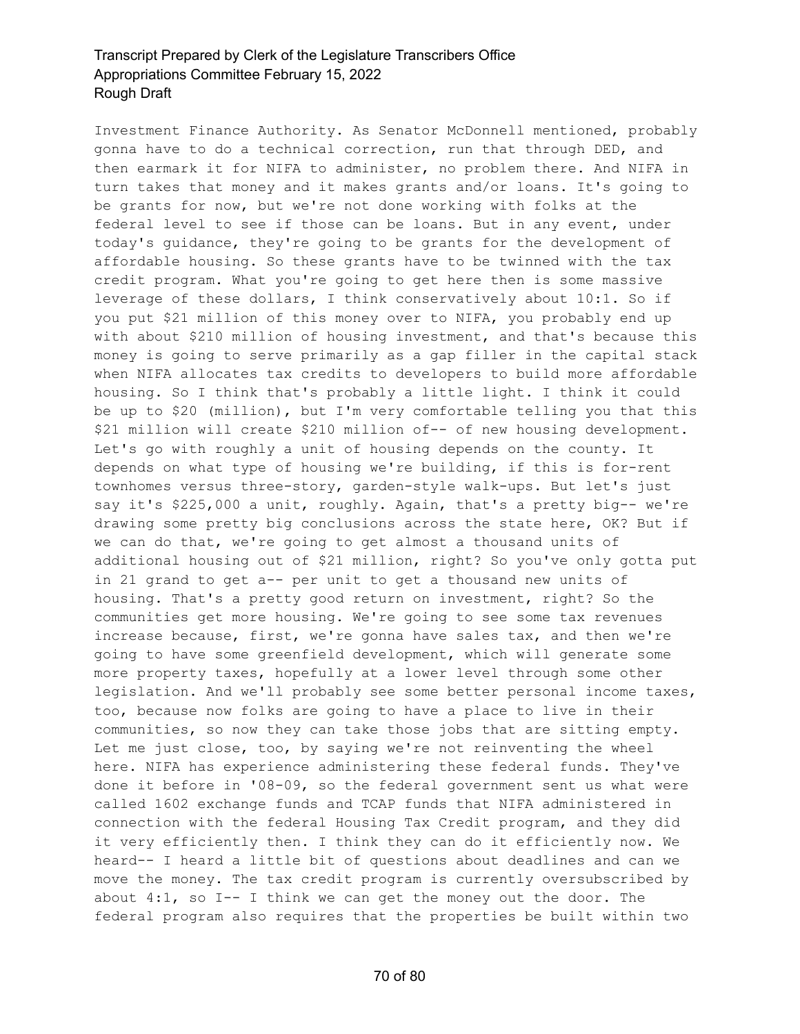Investment Finance Authority. As Senator McDonnell mentioned, probably gonna have to do a technical correction, run that through DED, and then earmark it for NIFA to administer, no problem there. And NIFA in turn takes that money and it makes grants and/or loans. It's going to be grants for now, but we're not done working with folks at the federal level to see if those can be loans. But in any event, under today's guidance, they're going to be grants for the development of affordable housing. So these grants have to be twinned with the tax credit program. What you're going to get here then is some massive leverage of these dollars, I think conservatively about 10:1. So if you put \$21 million of this money over to NIFA, you probably end up with about \$210 million of housing investment, and that's because this money is going to serve primarily as a gap filler in the capital stack when NIFA allocates tax credits to developers to build more affordable housing. So I think that's probably a little light. I think it could be up to \$20 (million), but I'm very comfortable telling you that this \$21 million will create \$210 million of-- of new housing development. Let's go with roughly a unit of housing depends on the county. It depends on what type of housing we're building, if this is for-rent townhomes versus three-story, garden-style walk-ups. But let's just say it's \$225,000 a unit, roughly. Again, that's a pretty big-- we're drawing some pretty big conclusions across the state here, OK? But if we can do that, we're going to get almost a thousand units of additional housing out of \$21 million, right? So you've only gotta put in 21 grand to get a-- per unit to get a thousand new units of housing. That's a pretty good return on investment, right? So the communities get more housing. We're going to see some tax revenues increase because, first, we're gonna have sales tax, and then we're going to have some greenfield development, which will generate some more property taxes, hopefully at a lower level through some other legislation. And we'll probably see some better personal income taxes, too, because now folks are going to have a place to live in their communities, so now they can take those jobs that are sitting empty. Let me just close, too, by saying we're not reinventing the wheel here. NIFA has experience administering these federal funds. They've done it before in '08-09, so the federal government sent us what were called 1602 exchange funds and TCAP funds that NIFA administered in connection with the federal Housing Tax Credit program, and they did it very efficiently then. I think they can do it efficiently now. We heard-- I heard a little bit of questions about deadlines and can we move the money. The tax credit program is currently oversubscribed by about 4:1, so I-- I think we can get the money out the door. The federal program also requires that the properties be built within two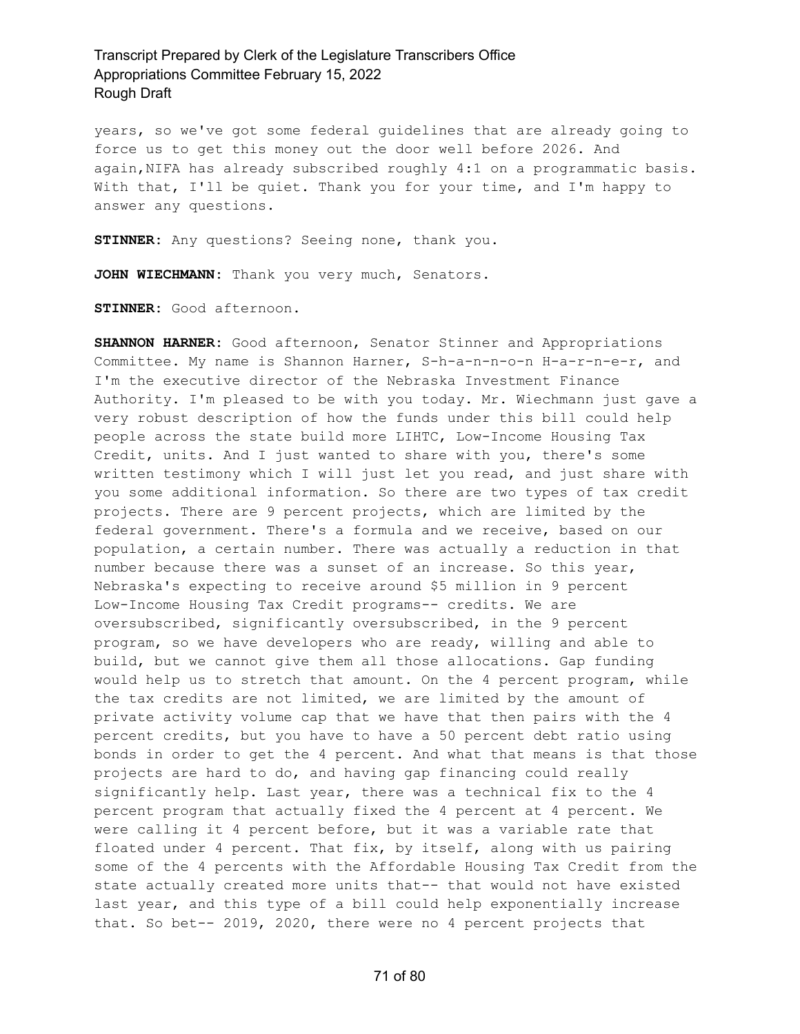years, so we've got some federal guidelines that are already going to force us to get this money out the door well before 2026. And again,NIFA has already subscribed roughly 4:1 on a programmatic basis. With that, I'll be quiet. Thank you for your time, and I'm happy to answer any questions.

**STINNER:** Any questions? Seeing none, thank you.

**JOHN WIECHMANN:** Thank you very much, Senators.

**STINNER:** Good afternoon.

**SHANNON HARNER:** Good afternoon, Senator Stinner and Appropriations Committee. My name is Shannon Harner, S-h-a-n-n-o-n H-a-r-n-e-r, and I'm the executive director of the Nebraska Investment Finance Authority. I'm pleased to be with you today. Mr. Wiechmann just gave a very robust description of how the funds under this bill could help people across the state build more LIHTC, Low-Income Housing Tax Credit, units. And I just wanted to share with you, there's some written testimony which I will just let you read, and just share with you some additional information. So there are two types of tax credit projects. There are 9 percent projects, which are limited by the federal government. There's a formula and we receive, based on our population, a certain number. There was actually a reduction in that number because there was a sunset of an increase. So this year, Nebraska's expecting to receive around \$5 million in 9 percent Low-Income Housing Tax Credit programs-- credits. We are oversubscribed, significantly oversubscribed, in the 9 percent program, so we have developers who are ready, willing and able to build, but we cannot give them all those allocations. Gap funding would help us to stretch that amount. On the 4 percent program, while the tax credits are not limited, we are limited by the amount of private activity volume cap that we have that then pairs with the 4 percent credits, but you have to have a 50 percent debt ratio using bonds in order to get the 4 percent. And what that means is that those projects are hard to do, and having gap financing could really significantly help. Last year, there was a technical fix to the 4 percent program that actually fixed the 4 percent at 4 percent. We were calling it 4 percent before, but it was a variable rate that floated under 4 percent. That fix, by itself, along with us pairing some of the 4 percents with the Affordable Housing Tax Credit from the state actually created more units that-- that would not have existed last year, and this type of a bill could help exponentially increase that. So bet-- 2019, 2020, there were no 4 percent projects that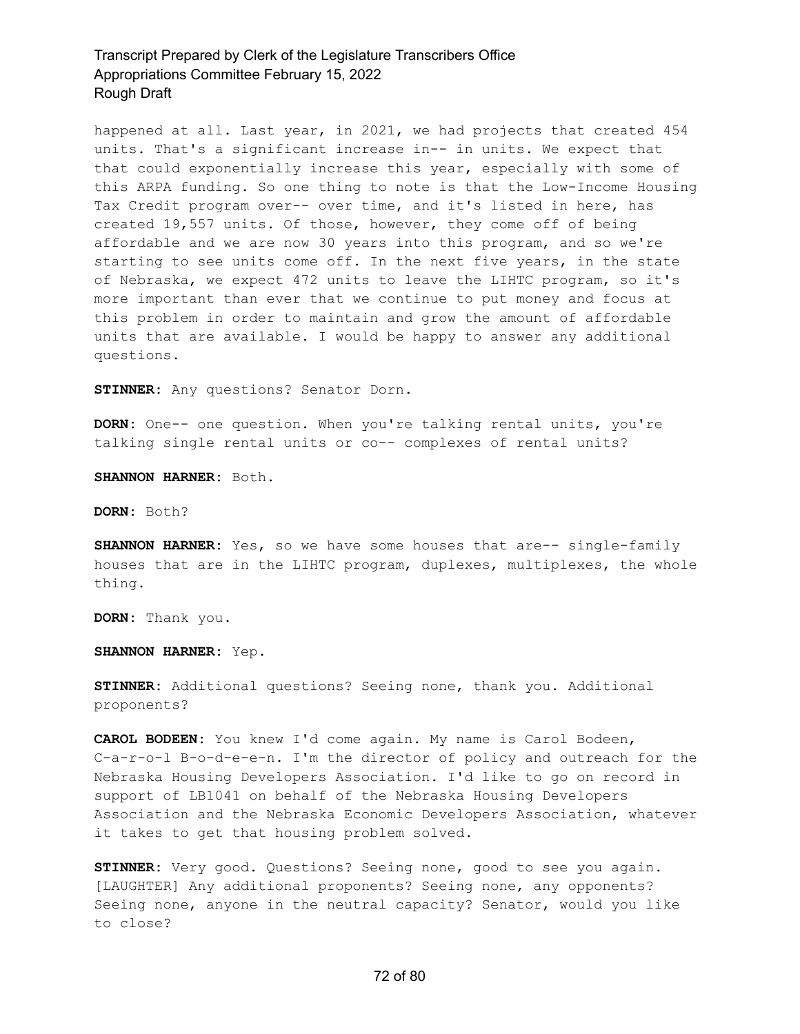happened at all. Last year, in 2021, we had projects that created 454 units. That's a significant increase in-- in units. We expect that that could exponentially increase this year, especially with some of this ARPA funding. So one thing to note is that the Low-Income Housing Tax Credit program over-- over time, and it's listed in here, has created 19,557 units. Of those, however, they come off of being affordable and we are now 30 years into this program, and so we're starting to see units come off. In the next five years, in the state of Nebraska, we expect 472 units to leave the LIHTC program, so it's more important than ever that we continue to put money and focus at this problem in order to maintain and grow the amount of affordable units that are available. I would be happy to answer any additional questions.

**STINNER:** Any questions? Senator Dorn.

**DORN:** One-- one question. When you're talking rental units, you're talking single rental units or co-- complexes of rental units?

**SHANNON HARNER:** Both.

**DORN:** Both?

**SHANNON HARNER:** Yes, so we have some houses that are-- single-family houses that are in the LIHTC program, duplexes, multiplexes, the whole thing.

**DORN:** Thank you.

**SHANNON HARNER:** Yep.

**STINNER:** Additional questions? Seeing none, thank you. Additional proponents?

**CAROL BODEEN:** You knew I'd come again. My name is Carol Bodeen, C-a-r-o-l B-o-d-e-e-n. I'm the director of policy and outreach for the Nebraska Housing Developers Association. I'd like to go on record in support of LB1041 on behalf of the Nebraska Housing Developers Association and the Nebraska Economic Developers Association, whatever it takes to get that housing problem solved.

**STINNER:** Very good. Questions? Seeing none, good to see you again. [LAUGHTER] Any additional proponents? Seeing none, any opponents? Seeing none, anyone in the neutral capacity? Senator, would you like to close?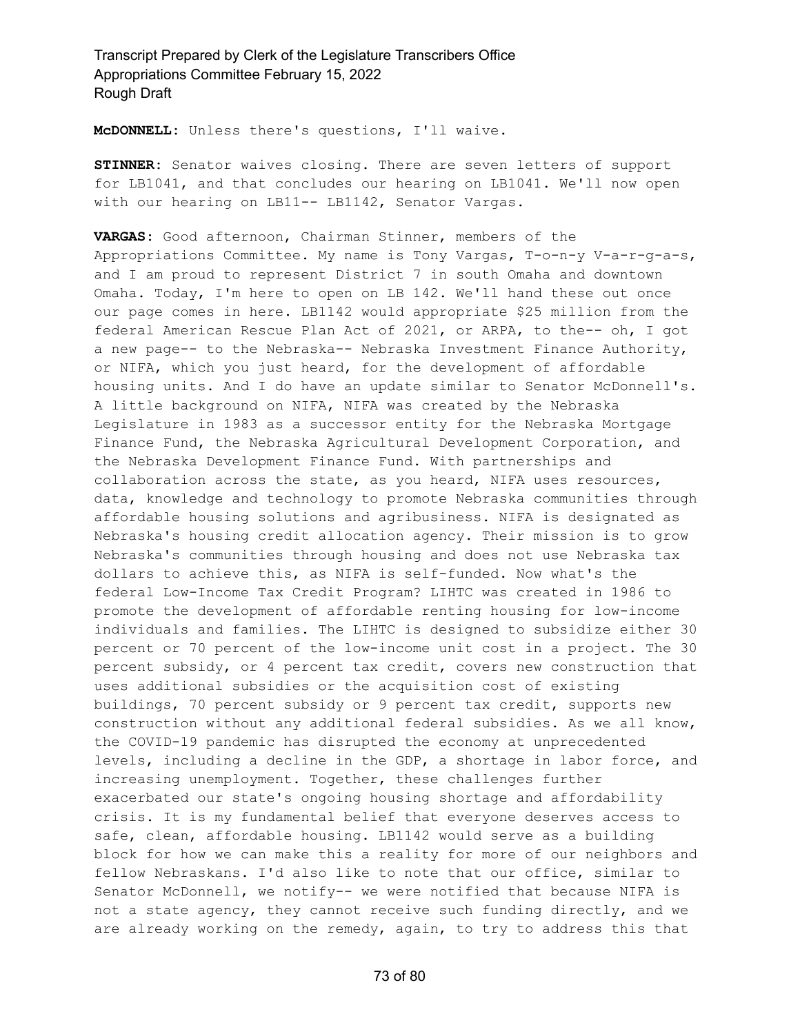**McDONNELL:** Unless there's questions, I'll waive.

**STINNER:** Senator waives closing. There are seven letters of support for LB1041, and that concludes our hearing on LB1041. We'll now open with our hearing on LB11-- LB1142, Senator Vargas.

**VARGAS:** Good afternoon, Chairman Stinner, members of the Appropriations Committee. My name is Tony Vargas, T-o-n-y V-a-r-g-a-s, and I am proud to represent District 7 in south Omaha and downtown Omaha. Today, I'm here to open on LB 142. We'll hand these out once our page comes in here. LB1142 would appropriate \$25 million from the federal American Rescue Plan Act of 2021, or ARPA, to the-- oh, I got a new page-- to the Nebraska-- Nebraska Investment Finance Authority, or NIFA, which you just heard, for the development of affordable housing units. And I do have an update similar to Senator McDonnell's. A little background on NIFA, NIFA was created by the Nebraska Legislature in 1983 as a successor entity for the Nebraska Mortgage Finance Fund, the Nebraska Agricultural Development Corporation, and the Nebraska Development Finance Fund. With partnerships and collaboration across the state, as you heard, NIFA uses resources, data, knowledge and technology to promote Nebraska communities through affordable housing solutions and agribusiness. NIFA is designated as Nebraska's housing credit allocation agency. Their mission is to grow Nebraska's communities through housing and does not use Nebraska tax dollars to achieve this, as NIFA is self-funded. Now what's the federal Low-Income Tax Credit Program? LIHTC was created in 1986 to promote the development of affordable renting housing for low-income individuals and families. The LIHTC is designed to subsidize either 30 percent or 70 percent of the low-income unit cost in a project. The 30 percent subsidy, or 4 percent tax credit, covers new construction that uses additional subsidies or the acquisition cost of existing buildings, 70 percent subsidy or 9 percent tax credit, supports new construction without any additional federal subsidies. As we all know, the COVID-19 pandemic has disrupted the economy at unprecedented levels, including a decline in the GDP, a shortage in labor force, and increasing unemployment. Together, these challenges further exacerbated our state's ongoing housing shortage and affordability crisis. It is my fundamental belief that everyone deserves access to safe, clean, affordable housing. LB1142 would serve as a building block for how we can make this a reality for more of our neighbors and fellow Nebraskans. I'd also like to note that our office, similar to Senator McDonnell, we notify-- we were notified that because NIFA is not a state agency, they cannot receive such funding directly, and we are already working on the remedy, again, to try to address this that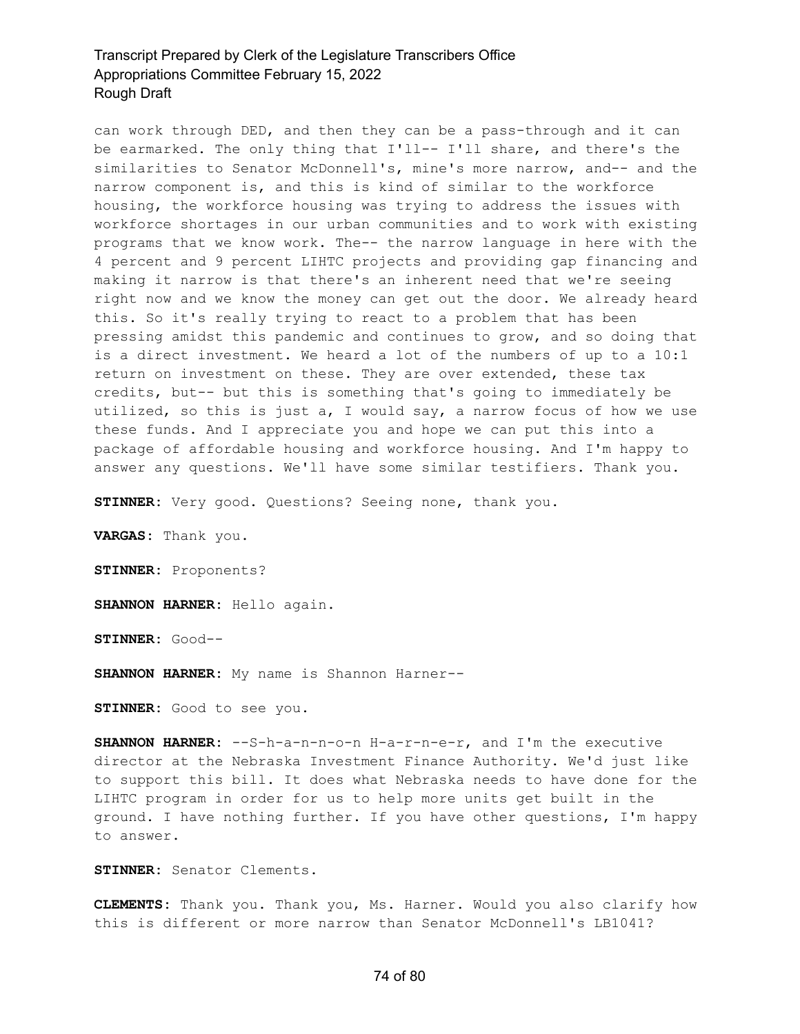can work through DED, and then they can be a pass-through and it can be earmarked. The only thing that I'll-- I'll share, and there's the similarities to Senator McDonnell's, mine's more narrow, and-- and the narrow component is, and this is kind of similar to the workforce housing, the workforce housing was trying to address the issues with workforce shortages in our urban communities and to work with existing programs that we know work. The-- the narrow language in here with the 4 percent and 9 percent LIHTC projects and providing gap financing and making it narrow is that there's an inherent need that we're seeing right now and we know the money can get out the door. We already heard this. So it's really trying to react to a problem that has been pressing amidst this pandemic and continues to grow, and so doing that is a direct investment. We heard a lot of the numbers of up to a 10:1 return on investment on these. They are over extended, these tax credits, but-- but this is something that's going to immediately be utilized, so this is just a, I would say, a narrow focus of how we use these funds. And I appreciate you and hope we can put this into a package of affordable housing and workforce housing. And I'm happy to answer any questions. We'll have some similar testifiers. Thank you.

**STINNER:** Very good. Questions? Seeing none, thank you.

**VARGAS:** Thank you.

**STINNER:** Proponents?

**SHANNON HARNER:** Hello again.

**STINNER:** Good--

**SHANNON HARNER:** My name is Shannon Harner--

**STINNER:** Good to see you.

**SHANNON HARNER:** --S-h-a-n-n-o-n H-a-r-n-e-r, and I'm the executive director at the Nebraska Investment Finance Authority. We'd just like to support this bill. It does what Nebraska needs to have done for the LIHTC program in order for us to help more units get built in the ground. I have nothing further. If you have other questions, I'm happy to answer.

**STINNER:** Senator Clements.

**CLEMENTS:** Thank you. Thank you, Ms. Harner. Would you also clarify how this is different or more narrow than Senator McDonnell's LB1041?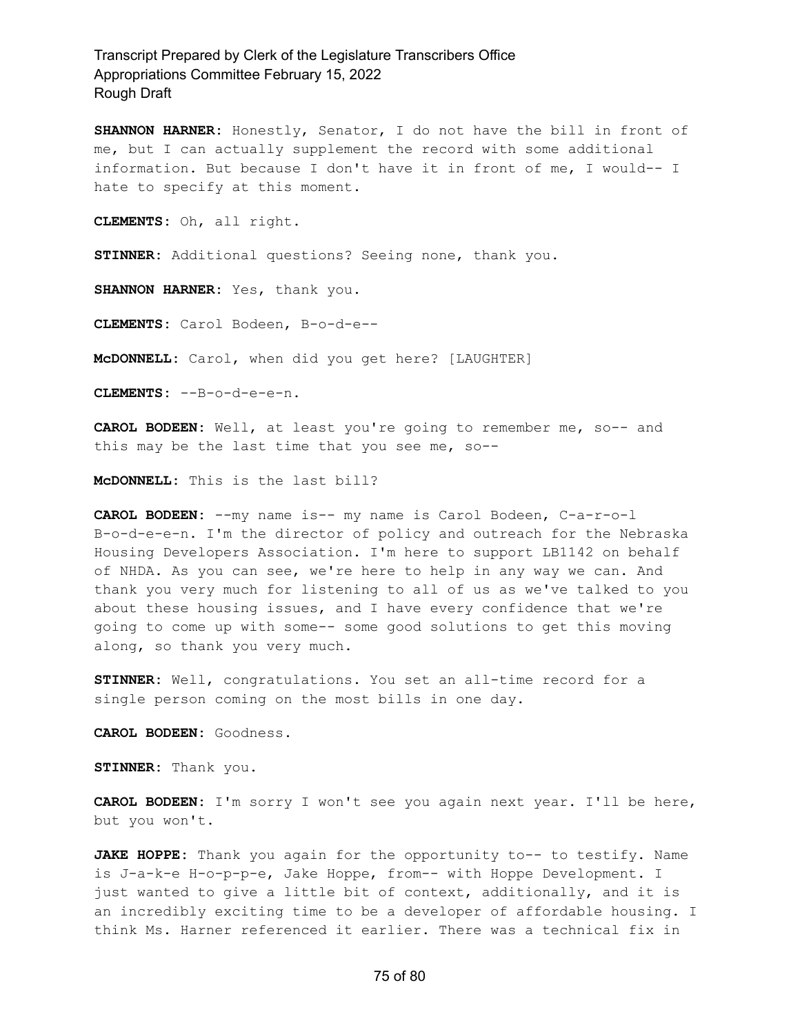**SHANNON HARNER:** Honestly, Senator, I do not have the bill in front of me, but I can actually supplement the record with some additional information. But because I don't have it in front of me, I would-- I hate to specify at this moment.

**CLEMENTS:** Oh, all right.

**STINNER:** Additional questions? Seeing none, thank you.

**SHANNON HARNER:** Yes, thank you.

**CLEMENTS:** Carol Bodeen, B-o-d-e--

**McDONNELL:** Carol, when did you get here? [LAUGHTER]

**CLEMENTS:** --B-o-d-e-e-n.

**CAROL BODEEN:** Well, at least you're going to remember me, so-- and this may be the last time that you see me, so--

**McDONNELL:** This is the last bill?

**CAROL BODEEN:** --my name is-- my name is Carol Bodeen, C-a-r-o-l B-o-d-e-e-n. I'm the director of policy and outreach for the Nebraska Housing Developers Association. I'm here to support LB1142 on behalf of NHDA. As you can see, we're here to help in any way we can. And thank you very much for listening to all of us as we've talked to you about these housing issues, and I have every confidence that we're going to come up with some-- some good solutions to get this moving along, so thank you very much.

**STINNER:** Well, congratulations. You set an all-time record for a single person coming on the most bills in one day.

**CAROL BODEEN:** Goodness.

**STINNER:** Thank you.

**CAROL BODEEN:** I'm sorry I won't see you again next year. I'll be here, but you won't.

**JAKE HOPPE:** Thank you again for the opportunity to-- to testify. Name is J-a-k-e H-o-p-p-e, Jake Hoppe, from-- with Hoppe Development. I just wanted to give a little bit of context, additionally, and it is an incredibly exciting time to be a developer of affordable housing. I think Ms. Harner referenced it earlier. There was a technical fix in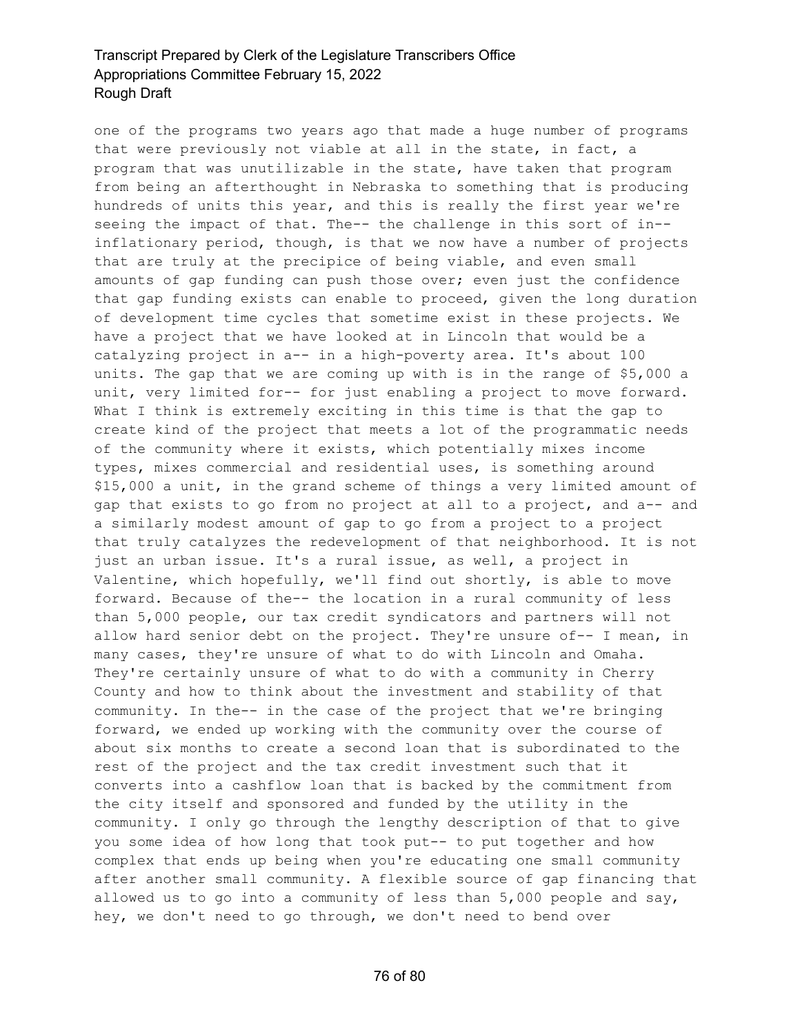one of the programs two years ago that made a huge number of programs that were previously not viable at all in the state, in fact, a program that was unutilizable in the state, have taken that program from being an afterthought in Nebraska to something that is producing hundreds of units this year, and this is really the first year we're seeing the impact of that. The-- the challenge in this sort of in- inflationary period, though, is that we now have a number of projects that are truly at the precipice of being viable, and even small amounts of gap funding can push those over; even just the confidence that gap funding exists can enable to proceed, given the long duration of development time cycles that sometime exist in these projects. We have a project that we have looked at in Lincoln that would be a catalyzing project in a-- in a high-poverty area. It's about 100 units. The gap that we are coming up with is in the range of \$5,000 a unit, very limited for-- for just enabling a project to move forward. What I think is extremely exciting in this time is that the gap to create kind of the project that meets a lot of the programmatic needs of the community where it exists, which potentially mixes income types, mixes commercial and residential uses, is something around \$15,000 a unit, in the grand scheme of things a very limited amount of gap that exists to go from no project at all to a project, and a-- and a similarly modest amount of gap to go from a project to a project that truly catalyzes the redevelopment of that neighborhood. It is not just an urban issue. It's a rural issue, as well, a project in Valentine, which hopefully, we'll find out shortly, is able to move forward. Because of the-- the location in a rural community of less than 5,000 people, our tax credit syndicators and partners will not allow hard senior debt on the project. They're unsure of-- I mean, in many cases, they're unsure of what to do with Lincoln and Omaha. They're certainly unsure of what to do with a community in Cherry County and how to think about the investment and stability of that community. In the-- in the case of the project that we're bringing forward, we ended up working with the community over the course of about six months to create a second loan that is subordinated to the rest of the project and the tax credit investment such that it converts into a cashflow loan that is backed by the commitment from the city itself and sponsored and funded by the utility in the community. I only go through the lengthy description of that to give you some idea of how long that took put-- to put together and how complex that ends up being when you're educating one small community after another small community. A flexible source of gap financing that allowed us to go into a community of less than  $5,000$  people and say, hey, we don't need to go through, we don't need to bend over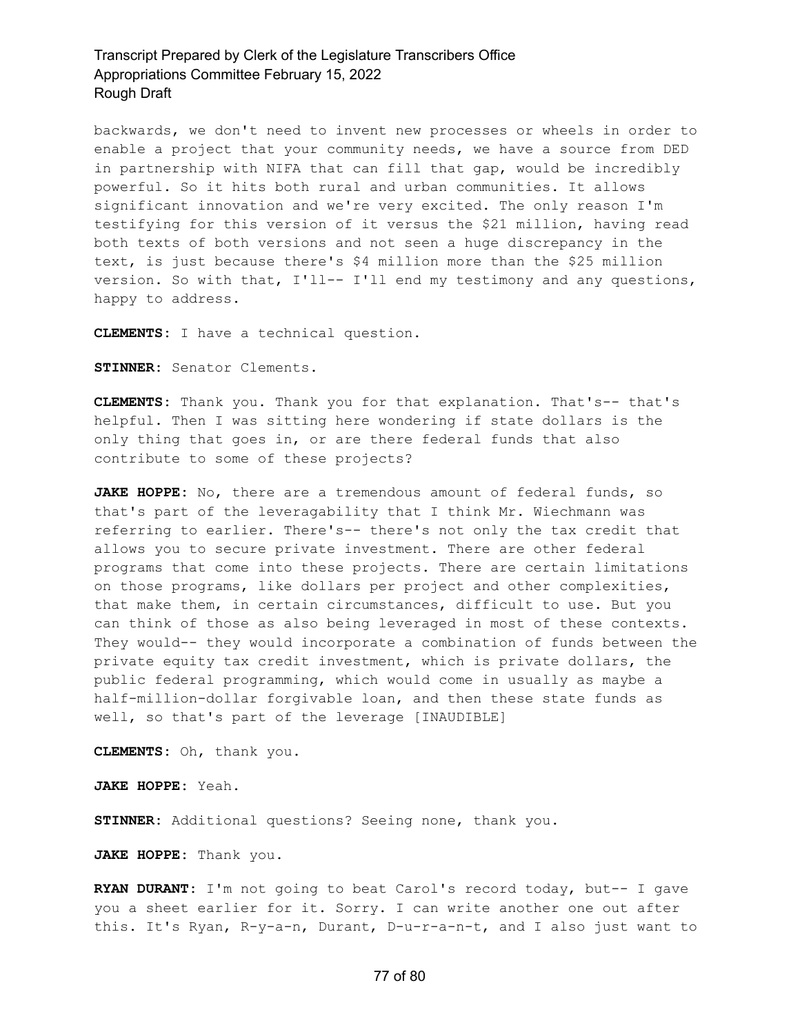backwards, we don't need to invent new processes or wheels in order to enable a project that your community needs, we have a source from DED in partnership with NIFA that can fill that gap, would be incredibly powerful. So it hits both rural and urban communities. It allows significant innovation and we're very excited. The only reason I'm testifying for this version of it versus the \$21 million, having read both texts of both versions and not seen a huge discrepancy in the text, is just because there's \$4 million more than the \$25 million version. So with that, I'll-- I'll end my testimony and any questions, happy to address.

**CLEMENTS:** I have a technical question.

**STINNER:** Senator Clements.

**CLEMENTS:** Thank you. Thank you for that explanation. That's-- that's helpful. Then I was sitting here wondering if state dollars is the only thing that goes in, or are there federal funds that also contribute to some of these projects?

**JAKE HOPPE:** No, there are a tremendous amount of federal funds, so that's part of the leveragability that I think Mr. Wiechmann was referring to earlier. There's-- there's not only the tax credit that allows you to secure private investment. There are other federal programs that come into these projects. There are certain limitations on those programs, like dollars per project and other complexities, that make them, in certain circumstances, difficult to use. But you can think of those as also being leveraged in most of these contexts. They would-- they would incorporate a combination of funds between the private equity tax credit investment, which is private dollars, the public federal programming, which would come in usually as maybe a half-million-dollar forgivable loan, and then these state funds as well, so that's part of the leverage [INAUDIBLE]

**CLEMENTS:** Oh, thank you.

**JAKE HOPPE:** Yeah.

**STINNER:** Additional questions? Seeing none, thank you.

**JAKE HOPPE:** Thank you.

**RYAN DURANT:** I'm not going to beat Carol's record today, but-- I gave you a sheet earlier for it. Sorry. I can write another one out after this. It's Ryan, R-y-a-n, Durant, D-u-r-a-n-t, and I also just want to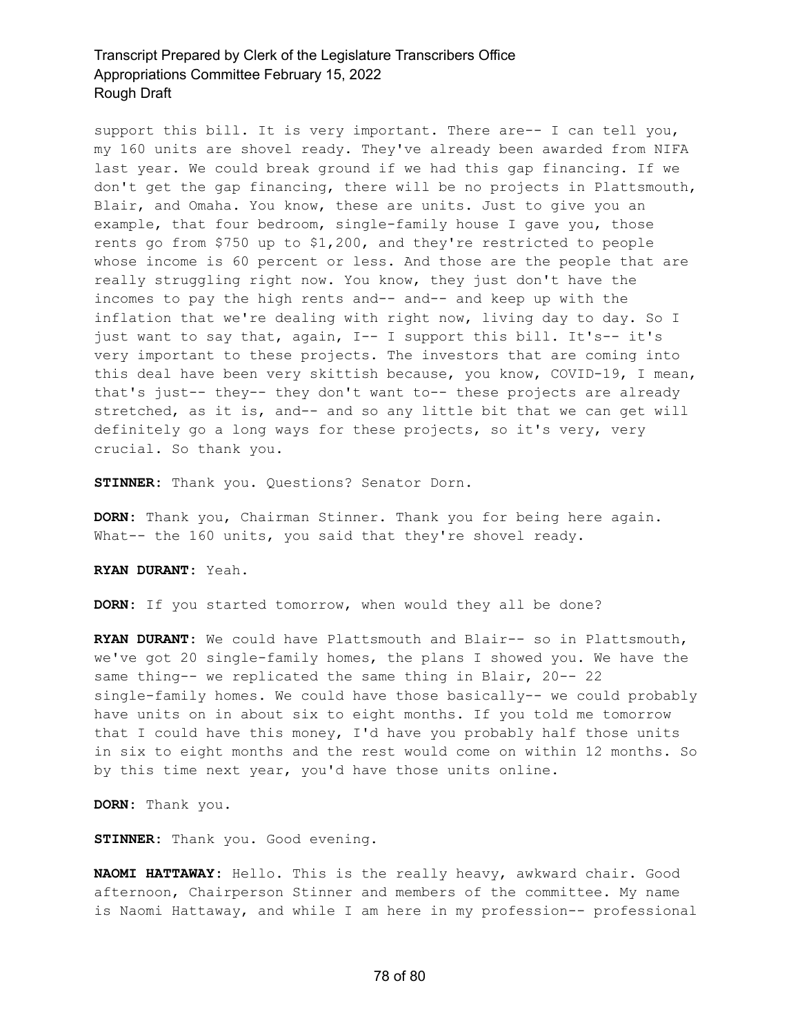support this bill. It is very important. There are-- I can tell you, my 160 units are shovel ready. They've already been awarded from NIFA last year. We could break ground if we had this gap financing. If we don't get the gap financing, there will be no projects in Plattsmouth, Blair, and Omaha. You know, these are units. Just to give you an example, that four bedroom, single-family house I gave you, those rents go from \$750 up to \$1,200, and they're restricted to people whose income is 60 percent or less. And those are the people that are really struggling right now. You know, they just don't have the incomes to pay the high rents and-- and-- and keep up with the inflation that we're dealing with right now, living day to day. So I just want to say that, again, I-- I support this bill. It's-- it's very important to these projects. The investors that are coming into this deal have been very skittish because, you know, COVID-19, I mean, that's just-- they-- they don't want to-- these projects are already stretched, as it is, and-- and so any little bit that we can get will definitely go a long ways for these projects, so it's very, very crucial. So thank you.

**STINNER:** Thank you. Questions? Senator Dorn.

**DORN:** Thank you, Chairman Stinner. Thank you for being here again. What-- the 160 units, you said that they're shovel ready.

**RYAN DURANT:** Yeah.

**DORN:** If you started tomorrow, when would they all be done?

**RYAN DURANT:** We could have Plattsmouth and Blair-- so in Plattsmouth, we've got 20 single-family homes, the plans I showed you. We have the same thing-- we replicated the same thing in Blair, 20-- 22 single-family homes. We could have those basically-- we could probably have units on in about six to eight months. If you told me tomorrow that I could have this money, I'd have you probably half those units in six to eight months and the rest would come on within 12 months. So by this time next year, you'd have those units online.

**DORN:** Thank you.

**STINNER:** Thank you. Good evening.

**NAOMI HATTAWAY:** Hello. This is the really heavy, awkward chair. Good afternoon, Chairperson Stinner and members of the committee. My name is Naomi Hattaway, and while I am here in my profession-- professional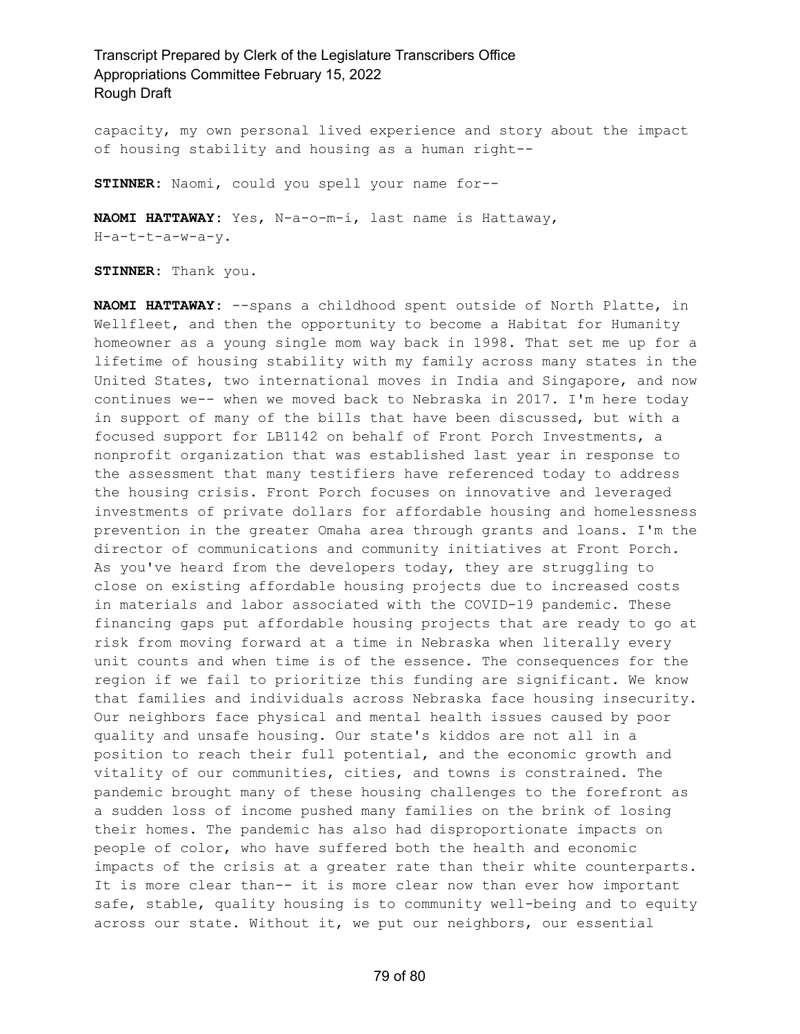capacity, my own personal lived experience and story about the impact of housing stability and housing as a human right--

**STINNER:** Naomi, could you spell your name for--

**NAOMI HATTAWAY:** Yes, N-a-o-m-i, last name is Hattaway, H-a-t-t-a-w-a-y.

**STINNER:** Thank you.

**NAOMI HATTAWAY:** --spans a childhood spent outside of North Platte, in Wellfleet, and then the opportunity to become a Habitat for Humanity homeowner as a young single mom way back in 1998. That set me up for a lifetime of housing stability with my family across many states in the United States, two international moves in India and Singapore, and now continues we-- when we moved back to Nebraska in 2017. I'm here today in support of many of the bills that have been discussed, but with a focused support for LB1142 on behalf of Front Porch Investments, a nonprofit organization that was established last year in response to the assessment that many testifiers have referenced today to address the housing crisis. Front Porch focuses on innovative and leveraged investments of private dollars for affordable housing and homelessness prevention in the greater Omaha area through grants and loans. I'm the director of communications and community initiatives at Front Porch. As you've heard from the developers today, they are struggling to close on existing affordable housing projects due to increased costs in materials and labor associated with the COVID-19 pandemic. These financing gaps put affordable housing projects that are ready to go at risk from moving forward at a time in Nebraska when literally every unit counts and when time is of the essence. The consequences for the region if we fail to prioritize this funding are significant. We know that families and individuals across Nebraska face housing insecurity. Our neighbors face physical and mental health issues caused by poor quality and unsafe housing. Our state's kiddos are not all in a position to reach their full potential, and the economic growth and vitality of our communities, cities, and towns is constrained. The pandemic brought many of these housing challenges to the forefront as a sudden loss of income pushed many families on the brink of losing their homes. The pandemic has also had disproportionate impacts on people of color, who have suffered both the health and economic impacts of the crisis at a greater rate than their white counterparts. It is more clear than-- it is more clear now than ever how important safe, stable, quality housing is to community well-being and to equity across our state. Without it, we put our neighbors, our essential